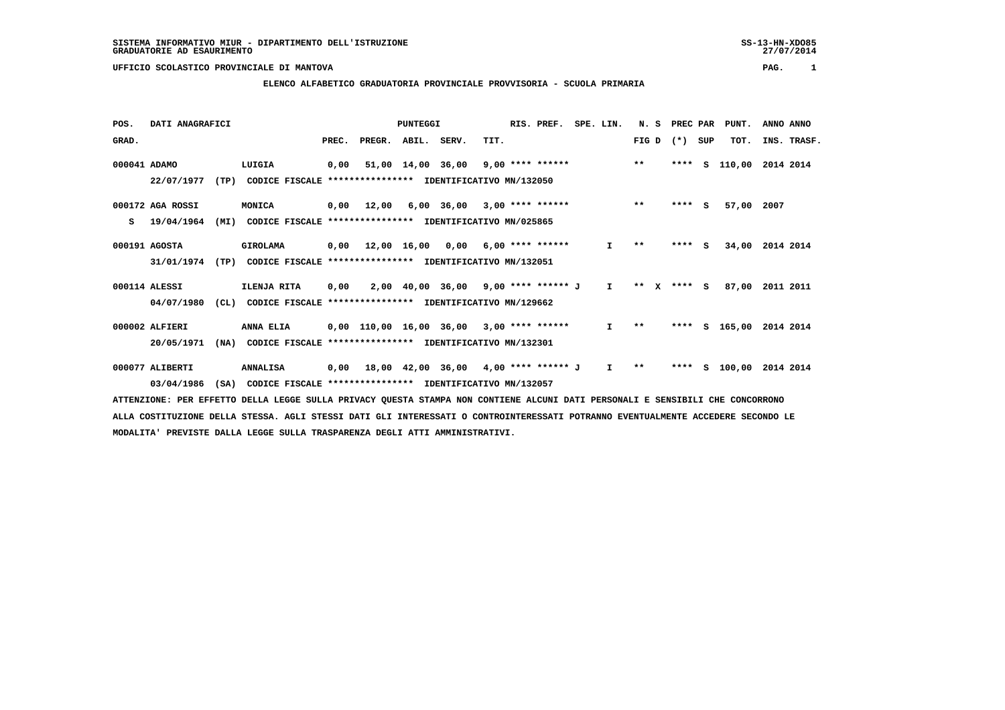## **ELENCO ALFABETICO GRADUATORIA PROVINCIALE PROVVISORIA - SCUOLA PRIMARIA**

| POS.         | DATI ANAGRAFICI  |      |                                                          |       |                    | <b>PUNTEGGI</b>   |                                           |      | RIS. PREF.               | SPE. LIN.    | N.S          | PREC PAR |              | PUNT.    | ANNO ANNO   |
|--------------|------------------|------|----------------------------------------------------------|-------|--------------------|-------------------|-------------------------------------------|------|--------------------------|--------------|--------------|----------|--------------|----------|-------------|
| GRAD.        |                  |      |                                                          | PREC. | PREGR. ABIL. SERV. |                   |                                           | TIT. |                          |              | FIG D $(*)$  |          | SUP          | TOT.     | INS. TRASF. |
| 000041 ADAMO |                  |      | LUIGIA                                                   | 0,00  |                    | 51,00 14,00 36,00 |                                           |      | $9,00$ **** ****** ** ** |              |              | ****     | s            | 110,00   | 2014 2014   |
|              | 22/07/1977       | (TP) | CODICE FISCALE **************** IDENTIFICATIVO MN/132050 |       |                    |                   |                                           |      |                          |              |              |          |              |          |             |
|              | 000172 AGA ROSSI |      | MONICA                                                   | 0,00  | 12,00              |                   | $6,00$ $36,00$ $3,00$ $***$ **** *****    |      |                          |              | $***$        | ****     | <b>S</b>     | 57,00    | 2007        |
| s            | 19/04/1964       | (MI) | CODICE FISCALE **************** IDENTIFICATIVO MN/025865 |       |                    |                   |                                           |      |                          |              |              |          |              |          |             |
|              | 000191 AGOSTA    |      | GIROLAMA                                                 |       | 0,00 12,00 16,00   |                   | 0,00                                      |      | $6.00$ **** ******       | $\mathbf{I}$ | $\star\star$ | ****     | $\mathbf{s}$ | 34,00    | 2014 2014   |
|              | 31/01/1974       | (TP) | CODICE FISCALE **************** IDENTIFICATIVO MN/132051 |       |                    |                   |                                           |      |                          |              |              |          |              |          |             |
|              | 000114 ALESSI    |      | ILENJA RITA                                              | 0,00  |                    |                   | 2,00 40,00 36,00 9,00 **** ****** J I     |      |                          |              | $***$ X      | **** S   |              | 87,00    | 2011 2011   |
|              | 04/07/1980       | CL)  | CODICE FISCALE                                           |       |                    |                   | **************** IDENTIFICATIVO MN/129662 |      |                          |              |              |          |              |          |             |
|              | 000002 ALFIERI   |      | <b>ANNA ELIA</b>                                         |       |                    |                   | 0,00 110,00 16,00 36,00 3,00 **** ******  |      |                          | $\mathbf{I}$ | $\star\star$ | ****     |              | S 165,00 | 2014 2014   |
|              | 20/05/1971       | (NA) | CODICE FISCALE **************** IDENTIFICATIVO MN/132301 |       |                    |                   |                                           |      |                          |              |              |          |              |          |             |
|              | 000077 ALIBERTI  |      | <b>ANNALISA</b>                                          | 0,00  |                    |                   | 18,00 42,00 36,00 4,00 **** ****** J      |      |                          | $\mathbf{I}$ | $\star\star$ | ****     | S.           | 100,00   | 2014 2014   |
|              | 03/04/1986       | (SA) | CODICE FISCALE **************** IDENTIFICATIVO MN/132057 |       |                    |                   |                                           |      |                          |              |              |          |              |          |             |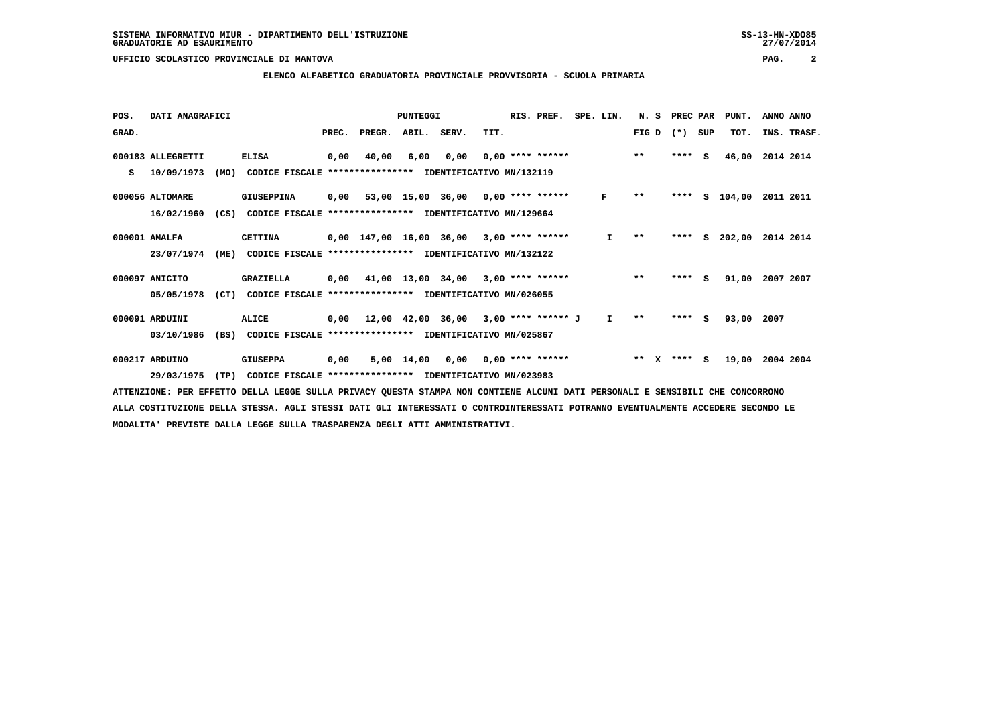### **ELENCO ALFABETICO GRADUATORIA PROVINCIALE PROVVISORIA - SCUOLA PRIMARIA**

| POS.  | DATI ANAGRAFICI   |      |                                                          |       |                                            | PUNTEGGI   |                                              |      | RIS. PREF.         | SPE. LIN.    | N.S        | PREC PAR |     | PUNT.        | ANNO ANNO   |  |
|-------|-------------------|------|----------------------------------------------------------|-------|--------------------------------------------|------------|----------------------------------------------|------|--------------------|--------------|------------|----------|-----|--------------|-------------|--|
| GRAD. |                   |      |                                                          | PREC. | PREGR. ABIL. SERV.                         |            |                                              | TIT. |                    |              | FIG D      | $(*)$    | SUP | TOT.         | INS. TRASF. |  |
|       | 000183 ALLEGRETTI |      | <b>ELISA</b>                                             | 0,00  | 40,00                                      | 6,00       | 0,00                                         |      | $0.00$ **** ****** |              | $***$      | ****     | - S | 46,00        | 2014 2014   |  |
| s     | 10/09/1973        | (MO) | CODICE FISCALE                                           |       | **************** IDENTIFICATIVO MN/132119  |            |                                              |      |                    |              |            |          |     |              |             |  |
|       | 000056 ALTOMARE   |      | GIUSEPPINA                                               |       | $0,00$ 53,00 15,00 36,00 0,00 **** ******  |            |                                              |      |                    | F            | $***$      | ****     |     | $S = 104,00$ | 2011 2011   |  |
|       | 16/02/1960        | (CS) | CODICE FISCALE **************** IDENTIFICATIVO MN/129664 |       |                                            |            |                                              |      |                    |              |            |          |     |              |             |  |
|       | 000001 AMALFA     |      | <b>CETTINA</b>                                           |       | $0.00$ 147.00 16.00 36.00 3.00 **** ****** |            |                                              |      |                    | $\mathbf{I}$ | $* *$      | ****     | S.  | 202,00       | 2014 2014   |  |
|       | 23/07/1974        | (ME) | CODICE FISCALE **************** IDENTIFICATIVO MN/132122 |       |                                            |            |                                              |      |                    |              |            |          |     |              |             |  |
|       | 000097 ANICITO    |      | GRAZIELLA                                                |       | 0,00 41,00 13,00 34,00                     |            |                                              |      | $3,00$ **** ****** |              | $* *$      | ****     | - S | 91,00        | 2007 2007   |  |
|       | 05/05/1978        | (CT) | CODICE FISCALE **************** IDENTIFICATIVO MN/026055 |       |                                            |            |                                              |      |                    |              |            |          |     |              |             |  |
|       | 000091 ARDUINI    |      | ALICE                                                    | 0,00  |                                            |            | $12,00$ $42,00$ $36,00$ $3,00$ **** ****** J |      |                    | I.           | $* *$      | ****     | S.  | 93,00        | 2007        |  |
|       | 03/10/1986        | (BS) | CODICE FISCALE                                           |       | **************** IDENTIFICATIVO MN/025867  |            |                                              |      |                    |              |            |          |     |              |             |  |
|       | 000217 ARDUINO    |      | <b>GIUSEPPA</b>                                          | 0,00  |                                            | 5,00 14,00 | 0,00                                         |      | $0,00$ **** ****** |              | $* *$<br>x | ****     | s.  | 19,00        | 2004 2004   |  |
|       | 29/03/1975        | (TP) | CODICE FISCALE **************** IDENTIFICATIVO MN/023983 |       |                                            |            |                                              |      |                    |              |            |          |     |              |             |  |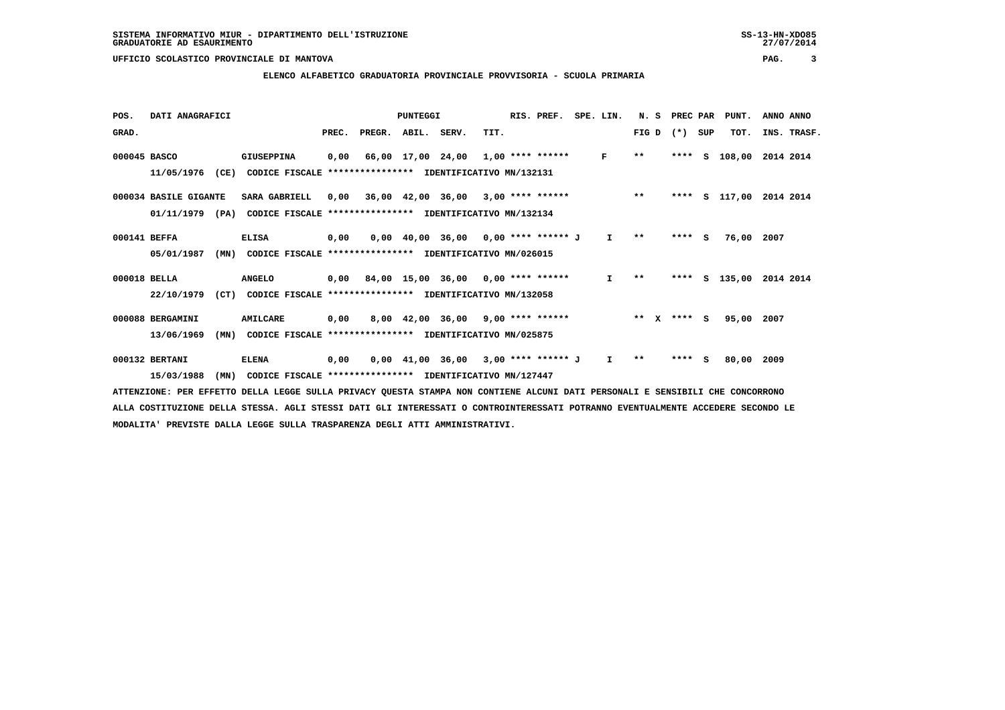### **ELENCO ALFABETICO GRADUATORIA PROVINCIALE PROVVISORIA - SCUOLA PRIMARIA**

| POS.         | DATI ANAGRAFICI       |      |                                                          |       |                    | PUNTEGGI |                                           |      | RIS. PREF.         | SPE. LIN.    | N. S  |              | PREC PAR |          | PUNT.      | ANNO ANNO   |
|--------------|-----------------------|------|----------------------------------------------------------|-------|--------------------|----------|-------------------------------------------|------|--------------------|--------------|-------|--------------|----------|----------|------------|-------------|
| GRAD.        |                       |      |                                                          | PREC. | PREGR. ABIL. SERV. |          |                                           | TIT. |                    |              | FIG D |              | $(*)$    | SUP      | TOT.       | INS. TRASF. |
| 000045 BASCO |                       |      | <b>GIUSEPPINA</b>                                        | 0,00  |                    |          | 66,00 17,00 24,00 1,00 **** ******        |      |                    | F            | $**$  |              | ****     |          | S 108,00   | 2014 2014   |
|              | 11/05/1976            | (CE) | CODICE FISCALE                                           |       |                    |          | **************** IDENTIFICATIVO MN/132131 |      |                    |              |       |              |          |          |            |             |
|              | 000034 BASILE GIGANTE |      | SARA GABRIELL                                            |       |                    |          | $0,00$ 36,00 42,00 36,00 3,00 **** ****** |      |                    |              | $* *$ |              | ****     |          | s 117,00   | 2014 2014   |
|              | $01/11/1979$ (PA)     |      | CODICE FISCALE **************** IDENTIFICATIVO MN/132134 |       |                    |          |                                           |      |                    |              |       |              |          |          |            |             |
| 000141 BEFFA |                       |      | <b>ELISA</b>                                             | 0,00  |                    |          | $0,00$ 40,00 36,00 0,00 **** ****** J     |      |                    | I.           | $* *$ |              | ****     | <b>S</b> | 76,00      | 2007        |
|              | 05/01/1987            | (MN) | CODICE FISCALE **************** IDENTIFICATIVO MN/026015 |       |                    |          |                                           |      |                    |              |       |              |          |          |            |             |
| 000018 BELLA |                       |      | <b>ANGELO</b>                                            |       |                    |          | $0,00$ 84,00 15,00 36,00 0,00 **** ****** |      |                    | $\mathbf{I}$ | $* *$ |              | ****     | S.       | 135,00     | 2014 2014   |
|              | 22/10/1979            | (CT) | CODICE FISCALE **************** IDENTIFICATIVO MN/132058 |       |                    |          |                                           |      |                    |              |       |              |          |          |            |             |
|              | 000088 BERGAMINI      |      | AMILCARE                                                 | 0,00  |                    |          | 8,00 42,00 36,00 9,00 **** ******         |      |                    |              | $* *$ | $\mathbf{x}$ | $***$ S  |          | 95,00 2007 |             |
|              | 13/06/1969            | (MN) | CODICE FISCALE                                           |       |                    |          | **************** IDENTIFICATIVO MN/025875 |      |                    |              |       |              |          |          |            |             |
|              | 000132 BERTANI        |      | <b>ELENA</b>                                             | 0,00  |                    |          | 0,00 41,00 36,00                          |      | 3,00 **** ****** J | I.           | $* *$ |              | ****     | S        | 80,00      | 2009        |
|              | 15/03/1988            | (MN) | CODICE FISCALE **************** IDENTIFICATIVO MN/127447 |       |                    |          |                                           |      |                    |              |       |              |          |          |            |             |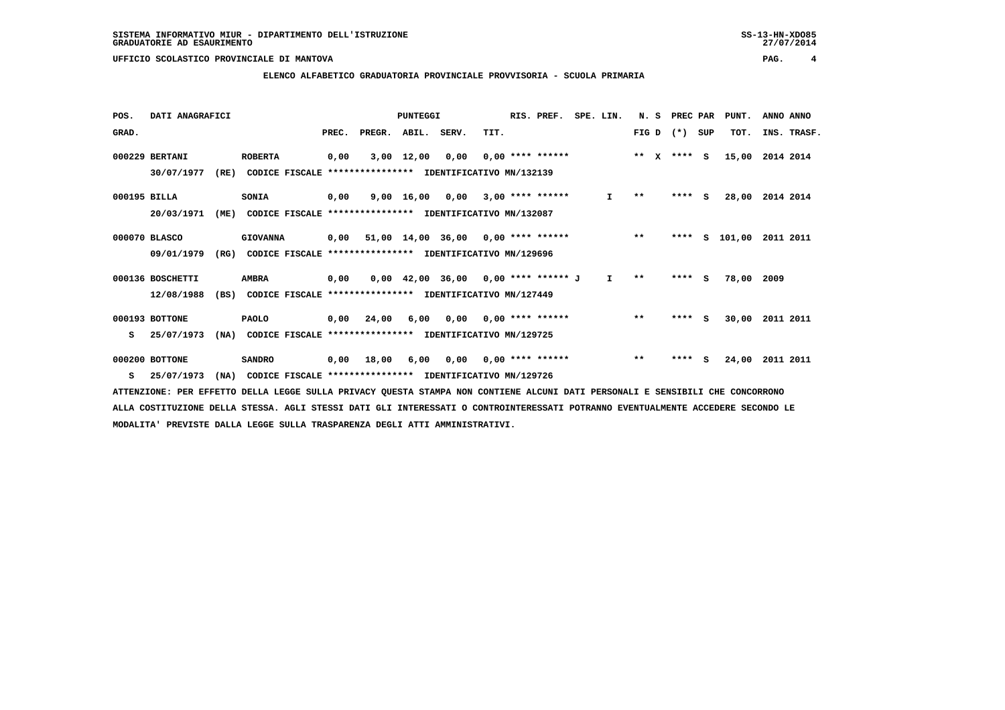### **ELENCO ALFABETICO GRADUATORIA PROVINCIALE PROVVISORIA - SCUOLA PRIMARIA**

| POS.         | DATI ANAGRAFICI  |      |                                                          |      |                          | PUNTEGGI     |                                                  |      | RIS. PREF.                | SPE. LIN.    | N. S         | PREC PAR |     | PUNT.    | ANNO ANNO   |
|--------------|------------------|------|----------------------------------------------------------|------|--------------------------|--------------|--------------------------------------------------|------|---------------------------|--------------|--------------|----------|-----|----------|-------------|
| GRAD.        |                  |      |                                                          |      | PREC. PREGR. ABIL. SERV. |              |                                                  | TIT. |                           |              | $FIG D (*)$  |          | SUP | TOT.     | INS. TRASF. |
|              | 000229 BERTANI   |      | <b>ROBERTA</b>                                           | 0,00 |                          | $3,00$ 12,00 | 0.00                                             |      | $0.00$ **** ******        |              | ** x **** S  |          |     | 15,00    | 2014 2014   |
|              | 30/07/1977       | (RE) | CODICE FISCALE                                           |      |                          |              | **************** IDENTIFICATIVO MN/132139        |      |                           |              |              |          |     |          |             |
| 000195 BILLA |                  |      | SONIA                                                    | 0,00 |                          |              | $9,00$ 16,00 0,00 3,00 **** ******               |      |                           | I.           | $* *$        | **** S   |     | 28,00    | 2014 2014   |
|              | 20/03/1971       | (ME) | CODICE FISCALE **************** IDENTIFICATIVO MN/132087 |      |                          |              |                                                  |      |                           |              |              |          |     |          |             |
|              | 000070 BLASCO    |      | <b>GIOVANNA</b>                                          | 0,00 |                          |              | $51,00$ $14,00$ $36,00$ $0,00$ $***$ **** ****** |      |                           |              | $***$        | ****     |     | S 101,00 | 2011 2011   |
|              | 09/01/1979       | (RG) | CODICE FISCALE **************** IDENTIFICATIVO MN/129696 |      |                          |              |                                                  |      |                           |              |              |          |     |          |             |
|              | 000136 BOSCHETTI |      | <b>AMBRA</b>                                             | 0,00 |                          |              | $0,00$ 42,00 36,00 0,00 **** ****** J            |      |                           | $\mathbf{I}$ | $\star\star$ | **** S   |     | 78,00    | 2009        |
|              | 12/08/1988       | (BS) | CODICE FISCALE **************** IDENTIFICATIVO MN/127449 |      |                          |              |                                                  |      |                           |              |              |          |     |          |             |
|              | 000193 BOTTONE   |      | <b>PAOLO</b>                                             | 0,00 | 24,00                    | 6,00         |                                                  |      | $0,00$ $0,00$ **** ****** |              | $***$        | **** S   |     | 30,00    | 2011 2011   |
| s            | 25/07/1973       | (NA) | CODICE FISCALE **************** IDENTIFICATIVO MN/129725 |      |                          |              |                                                  |      |                           |              |              |          |     |          |             |
|              | 000200 BOTTONE   |      | <b>SANDRO</b>                                            | 0,00 | 18,00                    | 6,00         |                                                  |      | $0,00$ $0,00$ **** ****** |              | $* *$        | ****     | s   | 24,00    | 2011 2011   |
| s            | 25/07/1973       | (NA) | CODICE FISCALE **************** IDENTIFICATIVO MN/129726 |      |                          |              |                                                  |      |                           |              |              |          |     |          |             |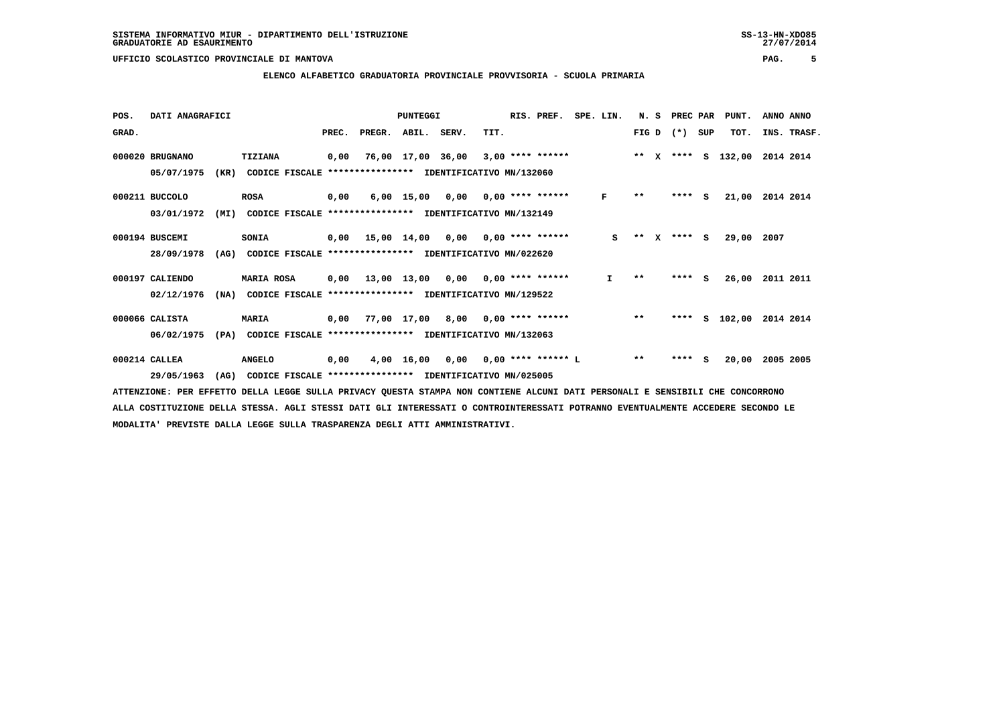### **ELENCO ALFABETICO GRADUATORIA PROVINCIALE PROVVISORIA - SCUOLA PRIMARIA**

| POS.  | DATI ANAGRAFICI |      |                                                          |      |                          | PUNTEGGI |                                           |      | RIS. PREF. | SPE. LIN.    | N. S         |              | PREC PAR    |     | PUNT.              | ANNO ANNO       |  |
|-------|-----------------|------|----------------------------------------------------------|------|--------------------------|----------|-------------------------------------------|------|------------|--------------|--------------|--------------|-------------|-----|--------------------|-----------------|--|
| GRAD. |                 |      |                                                          |      | PREC. PREGR. ABIL. SERV. |          |                                           | TIT. |            |              |              |              | $FIG D (*)$ | SUP | TOT.               | INS. TRASF.     |  |
|       | 000020 BRUGNANO |      | TIZIANA                                                  | 0,00 |                          |          | 76,00 17,00 36,00 3,00 **** ******        |      |            |              |              |              |             |     | ** X **** S 132,00 | 2014 2014       |  |
|       | 05/07/1975      | (KR) | CODICE FISCALE                                           |      |                          |          | **************** IDENTIFICATIVO MN/132060 |      |            |              |              |              |             |     |                    |                 |  |
|       | 000211 BUCCOLO  |      | ROSA                                                     | 0,00 |                          |          | $6,00$ 15,00 0,00 0,00 **** ******        |      |            | F            | $* *$        |              | $***$ S     |     |                    | 21,00 2014 2014 |  |
|       | 03/01/1972      | (MI) | CODICE FISCALE **************** IDENTIFICATIVO MN/132149 |      |                          |          |                                           |      |            |              |              |              |             |     |                    |                 |  |
|       | 000194 BUSCEMI  |      | <b>SONIA</b>                                             | 0,00 |                          |          | 15,00 14,00 0,00 0,00 **** ******         |      |            | S            | $\star\star$ | $\mathbf{x}$ | $***$ S     |     | 29,00              | 2007            |  |
|       | 28/09/1978      | (AG) | CODICE FISCALE **************** IDENTIFICATIVO MN/022620 |      |                          |          |                                           |      |            |              |              |              |             |     |                    |                 |  |
|       | 000197 CALIENDO |      | <b>MARIA ROSA</b>                                        |      |                          |          | $0,00$ 13,00 13,00 0,00 0,00 **** ******  |      |            | $\mathbf{I}$ | $* *$        |              | $***$ S     |     | 26,00              | 2011 2011       |  |
|       | 02/12/1976      | (NA) | CODICE FISCALE **************** IDENTIFICATIVO MN/129522 |      |                          |          |                                           |      |            |              |              |              |             |     |                    |                 |  |
|       | 000066 CALISTA  |      | <b>MARIA</b>                                             | 0,00 |                          |          | 77,00 17,00 8,00 0,00 **** ******         |      |            |              | $***$        |              |             |     | **** S 102,00      | 2014 2014       |  |
|       | 06/02/1975      | (PA) | CODICE FISCALE **************** IDENTIFICATIVO MN/132063 |      |                          |          |                                           |      |            |              |              |              |             |     |                    |                 |  |
|       | 000214 CALLEA   |      | <b>ANGELO</b>                                            | 0,00 |                          |          | $4,00$ 16,00 0,00 0,00 **** ****** L      |      |            |              | $* *$        |              | ****        | s   | 20,00              | 2005 2005       |  |
|       | 29/05/1963      | (AG) | CODICE FISCALE **************** IDENTIFICATIVO MN/025005 |      |                          |          |                                           |      |            |              |              |              |             |     |                    |                 |  |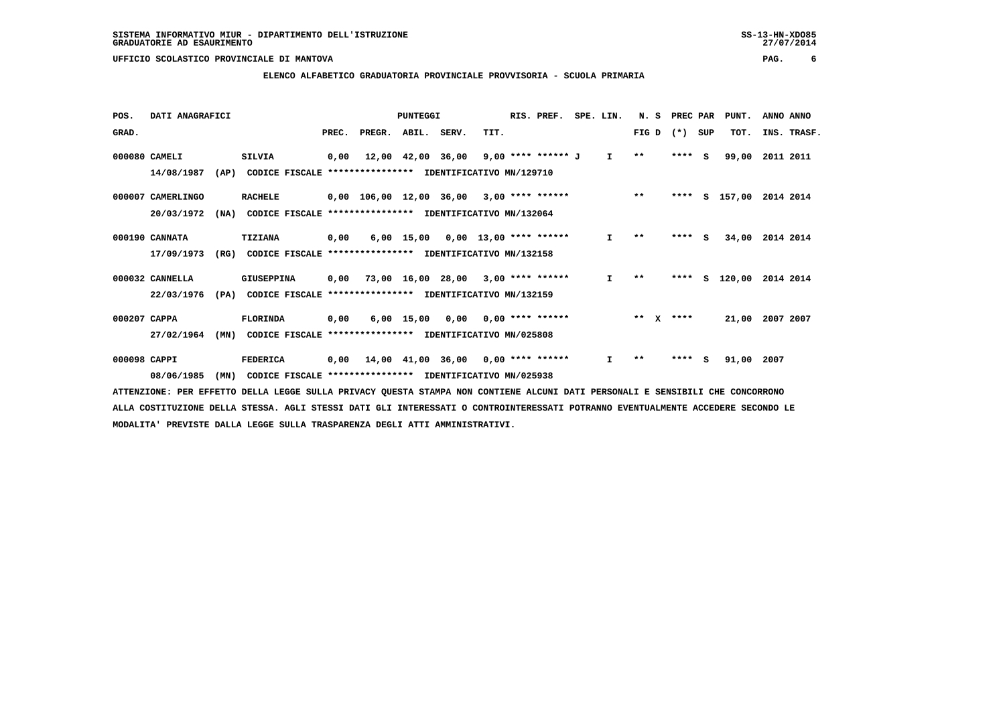### **ELENCO ALFABETICO GRADUATORIA PROVINCIALE PROVVISORIA - SCUOLA PRIMARIA**

| POS.         | DATI ANAGRAFICI   |      |                                                          |       |                                            | PUNTEGGI                            |      | RIS. PREF.         | SPE. LIN.    | N.S          |   | PREC PAR |     | PUNT.    | ANNO ANNO   |
|--------------|-------------------|------|----------------------------------------------------------|-------|--------------------------------------------|-------------------------------------|------|--------------------|--------------|--------------|---|----------|-----|----------|-------------|
| GRAD.        |                   |      |                                                          | PREC. | PREGR. ABIL. SERV.                         |                                     | TIT. |                    |              | FIG D        |   | $(* )$   | SUP | TOT.     | INS. TRASF. |
|              | 000080 CAMELI     |      | SILVIA                                                   | 0,00  |                                            | 12,00 42,00 36,00                   |      | 9,00 **** ****** J | $\mathbf{I}$ | $\star\star$ |   | ****     | - S | 99,00    | 2011 2011   |
|              | 14/08/1987        | (AP) | CODICE FISCALE **************** IDENTIFICATIVO MN/129710 |       |                                            |                                     |      |                    |              |              |   |          |     |          |             |
|              | 000007 CAMERLINGO |      | <b>RACHELE</b>                                           |       | $0,00$ 106,00 12,00 36,00 3,00 **** ****** |                                     |      |                    |              | $***$        |   | ****     |     | S 157,00 | 2014 2014   |
|              | 20/03/1972        | (NA) | CODICE FISCALE **************** IDENTIFICATIVO MN/132064 |       |                                            |                                     |      |                    |              |              |   |          |     |          |             |
|              | 000190 CANNATA    |      | TIZIANA                                                  | 0,00  |                                            | $6,00$ 15,00 0,00 13,00 **** ****** |      |                    | I.           | $* *$        |   | ****     | - S | 34,00    | 2014 2014   |
|              | 17/09/1973        | (RG) | CODICE FISCALE                                           |       | **************** IDENTIFICATIVO MN/132158  |                                     |      |                    |              |              |   |          |     |          |             |
|              | 000032 CANNELLA   |      | GIUSEPPINA                                               |       | 0,00 73,00 16,00 28,00                     |                                     |      | $3,00$ **** ****** | $\mathbf{I}$ | $* *$        |   | ****     | s   | 120,00   | 2014 2014   |
|              | 22/03/1976        | (PA) | CODICE FISCALE **************** IDENTIFICATIVO MN/132159 |       |                                            |                                     |      |                    |              |              |   |          |     |          |             |
| 000207 CAPPA |                   |      | <b>FLORINDA</b>                                          | 0,00  |                                            | $6,00$ 15,00 0,00 0,00 **** ******  |      |                    |              | $* *$        | x | ****     |     | 21,00    | 2007 2007   |
|              | 27/02/1964        | (MN) | CODICE FISCALE                                           |       | **************** IDENTIFICATIVO MN/025808  |                                     |      |                    |              |              |   |          |     |          |             |
| 000098 CAPPI |                   |      | <b>FEDERICA</b>                                          | 0,00  |                                            | 14,00 41,00 36,00                   |      | $0,00$ **** ****** | I.           | $* *$        |   | ****     | s   | 91,00    | 2007        |
|              | 08/06/1985        | (MN) | CODICE FISCALE **************** IDENTIFICATIVO MN/025938 |       |                                            |                                     |      |                    |              |              |   |          |     |          |             |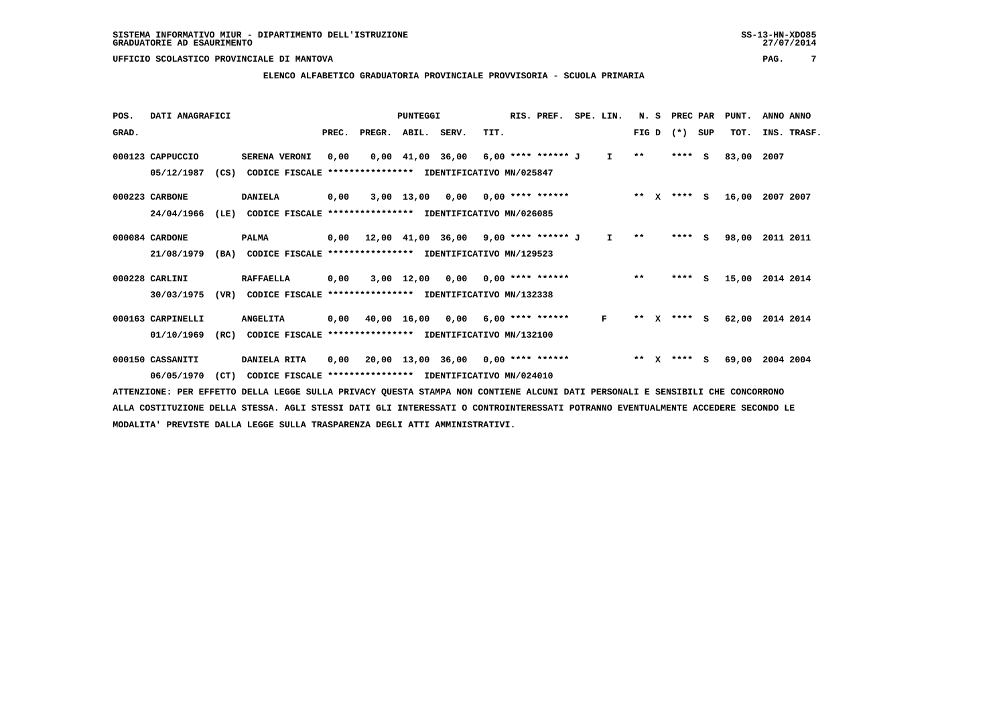### **ELENCO ALFABETICO GRADUATORIA PROVINCIALE PROVVISORIA - SCUOLA PRIMARIA**

| POS.  | DATI ANAGRAFICI   |      |                                                                                                                  |       |                                             | PUNTEGGI     |                                                                       |      | RIS. PREF.         | SPE. LIN.    | N.S          |              | PREC PAR      |     | PUNT. | ANNO ANNO   |  |
|-------|-------------------|------|------------------------------------------------------------------------------------------------------------------|-------|---------------------------------------------|--------------|-----------------------------------------------------------------------|------|--------------------|--------------|--------------|--------------|---------------|-----|-------|-------------|--|
| GRAD. |                   |      |                                                                                                                  | PREC. | PREGR.                                      | ABIL. SERV.  |                                                                       | TIT. |                    |              | FIG D        |              | $(*)$         | SUP | TOT.  | INS. TRASF. |  |
|       | 000123 CAPPUCCIO  |      | <b>SERENA VERONI</b>                                                                                             | 0,00  |                                             |              | $0.00 \quad 41.00 \quad 36.00 \quad 6.00 \quad *** \quad *** \quad J$ |      |                    | $\mathbf{I}$ | $\star\star$ |              | **** S        |     | 83,00 | 2007        |  |
|       | 05/12/1987        | (CS) | CODICE FISCALE                                                                                                   |       | *************** IDENTIFICATIVO MN/025847    |              |                                                                       |      |                    |              |              |              |               |     |       |             |  |
|       | 000223 CARBONE    |      | <b>DANIELA</b>                                                                                                   | 0,00  |                                             | 3,00 13,00   | 0,00                                                                  |      | $0,00$ **** ****** |              | $* *$        | $\mathbf{x}$ | **** S        |     | 16,00 | 2007 2007   |  |
|       | 24/04/1966        | (LE) | CODICE FISCALE **************** IDENTIFICATIVO MN/026085                                                         |       |                                             |              |                                                                       |      |                    |              |              |              |               |     |       |             |  |
|       | 000084 CARDONE    |      | PALMA                                                                                                            |       | $0,00$ 12,00 41,00 36,00 9,00 **** ****** J |              |                                                                       |      |                    | $\mathbf{I}$ | $\star\star$ |              | $***$ S       |     | 98,00 | 2011 2011   |  |
|       | 21/08/1979        | (BA) | CODICE FISCALE **************** IDENTIFICATIVO MN/129523                                                         |       |                                             |              |                                                                       |      |                    |              |              |              |               |     |       |             |  |
|       | 000228 CARLINI    |      | <b>RAFFAELLA</b>                                                                                                 | 0,00  |                                             | $3,00$ 12,00 | 0,00                                                                  |      | $0,00$ **** ****** |              | $***$        |              | ****          | - S | 15,00 | 2014 2014   |  |
|       | 30/03/1975        | (VR) | CODICE FISCALE                                                                                                   |       | *************** IDENTIFICATIVO MN/132338    |              |                                                                       |      |                    |              |              |              |               |     |       |             |  |
|       | 000163 CARPINELLI |      | <b>ANGELITA</b>                                                                                                  |       | 0,00 40,00 16,00                            |              | 0,00                                                                  |      | 6,00 **** ******   | F            | $***$        | $\mathbf{x}$ | **** S        |     | 62,00 | 2014 2014   |  |
|       | 01/10/1969        | (RC) | CODICE FISCALE **************** IDENTIFICATIVO MN/132100                                                         |       |                                             |              |                                                                       |      |                    |              |              |              |               |     |       |             |  |
|       | 000150 CASSANITI  |      | DANIELA RITA                                                                                                     | 0,00  |                                             |              | $20,00$ 13,00 36,00 0,00 **** ******                                  |      |                    |              |              |              | ** $X$ **** S |     | 69,00 | 2004 2004   |  |
|       | 06/05/1970        | (CT) | CODICE FISCALE **************** IDENTIFICATIVO MN/024010                                                         |       |                                             |              |                                                                       |      |                    |              |              |              |               |     |       |             |  |
|       |                   |      | חות מסמטות היה היסטוריה והוא היה היה היה היה היה המסורת המורד המורד המורדה היה היה היה היה הייחסים היה היה היה ה |       |                                             |              |                                                                       |      |                    |              |              |              |               |     |       |             |  |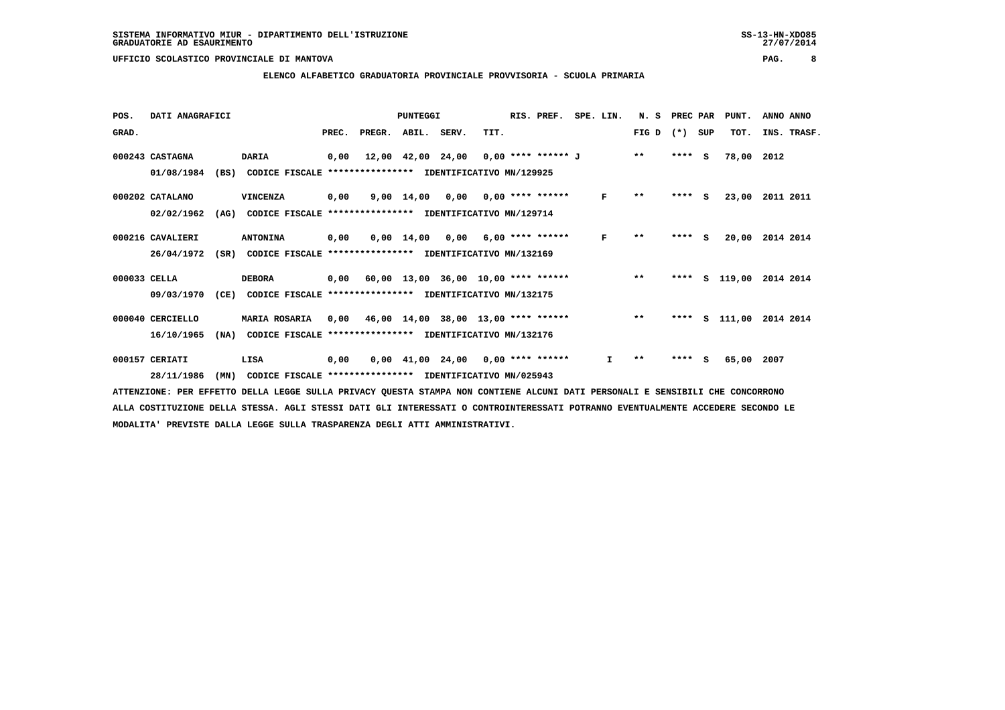### **ELENCO ALFABETICO GRADUATORIA PROVINCIALE PROVVISORIA - SCUOLA PRIMARIA**

| POS.         | DATI ANAGRAFICI  |      |                                                               |      |                                            | PUNTEGGI                                |      | RIS. PREF. | SPE. LIN.    | N. S                     | PREC PAR |     | PUNT.                   | ANNO ANNO   |  |
|--------------|------------------|------|---------------------------------------------------------------|------|--------------------------------------------|-----------------------------------------|------|------------|--------------|--------------------------|----------|-----|-------------------------|-------------|--|
| GRAD.        |                  |      |                                                               |      | PREC. PREGR. ABIL. SERV.                   |                                         | TIT. |            |              | FIG D $(*)$ SUP          |          |     | TOT.                    | INS. TRASF. |  |
|              | 000243 CASTAGNA  |      | <b>DARIA</b>                                                  | 0,00 |                                            | 12,00 42,00 24,00 0,00 **** ****** J ** |      |            |              |                          | $***$ S  |     | 78,00 2012              |             |  |
|              | 01/08/1984       | (BS) | CODICE FISCALE **************** IDENTIFICATIVO MN/129925      |      |                                            |                                         |      |            |              |                          |          |     |                         |             |  |
|              | 000202 CATALANO  |      | VINCENZA                                                      | 0,00 |                                            | $9,00$ 14,00 0,00 0,00 **** ******      |      |            | F            | $\pmb{\star}\pmb{\star}$ | $***$ S  |     | 23,00                   | 2011 2011   |  |
|              | 02/02/1962       | (AG) | CODICE FISCALE **************** IDENTIFICATIVO MN/129714      |      |                                            |                                         |      |            |              |                          |          |     |                         |             |  |
|              | 000216 CAVALIERI |      | <b>ANTONINA</b>                                               | 0,00 |                                            | $0.00$ 14.00 0.00 6.00 **** ******      |      |            | F            | $***$                    | **** S   |     | 20,00                   | 2014 2014   |  |
|              | 26/04/1972       |      | (SR) CODICE FISCALE **************** IDENTIFICATIVO MN/132169 |      |                                            |                                         |      |            |              |                          |          |     |                         |             |  |
| 000033 CELLA |                  |      | <b>DEBORA</b>                                                 |      | $0,00$ 60,00 13,00 36,00 10,00 **** ****** |                                         |      |            |              | $* *$                    |          |     | **** S 119,00 2014 2014 |             |  |
|              | 09/03/1970       | (CE) | CODICE FISCALE **************** IDENTIFICATIVO MN/132175      |      |                                            |                                         |      |            |              |                          |          |     |                         |             |  |
|              | 000040 CERCIELLO |      | MARIA ROSARIA                                                 | 0,00 | 46,00 14,00 38,00 13,00 **** ******        |                                         |      |            | $\star\star$ |                          |          |     | **** S 111,00           | 2014 2014   |  |
|              | 16/10/1965       | (NA) | CODICE FISCALE                                                |      | **************** IDENTIFICATIVO MN/132176  |                                         |      |            |              |                          |          |     |                         |             |  |
|              | 000157 CERIATI   |      | LISA                                                          | 0,00 |                                            | $0,00$ 41,00 24,00 0,00 **** ******     |      |            | I.           | $* *$                    | ****     | - S | 65,00                   | 2007        |  |
|              | 28/11/1986       | (MN) | CODICE FISCALE **************** IDENTIFICATIVO MN/025943      |      |                                            |                                         |      |            |              |                          |          |     |                         |             |  |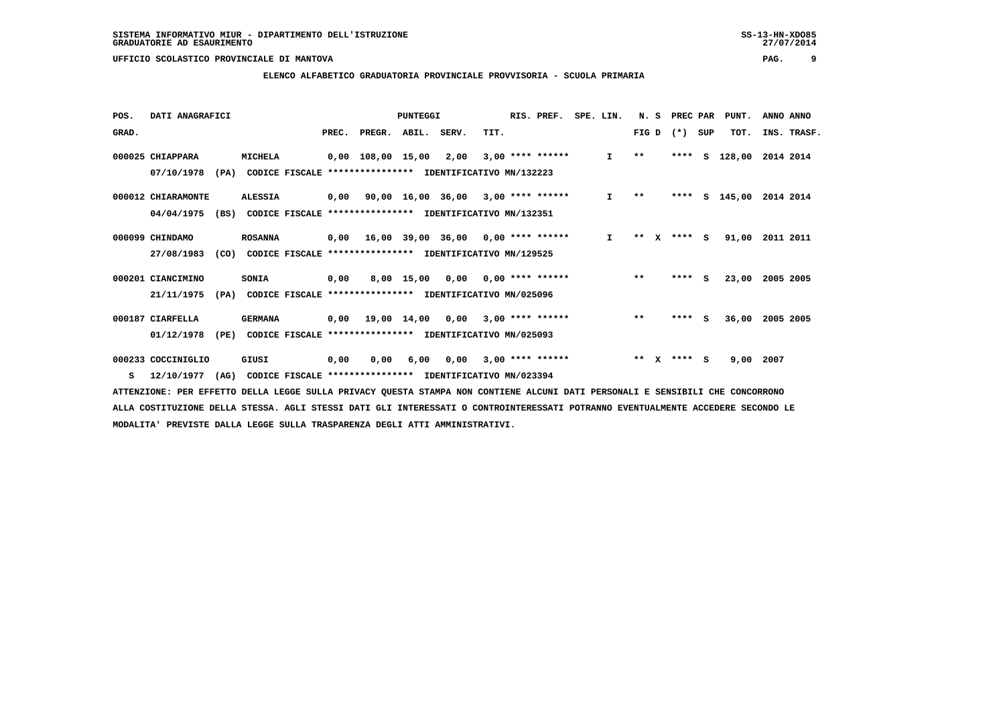### **ELENCO ALFABETICO GRADUATORIA PROVINCIALE PROVVISORIA - SCUOLA PRIMARIA**

| POS.  | DATI ANAGRAFICI    |      |                |                |       |                                                          | PUNTEGGI    |                                      |      | RIS. PREF.              | SPE. LIN.    | N.S   |   | PREC PAR |     | PUNT.      | ANNO ANNO   |
|-------|--------------------|------|----------------|----------------|-------|----------------------------------------------------------|-------------|--------------------------------------|------|-------------------------|--------------|-------|---|----------|-----|------------|-------------|
| GRAD. |                    |      |                |                | PREC. | PREGR.                                                   | ABIL. SERV. |                                      | TIT. |                         |              | FIG D |   | $(* )$   | SUP | TOT.       | INS. TRASF. |
|       | 000025 CHIAPPARA   |      | <b>MICHELA</b> |                |       | 0,00 108,00 15,00                                        |             | 2,00                                 |      | $3,00$ **** ******      | $\mathbf{I}$ | $* *$ |   | ****     | s   | 128,00     | 2014 2014   |
|       | 07/10/1978         | (PA) |                |                |       | CODICE FISCALE **************** IDENTIFICATIVO MN/132223 |             |                                      |      |                         |              |       |   |          |     |            |             |
|       | 000012 CHIARAMONTE |      | <b>ALESSIA</b> |                | 0,00  |                                                          |             | $90,00$ 16,00 36,00 3,00 **** ****** |      |                         | I.           | $* *$ |   | ****     |     | $S$ 145,00 | 2014 2014   |
|       | 04/04/1975         | (BS) |                | CODICE FISCALE |       | **************** IDENTIFICATIVO MN/132351                |             |                                      |      |                         |              |       |   |          |     |            |             |
|       | 000099 CHINDAMO    |      | <b>ROSANNA</b> |                |       | $0,00$ 16,00 39,00 36,00 0,00 **** ******                |             |                                      |      |                         | $\mathbf{I}$ | **    | x | $***$ S  |     | 91,00      | 2011 2011   |
|       | 27/08/1983         | (CO) |                |                |       | CODICE FISCALE **************** IDENTIFICATIVO MN/129525 |             |                                      |      |                         |              |       |   |          |     |            |             |
|       | 000201 CIANCIMINO  |      | SONIA          |                | 0,00  |                                                          | 8,00 15,00  | 0,00                                 |      | $0.00$ **** ******      |              | $* *$ |   | ****     | - S | 23,00      | 2005 2005   |
|       | 21/11/1975         | (PA) |                |                |       | CODICE FISCALE **************** IDENTIFICATIVO MN/025096 |             |                                      |      |                         |              |       |   |          |     |            |             |
|       | 000187 CIARFELLA   |      | <b>GERMANA</b> |                | 0,00  |                                                          | 19,00 14,00 |                                      |      | $0.00$ 3.00 **** ****** |              | $***$ |   | ****     | s   | 36,00      | 2005 2005   |
|       | 01/12/1978         | (PE) |                | CODICE FISCALE |       | **************** IDENTIFICATIVO MN/025093                |             |                                      |      |                         |              |       |   |          |     |            |             |
|       | 000233 COCCINIGLIO |      | GIUSI          |                | 0,00  | 0,00                                                     | 6,00        | 0,00                                 |      | $3,00$ **** ******      |              | $* *$ |   | **** S   |     | 9,00       | 2007        |
| s     | 12/10/1977         | (AG) |                |                |       | CODICE FISCALE **************** IDENTIFICATIVO MN/023394 |             |                                      |      |                         |              |       |   |          |     |            |             |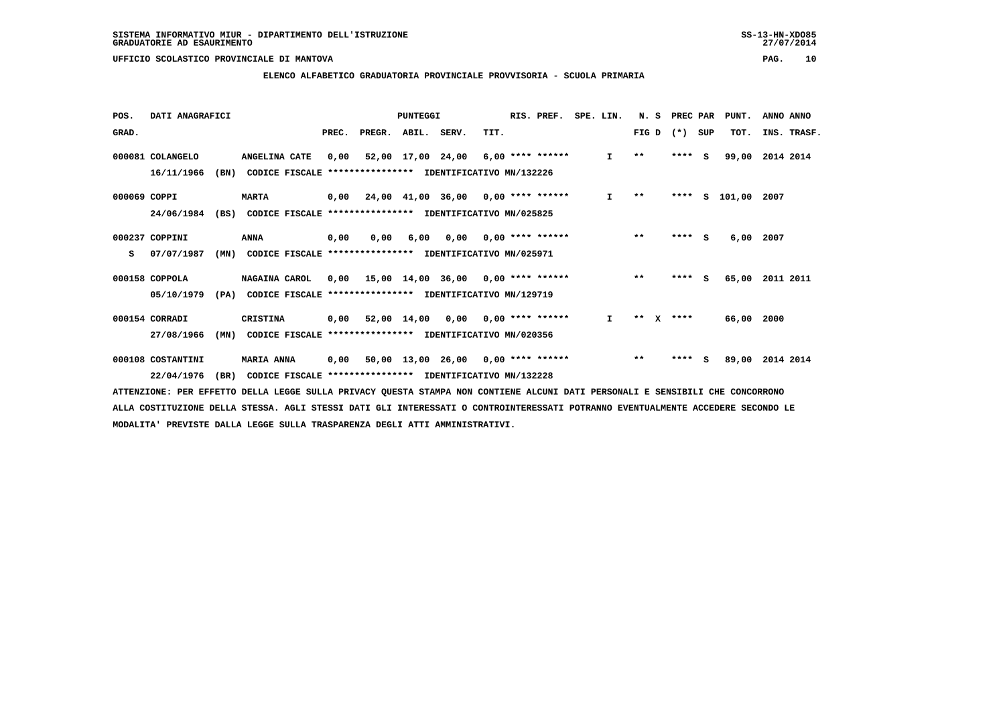### **ELENCO ALFABETICO GRADUATORIA PROVINCIALE PROVVISORIA - SCUOLA PRIMARIA**

| POS.         | DATI ANAGRAFICI   |      |                                                          |      |                                           | PUNTEGGI |                                     |      | RIS. PREF.                | SPE. LIN.    | N. S         |              | PREC PAR        |     | PUNT.           | ANNO ANNO |             |
|--------------|-------------------|------|----------------------------------------------------------|------|-------------------------------------------|----------|-------------------------------------|------|---------------------------|--------------|--------------|--------------|-----------------|-----|-----------------|-----------|-------------|
| GRAD.        |                   |      |                                                          |      | PREC. PREGR. ABIL. SERV.                  |          |                                     | TIT. |                           |              |              |              | FIG D $(*)$ SUP |     | TOT.            |           | INS. TRASF. |
|              | 000081 COLANGELO  |      | ANGELINA CATE                                            | 0.00 |                                           |          | 52,00 17,00 24,00 6,00 **** ******  |      |                           | $\mathbf{I}$ | $\star\star$ |              | $***$ S         |     | 99,00           | 2014 2014 |             |
|              | 16/11/1966        | (BN) | CODICE FISCALE **************** IDENTIFICATIVO MN/132226 |      |                                           |          |                                     |      |                           |              |              |              |                 |     |                 |           |             |
| 000069 COPPI |                   |      | <b>MARTA</b>                                             |      | $0,00$ 24,00 41,00 36,00 0,00 **** ****** |          |                                     |      |                           | $\mathbf{I}$ | $\star\star$ |              | ****            |     | S 101,00 2007   |           |             |
|              | 24/06/1984        | (BS) | CODICE FISCALE **************** IDENTIFICATIVO MN/025825 |      |                                           |          |                                     |      |                           |              |              |              |                 |     |                 |           |             |
|              | 000237 COPPINI    |      | ANNA                                                     | 0,00 | 0.00                                      | 6,00     |                                     |      | $0,00$ $0,00$ **** ****** |              | $***$        |              | $***$ S         |     | 6,00            | 2007      |             |
| s            | 07/07/1987        | (MN) | CODICE FISCALE **************** IDENTIFICATIVO MN/025971 |      |                                           |          |                                     |      |                           |              |              |              |                 |     |                 |           |             |
|              | 000158 COPPOLA    |      | NAGAINA CAROL                                            |      | $0,00$ 15,00 14,00 36,00 0,00 **** ****** |          |                                     |      |                           |              | $**$         |              | $***$ S         |     | 65,00           | 2011 2011 |             |
|              | 05/10/1979        | (PA) | CODICE FISCALE **************** IDENTIFICATIVO MN/129719 |      |                                           |          |                                     |      |                           |              |              |              |                 |     |                 |           |             |
|              | 000154 CORRADI    |      | <b>CRISTINA</b>                                          | 0,00 |                                           |          | $52,00$ 14,00 0,00 0,00 **** ****** |      |                           | $\mathbf{I}$ | $***$        | $\mathbf{x}$ | ****            |     | 66,00           | 2000      |             |
|              | 27/08/1966        | (MN) | CODICE FISCALE **************** IDENTIFICATIVO MN/020356 |      |                                           |          |                                     |      |                           |              |              |              |                 |     |                 |           |             |
|              | 000108 COSTANTINI |      | <b>MARIA ANNA</b>                                        | 0,00 |                                           |          | 50,00 13,00 26,00 0,00 **** ******  |      |                           |              | $***$        |              | ****            | - S | 89,00 2014 2014 |           |             |
|              | 22/04/1976        | (BR) | CODICE FISCALE **************** IDENTIFICATIVO MN/132228 |      |                                           |          |                                     |      |                           |              |              |              |                 |     |                 |           |             |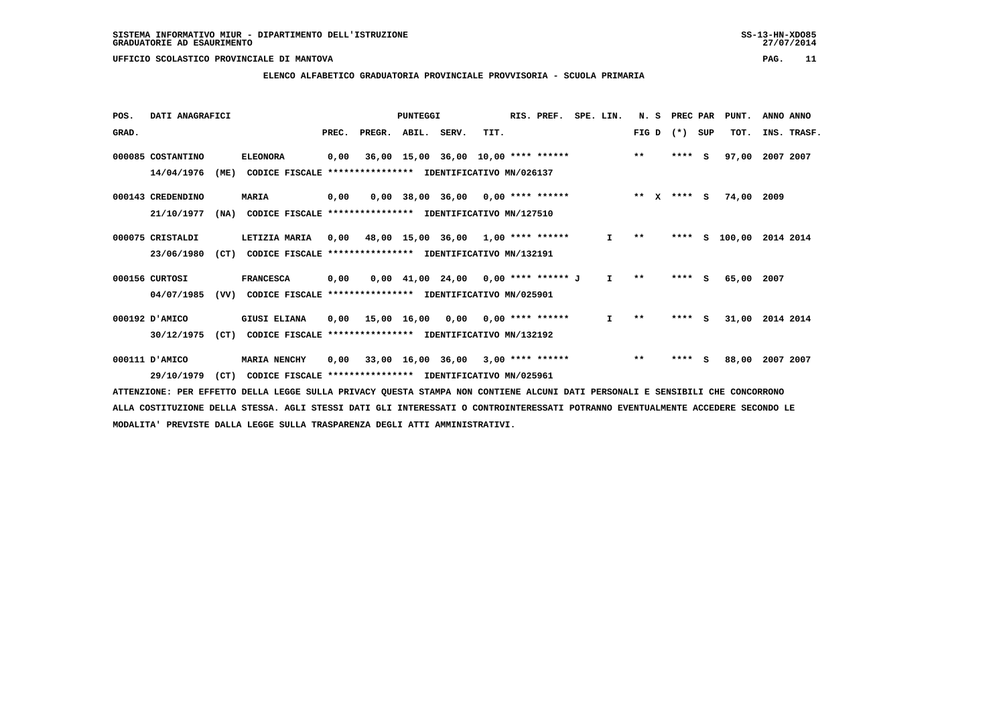### **ELENCO ALFABETICO GRADUATORIA PROVINCIALE PROVVISORIA - SCUOLA PRIMARIA**

| POS.  | DATI ANAGRAFICI   |      |                                                               |       |                                           | PUNTEGGI                              |      | RIS. PREF. | SPE. LIN.    | N.S          |              | PREC PAR |     | PUNT.  | ANNO ANNO   |  |
|-------|-------------------|------|---------------------------------------------------------------|-------|-------------------------------------------|---------------------------------------|------|------------|--------------|--------------|--------------|----------|-----|--------|-------------|--|
| GRAD. |                   |      |                                                               | PREC. | PREGR. ABIL. SERV.                        |                                       | TIT. |            |              | FIG D        |              | $(* )$   | SUP | TOT.   | INS. TRASF. |  |
|       | 000085 COSTANTINO |      | <b>ELEONORA</b>                                               | 0,00  |                                           | 36,00 15,00 36,00 10,00 **** ******   |      |            |              | $***$        |              | $***$ S  |     | 97,00  | 2007 2007   |  |
|       | 14/04/1976        | (ME) | CODICE FISCALE                                                |       | *************** IDENTIFICATIVO MN/026137  |                                       |      |            |              |              |              |          |     |        |             |  |
|       | 000143 CREDENDINO |      | <b>MARIA</b>                                                  | 0,00  |                                           | $0,00$ 38,00 36,00 0,00 **** ******   |      |            |              | $***$        | $\mathbf{x}$ | **** S   |     | 74,00  | 2009        |  |
|       | 21/10/1977        | (NA) | CODICE FISCALE **************** IDENTIFICATIVO MN/127510      |       |                                           |                                       |      |            |              |              |              |          |     |        |             |  |
|       | 000075 CRISTALDI  |      | LETIZIA MARIA                                                 | 0,00  | 48,00 15,00 36,00 1,00 **** ******        |                                       |      |            | I.           | $***$        |              | ****     | s   | 100,00 | 2014 2014   |  |
|       | 23/06/1980        | (CT) | CODICE FISCALE                                                |       | **************** IDENTIFICATIVO MN/132191 |                                       |      |            |              |              |              |          |     |        |             |  |
|       | 000156 CURTOSI    |      | <b>FRANCESCA</b>                                              | 0,00  |                                           | $0,00$ 41,00 24,00 0,00 **** ****** J |      |            | $\mathbf{I}$ | $* *$        |              | ****     | - S | 65,00  | 2007        |  |
|       | 04/07/1985        |      | (VV) CODICE FISCALE **************** IDENTIFICATIVO MN/025901 |       |                                           |                                       |      |            |              |              |              |          |     |        |             |  |
|       | 000192 D'AMICO    |      | <b>GIUSI ELIANA</b>                                           | 0,00  | 15,00 16,00 0,00 0,00 **** ******         |                                       |      |            | $\mathbf{I}$ | $\star\star$ |              | **** S   |     | 31,00  | 2014 2014   |  |
|       | 30/12/1975        | (CT) | CODICE FISCALE                                                |       | **************** IDENTIFICATIVO MN/132192 |                                       |      |            |              |              |              |          |     |        |             |  |
|       | 000111 D'AMICO    |      | <b>MARIA NENCHY</b>                                           | 0,00  |                                           | $33,00$ 16,00 36,00 3,00 **** ******  |      |            |              | $***$        |              | ****     | - S | 88,00  | 2007 2007   |  |
|       | 29/10/1979        | (CT) | CODICE FISCALE **************** IDENTIFICATIVO MN/025961      |       |                                           |                                       |      |            |              |              |              |          |     |        |             |  |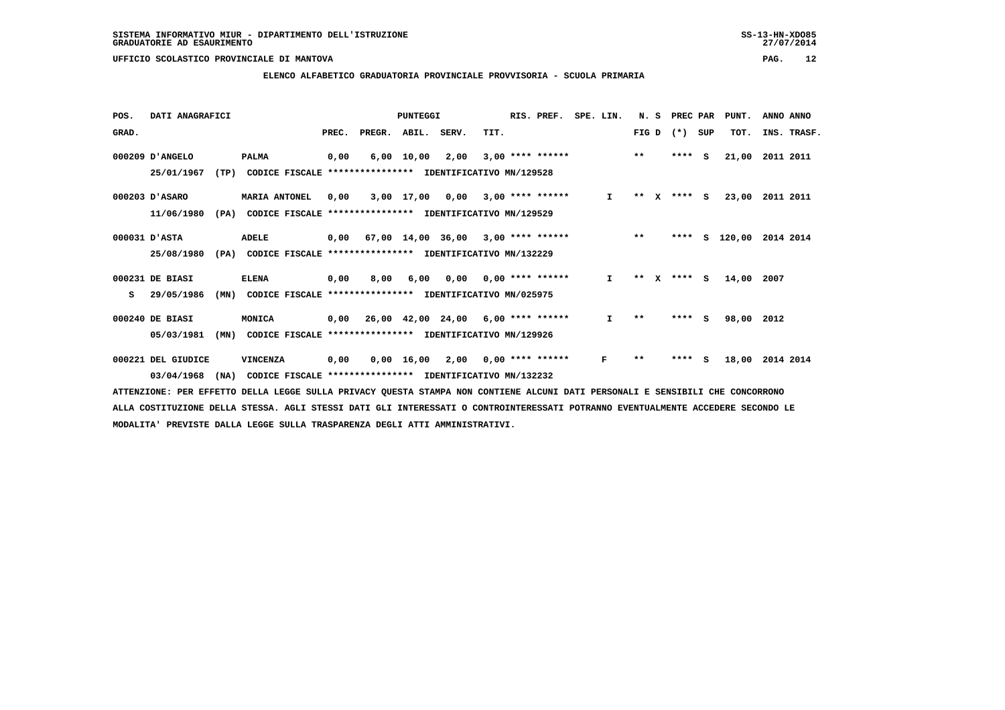### **ELENCO ALFABETICO GRADUATORIA PROVINCIALE PROVVISORIA - SCUOLA PRIMARIA**

| POS.  | DATI ANAGRAFICI    |      |                                                          |       |        | <b>PUNTEGGI</b>    |                                           |      | RIS. PREF.         | SPE. LIN. |              | N.S          |   | PREC PAR |          | PUNT.  | ANNO ANNO   |
|-------|--------------------|------|----------------------------------------------------------|-------|--------|--------------------|-------------------------------------------|------|--------------------|-----------|--------------|--------------|---|----------|----------|--------|-------------|
| GRAD. |                    |      |                                                          | PREC. | PREGR. | ABIL. SERV.        |                                           | TIT. |                    |           |              | FIG D        |   | $(* )$   | SUP      | TOT.   | INS. TRASF. |
|       | 000209 D'ANGELO    |      | <b>PALMA</b>                                             | 0,00  | 6,00   | 10,00              | 2,00                                      |      | $3,00$ **** ****** |           |              | $***$        |   | ****     | <b>S</b> | 21,00  | 2011 2011   |
|       | 25/01/1967         | (TP) | CODICE FISCALE **************** IDENTIFICATIVO MN/129528 |       |        |                    |                                           |      |                    |           |              |              |   |          |          |        |             |
|       | 000203 D'ASARO     |      | <b>MARIA ANTONEL</b>                                     | 0,00  |        | 3,00 17,00         | 0,00                                      |      | $3,00$ **** ****** |           | $\mathbf{I}$ | $* *$        | X | $***$ S  |          | 23,00  | 2011 2011   |
|       | 11/06/1980         | (PA) | CODICE FISCALE                                           |       |        |                    | *************** IDENTIFICATIVO MN/129529  |      |                    |           |              |              |   |          |          |        |             |
|       | 000031 D'ASTA      |      | ADELE                                                    | 0,00  |        |                    | 67,00 14,00 36,00                         |      | $3,00$ **** ****** |           |              | $***$        |   | ****     | s        | 120,00 | 2014 2014   |
|       | 25/08/1980         | (PA) | CODICE FISCALE **************** IDENTIFICATIVO MN/132229 |       |        |                    |                                           |      |                    |           |              |              |   |          |          |        |             |
|       | 000231 DE BIASI    |      | <b>ELENA</b>                                             | 0,00  | 8,00   | 6,00               | 0,00                                      |      | 0,00 **** ******   |           | $\mathbf{I}$ | * *          |   | **** S   |          | 14,00  | 2007        |
| s     | 29/05/1986         | (MN) | CODICE FISCALE **************** IDENTIFICATIVO MN/025975 |       |        |                    |                                           |      |                    |           |              |              |   |          |          |        |             |
|       | 000240 DE BIASI    |      | MONICA                                                   |       |        |                    | $0,00$ 26,00 42,00 24,00 6,00 **** ****** |      |                    |           | I.           | $\star\star$ |   | $***$ S  |          | 98,00  | 2012        |
|       | 05/03/1981         | (MN) | CODICE FISCALE **************** IDENTIFICATIVO MN/129926 |       |        |                    |                                           |      |                    |           |              |              |   |          |          |        |             |
|       | 000221 DEL GIUDICE |      | VINCENZA                                                 | 0,00  |        | $0,00 \quad 16,00$ | 2,00                                      |      | $0.00$ **** ****** |           | F            | $* *$        |   | ****     | <b>S</b> | 18,00  | 2014 2014   |
|       | 03/04/1968         | (NA) | CODICE FISCALE **************** IDENTIFICATIVO MN/132232 |       |        |                    |                                           |      |                    |           |              |              |   |          |          |        |             |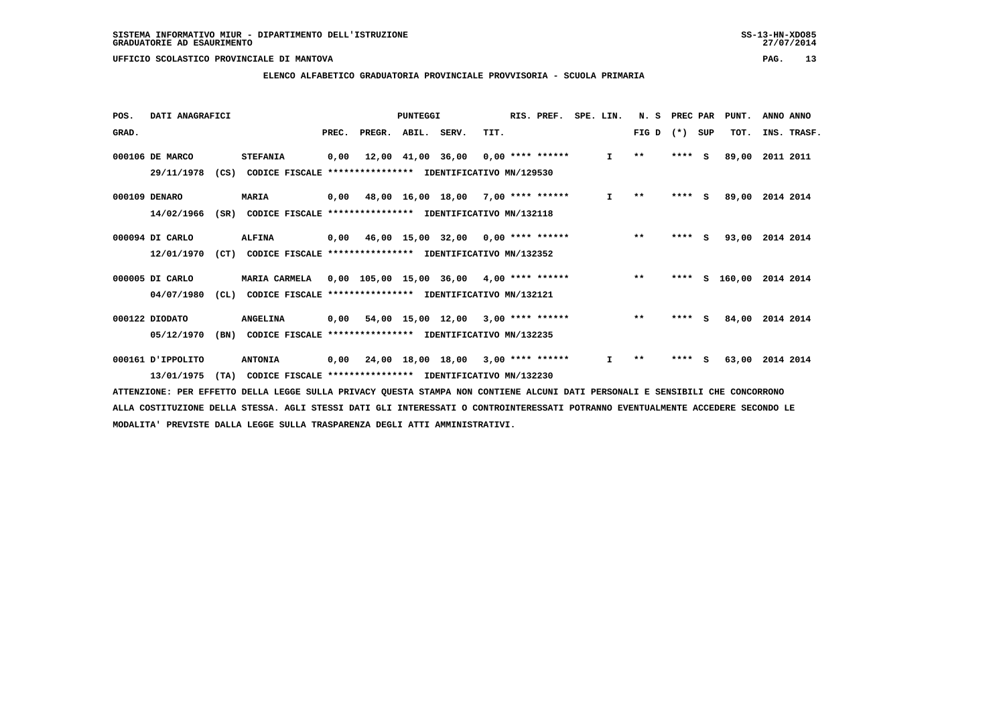### **ELENCO ALFABETICO GRADUATORIA PROVINCIALE PROVVISORIA - SCUOLA PRIMARIA**

| POS.  | DATI ANAGRAFICI |      |                                                          |       |        | PUNTEGGI          |                                            |      | RIS. PREF.         | SPE. LIN. |              | N.S          | PREC PAR |          | PUNT.    | ANNO ANNO   |
|-------|-----------------|------|----------------------------------------------------------|-------|--------|-------------------|--------------------------------------------|------|--------------------|-----------|--------------|--------------|----------|----------|----------|-------------|
| GRAD. |                 |      |                                                          | PREC. | PREGR. | ABIL. SERV.       |                                            | TIT. |                    |           |              | FIG D        | $(*)$    | SUP      | TOT.     | INS. TRASF. |
|       | 000106 DE MARCO |      | <b>STEFANIA</b>                                          | 0,00  |        | 12,00 41,00 36,00 |                                            |      | $0,00$ **** ****** |           | $\mathbf{I}$ | $\star\star$ | ****     | <b>S</b> | 89,00    | 2011 2011   |
|       | 29/11/1978      | (CS) | CODICE FISCALE **************** IDENTIFICATIVO MN/129530 |       |        |                   |                                            |      |                    |           |              |              |          |          |          |             |
|       | 000109 DENARO   |      | <b>MARIA</b>                                             |       |        |                   | $0,00$ 48,00 16,00 18,00 7,00 **** ******  |      |                    |           | $\mathbf{I}$ | $**$         | $***$ S  |          | 89,00    | 2014 2014   |
|       | 14/02/1966      | (SR) | CODICE FISCALE **************** IDENTIFICATIVO MN/132118 |       |        |                   |                                            |      |                    |           |              |              |          |          |          |             |
|       | 000094 DI CARLO |      | <b>ALFINA</b>                                            | 0,00  |        |                   | 46,00 15,00 32,00 0,00 **** ******         |      |                    |           |              | $***$        | ****     | <b>S</b> | 93,00    | 2014 2014   |
|       | 12/01/1970      | (CT) | CODICE FISCALE **************** IDENTIFICATIVO MN/132352 |       |        |                   |                                            |      |                    |           |              |              |          |          |          |             |
|       | 000005 DI CARLO |      | <b>MARIA CARMELA</b>                                     |       |        |                   | $0,00$ 105,00 15,00 36,00 4,00 **** ****** |      |                    |           |              | $**$         | ****     |          | S 160,00 | 2014 2014   |
|       | 04/07/1980      | CL)  | CODICE FISCALE **************** IDENTIFICATIVO MN/132121 |       |        |                   |                                            |      |                    |           |              |              |          |          |          |             |
|       | 000122 DIODATO  |      | <b>ANGELINA</b>                                          | 0,00  |        |                   | 54,00 15,00 12,00 3,00 **** ******         |      |                    |           |              | $***$        | ****     | - 5      | 84,00    | 2014 2014   |
|       | 05/12/1970      | (BN) | CODICE FISCALE **************** IDENTIFICATIVO MN/132235 |       |        |                   |                                            |      |                    |           |              |              |          |          |          |             |
|       | O00161 JPPOLITO |      | <b>ANTONIA</b>                                           |       |        |                   | 0,00 24,00 18,00 18,00 3,00 **** ******    |      |                    |           | $\mathbf{I}$ | $* *$        | ****     | S        | 63,00    | 2014 2014   |
|       | 13/01/1975      | (TA) | CODICE FISCALE **************** IDENTIFICATIVO MN/132230 |       |        |                   |                                            |      |                    |           |              |              |          |          |          |             |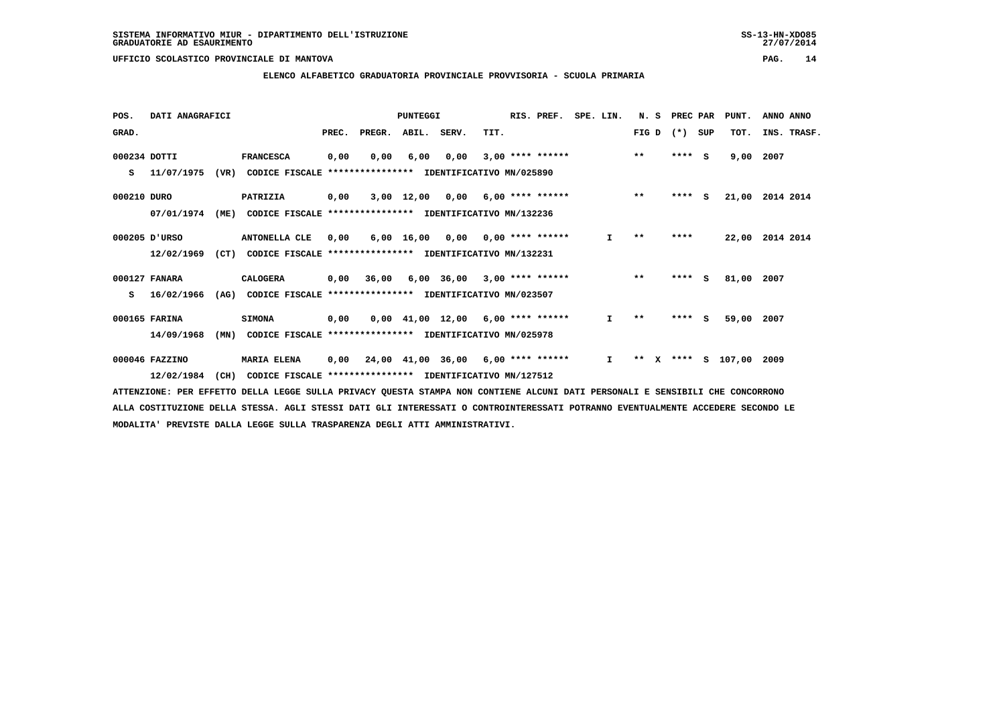### **ELENCO ALFABETICO GRADUATORIA PROVINCIALE PROVVISORIA - SCUOLA PRIMARIA**

| POS.         | DATI ANAGRAFICI |      |                                                               |       |                                          | <b>PUNTEGGI</b> |                                     |      | RIS. PREF.               | SPE. LIN.    | N. S         | PREC PAR | PUNT.              | ANNO ANNO       |
|--------------|-----------------|------|---------------------------------------------------------------|-------|------------------------------------------|-----------------|-------------------------------------|------|--------------------------|--------------|--------------|----------|--------------------|-----------------|
| GRAD.        |                 |      |                                                               | PREC. | PREGR. ABIL. SERV.                       |                 |                                     | TIT. |                          |              | FIG D        | (*) SUP  | TOT.               | INS. TRASF.     |
| 000234 DOTTI |                 |      | <b>FRANCESCA</b>                                              | 0,00  | 0,00                                     | 6,00            | 0,00                                |      | $3,00$ **** ****** ** ** |              |              | $***$ S  | 9,00               | 2007            |
| s            | 11/07/1975      | (VR) | CODICE FISCALE **************** IDENTIFICATIVO MN/025890      |       |                                          |                 |                                     |      |                          |              |              |          |                    |                 |
| 000210 DURO  |                 |      | PATRIZIA                                                      | 0,00  |                                          |                 | 3,00 12,00 0,00 6,00 **** ******    |      |                          |              | $**$         | $***$ S  | 21,00              | 2014 2014       |
|              | 07/01/1974      | (ME) | CODICE FISCALE **************** IDENTIFICATIVO MN/132236      |       |                                          |                 |                                     |      |                          |              |              |          |                    |                 |
|              | 000205 D'URSO   |      | <b>ANTONELLA CLE</b>                                          | 0,00  |                                          |                 | 6,00 16,00 0,00 0,00 **** ******    |      |                          | $\mathbf{I}$ | $**$         | ****     |                    | 22,00 2014 2014 |
|              | 12/02/1969      |      | (CT) CODICE FISCALE **************** IDENTIFICATIVO MN/132231 |       |                                          |                 |                                     |      |                          |              |              |          |                    |                 |
|              | 000127 FANARA   |      | CALOGERA                                                      |       | $0,00$ 36,00 6,00 36,00 3,00 **** ****** |                 |                                     |      |                          |              | $**$         | $***$ S  | 81,00              | 2007            |
| s            | 16/02/1966      | (AG) | CODICE FISCALE **************** IDENTIFICATIVO MN/023507      |       |                                          |                 |                                     |      |                          |              |              |          |                    |                 |
|              | 000165 FARINA   |      | <b>SIMONA</b>                                                 | 0,00  |                                          |                 | $0,00$ 41,00 12,00 6,00 **** ****** |      |                          | $\mathbf{I}$ | $\star\star$ | $***$ S  | 59,00              | 2007            |
|              | 14/09/1968      | (MN) | CODICE FISCALE **************** IDENTIFICATIVO MN/025978      |       |                                          |                 |                                     |      |                          |              |              |          |                    |                 |
|              | 000046 FAZZINO  |      | <b>MARIA ELENA</b>                                            |       | 0,00 24,00 41,00 36,00 6,00 **** ******  |                 |                                     |      |                          | $\mathbf{I}$ | $***$ X      |          | **** S 107,00 2009 |                 |
|              | 12/02/1984      | (CH) | CODICE FISCALE **************** IDENTIFICATIVO MN/127512      |       |                                          |                 |                                     |      |                          |              |              |          |                    |                 |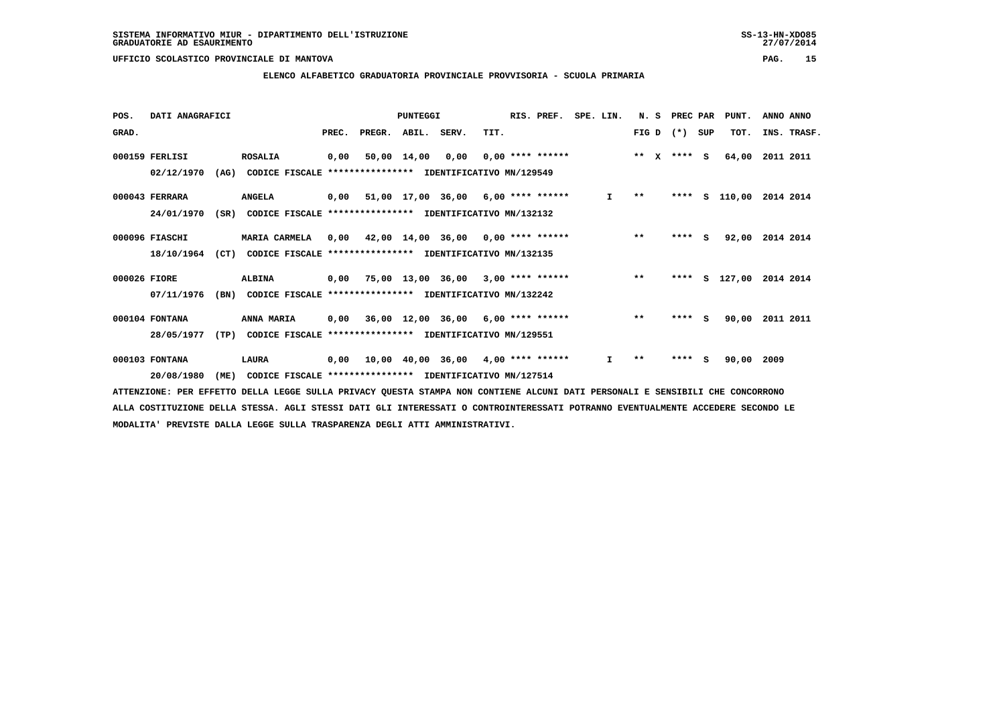### **ELENCO ALFABETICO GRADUATORIA PROVINCIALE PROVVISORIA - SCUOLA PRIMARIA**

| POS.         | DATI ANAGRAFICI |      |                                                          |       |        | PUNTEGGI    |                                            |      | RIS. PREF.         | SPE. LIN. |              | N.S                   | PREC PAR |     | PUNT.    | ANNO ANNO   |
|--------------|-----------------|------|----------------------------------------------------------|-------|--------|-------------|--------------------------------------------|------|--------------------|-----------|--------------|-----------------------|----------|-----|----------|-------------|
| GRAD.        |                 |      |                                                          | PREC. | PREGR. | ABIL. SERV. |                                            | TIT. |                    |           |              | FIG D                 | $(*)$    | SUP | TOT.     | INS. TRASF. |
|              | 000159 FERLISI  |      | <b>ROSALIA</b>                                           | 0,00  |        | 50,00 14,00 | 0,00                                       |      | $0.00$ **** ****** |           |              | $* *$<br>$\mathbf{x}$ | $***$ S  |     | 64,00    | 2011 2011   |
|              | 02/12/1970      | (AG) | CODICE FISCALE **************** IDENTIFICATIVO MN/129549 |       |        |             |                                            |      |                    |           |              |                       |          |     |          |             |
|              | 000043 FERRARA  |      | <b>ANGELA</b>                                            |       |        |             | $0,00$ 51,00 17,00 36,00 6,00 **** ******  |      |                    |           | $\mathbf{I}$ | $***$                 | ****     |     | S 110,00 | 2014 2014   |
|              | 24/01/1970      | (SR) | CODICE FISCALE **************** IDENTIFICATIVO MN/132132 |       |        |             |                                            |      |                    |           |              |                       |          |     |          |             |
|              | 000096 FIASCHI  |      | MARIA CARMELA                                            | 0,00  |        |             | 42,00 14,00 36,00 0,00 **** ******         |      |                    |           |              | $***$                 | $***$ S  |     | 92,00    | 2014 2014   |
|              | 18/10/1964      | (CT) | CODICE FISCALE **************** IDENTIFICATIVO MN/132135 |       |        |             |                                            |      |                    |           |              |                       |          |     |          |             |
| 000026 FIORE |                 |      | <b>ALBINA</b>                                            |       |        |             | $0,00$ 75,00 13,00 36,00 3,00 **** ******  |      |                    |           |              | $***$                 | ****     |     | S 127,00 | 2014 2014   |
|              | 07/11/1976      | (BN) | CODICE FISCALE **************** IDENTIFICATIVO MN/132242 |       |        |             |                                            |      |                    |           |              |                       |          |     |          |             |
|              | 000104 FONTANA  |      | ANNA MARIA                                               | 0,00  |        |             | 36,00 12,00 36,00                          |      | 6,00 **** ******   |           |              | $***$                 | ****     | s   | 90,00    | 2011 2011   |
|              | 28/05/1977      | (TP) | CODICE FISCALE **************** IDENTIFICATIVO MN/129551 |       |        |             |                                            |      |                    |           |              |                       |          |     |          |             |
|              | 000103 FONTANA  |      | LAURA                                                    | 0,00  |        |             | $10,00$ $40,00$ $36,00$ $4,00$ **** ****** |      |                    |           | I.           | $\star$ $\star$       | ****     | s   | 90,00    | 2009        |
|              | 20/08/1980      | (ME) | CODICE FISCALE **************** IDENTIFICATIVO MN/127514 |       |        |             |                                            |      |                    |           |              |                       |          |     |          |             |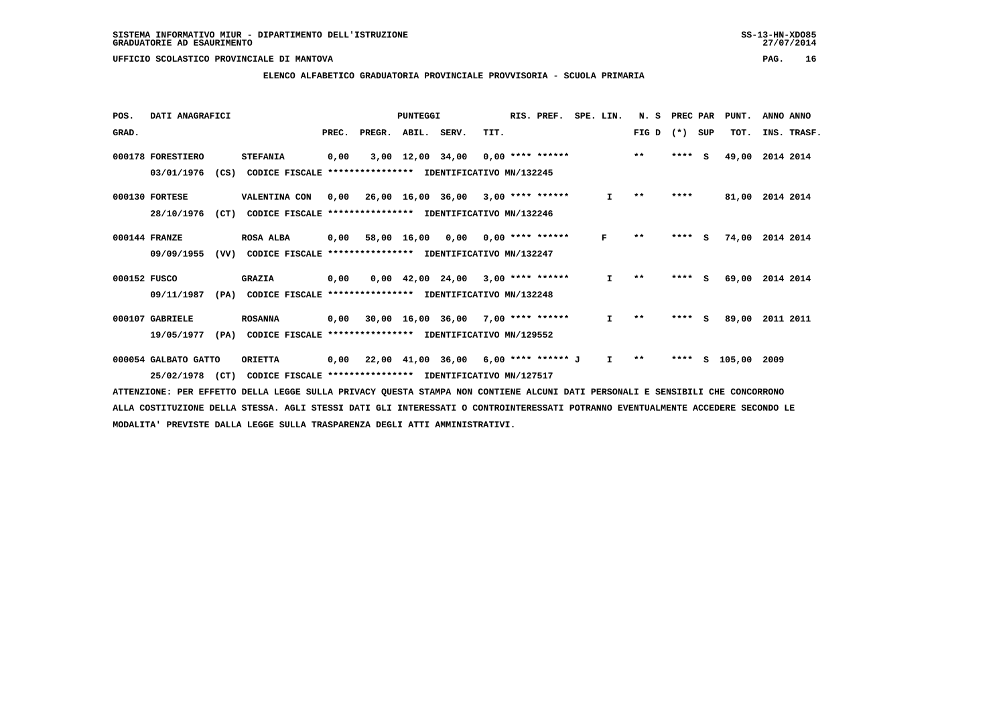### **ELENCO ALFABETICO GRADUATORIA PROVINCIALE PROVVISORIA - SCUOLA PRIMARIA**

| POS.         | DATI ANAGRAFICI      |      |                                                          |       |                                           | PUNTEGGI                       |                                            |      | RIS. PREF.                | SPE. LIN. |              | N.S   | PREC PAR |     | PUNT.  | ANNO ANNO   |
|--------------|----------------------|------|----------------------------------------------------------|-------|-------------------------------------------|--------------------------------|--------------------------------------------|------|---------------------------|-----------|--------------|-------|----------|-----|--------|-------------|
| GRAD.        |                      |      |                                                          | PREC. | PREGR.                                    | ABIL.                          | SERV.                                      | TIT. |                           |           |              | FIG D | $(* )$   | SUP | TOT.   | INS. TRASF. |
|              | 000178 FORESTIERO    |      | <b>STEFANIA</b>                                          | 0,00  |                                           | 3,00 12,00 34,00               |                                            |      | $0,00$ **** ******        |           |              | $***$ | ****     | s   | 49,00  | 2014 2014   |
|              | 03/01/1976           | (CS) | CODICE FISCALE **************** IDENTIFICATIVO MN/132245 |       |                                           |                                |                                            |      |                           |           |              |       |          |     |        |             |
|              | 000130 FORTESE       |      | VALENTINA CON                                            | 0,00  |                                           |                                | $26,00$ $16,00$ $36,00$ $3,00$ **** ****** |      |                           |           | I.           | $* *$ | ****     |     | 81,00  | 2014 2014   |
|              | 28/10/1976           | (CT) | CODICE FISCALE **************** IDENTIFICATIVO MN/132246 |       |                                           |                                |                                            |      |                           |           |              |       |          |     |        |             |
|              | 000144 FRANZE        |      | <b>ROSA ALBA</b>                                         | 0,00  | 58,00 16,00                               |                                |                                            |      | $0,00$ $0,00$ **** ****** |           | F            | $* *$ | ****     | s   | 74,00  | 2014 2014   |
|              | 09/09/1955           | (VV) | CODICE FISCALE                                           |       | **************** IDENTIFICATIVO MN/132247 |                                |                                            |      |                           |           |              |       |          |     |        |             |
| 000152 FUSCO |                      |      | <b>GRAZIA</b>                                            | 0,00  |                                           | $0,00 \quad 42,00 \quad 24,00$ |                                            |      | $3,00$ **** ******        |           | $\mathbf{I}$ | $**$  | ****     | - 5 | 69,00  | 2014 2014   |
|              | 09/11/1987           | (PA) | CODICE FISCALE **************** IDENTIFICATIVO MN/132248 |       |                                           |                                |                                            |      |                           |           |              |       |          |     |        |             |
|              | 000107 GABRIELE      |      | <b>ROSANNA</b>                                           | 0,00  |                                           |                                | $30,00$ 16,00 36,00 7,00 **** ******       |      |                           |           | I.           | $* *$ | ****     | s   | 89,00  | 2011 2011   |
|              | 19/05/1977           | (PA) | CODICE FISCALE                                           |       | **************** IDENTIFICATIVO MN/129552 |                                |                                            |      |                           |           |              |       |          |     |        |             |
|              | 000054 GALBATO GATTO |      | <b>ORIETTA</b>                                           | 0,00  |                                           |                                | 22,00 41,00 36,00                          |      | $6,00$ **** ****** J      |           | I.           | $* *$ | ****     | s   | 105,00 | 2009        |
|              | 25/02/1978           | (CT) | CODICE FISCALE **************** IDENTIFICATIVO MN/127517 |       |                                           |                                |                                            |      |                           |           |              |       |          |     |        |             |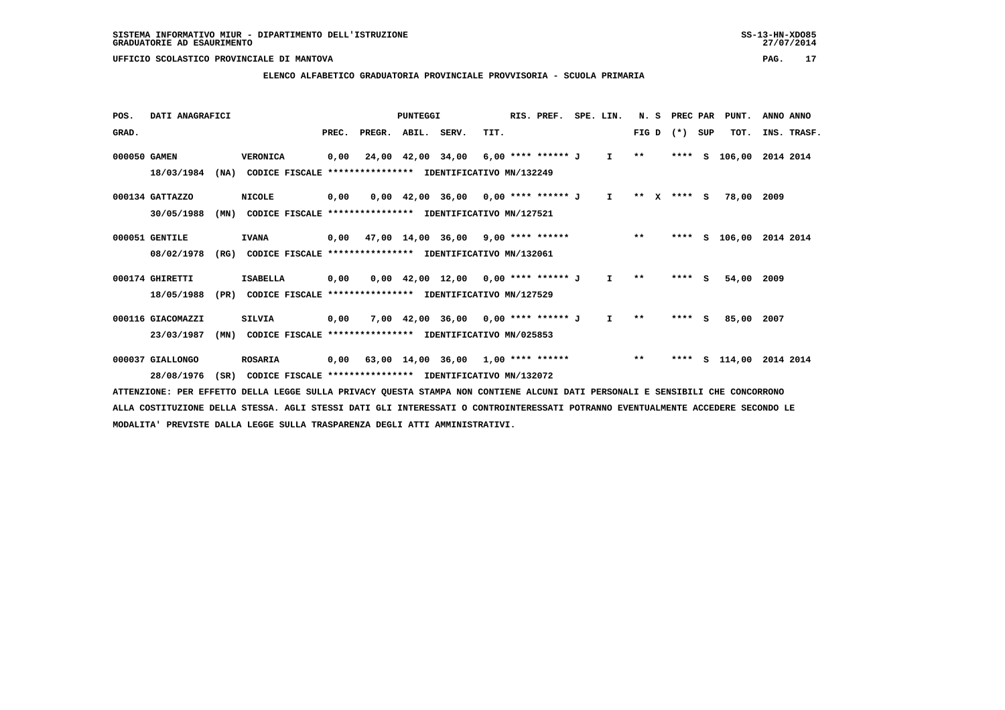### **ELENCO ALFABETICO GRADUATORIA PROVINCIALE PROVVISORIA - SCUOLA PRIMARIA**

| POS.         | DATI ANAGRAFICI   |      |                                                          |      |                          | PUNTEGGI |                                                             |      | RIS. PREF. | SPE. LIN. | N. S    | PREC PAR    |     | PUNT.         | ANNO ANNO   |  |
|--------------|-------------------|------|----------------------------------------------------------|------|--------------------------|----------|-------------------------------------------------------------|------|------------|-----------|---------|-------------|-----|---------------|-------------|--|
| GRAD.        |                   |      |                                                          |      | PREC. PREGR. ABIL. SERV. |          |                                                             | TIT. |            |           |         | $FIG D (*)$ | SUP | TOT.          | INS. TRASF. |  |
| 000050 GAMEN |                   |      | <b>VERONICA</b>                                          | 0,00 |                          |          | 24,00 42,00 34,00 6,00 **** ****** J I                      |      |            |           | $***$   |             |     | **** S 106,00 | 2014 2014   |  |
|              | 18/03/1984        | (NA) | CODICE FISCALE                                           |      |                          |          | **************** IDENTIFICATIVO MN/132249                   |      |            |           |         |             |     |               |             |  |
|              | 000134 GATTAZZO   |      | <b>NICOLE</b>                                            | 0,00 |                          |          | $0,00$ 42,00 36,00 0,00 **** ****** J I                     |      |            |           | $***$ X | $***$ S     |     | 78,00 2009    |             |  |
|              | 30/05/1988        | (MN) | CODICE FISCALE **************** IDENTIFICATIVO MN/127521 |      |                          |          |                                                             |      |            |           |         |             |     |               |             |  |
|              | 000051 GENTILE    |      | <b>IVANA</b>                                             |      |                          |          | $0,00$ $47,00$ $14,00$ $36,00$ $9,00$ **** ****** ****** ** |      |            |           |         |             |     | **** S 106,00 | 2014 2014   |  |
|              | 08/02/1978        | (RG) | CODICE FISCALE **************** IDENTIFICATIVO MN/132061 |      |                          |          |                                                             |      |            |           |         |             |     |               |             |  |
|              | 000174 GHIRETTI   |      | <b>ISABELLA</b>                                          | 0,00 |                          |          | $0,00$ 42,00 12,00 0,00 **** ****** J I                     |      |            |           | $**$    | $***$ S     |     | 54,00         | 2009        |  |
|              | 18/05/1988        | (PR) | CODICE FISCALE **************** IDENTIFICATIVO MN/127529 |      |                          |          |                                                             |      |            |           |         |             |     |               |             |  |
|              | 000116 GIACOMAZZI |      | <b>SILVIA</b>                                            | 0,00 |                          |          | 7,00 42,00 36,00 0,00 **** ****** J I                       |      |            |           | $***$   | $***$ S     |     | 85,00         | 2007        |  |
|              | 23/03/1987        | (MN) | CODICE FISCALE **************** IDENTIFICATIVO MN/025853 |      |                          |          |                                                             |      |            |           |         |             |     |               |             |  |
|              | 000037 GIALLONGO  |      | <b>ROSARIA</b>                                           | 0,00 |                          |          | 63,00 14,00 36,00 1,00 **** ****** *** ***                  |      |            |           |         | ****        |     | s 114,00      | 2014 2014   |  |
|              | 28/08/1976        | (SR) | CODICE FISCALE **************** IDENTIFICATIVO MN/132072 |      |                          |          |                                                             |      |            |           |         |             |     |               |             |  |
|              |                   |      |                                                          |      |                          |          |                                                             |      |            |           |         |             |     |               |             |  |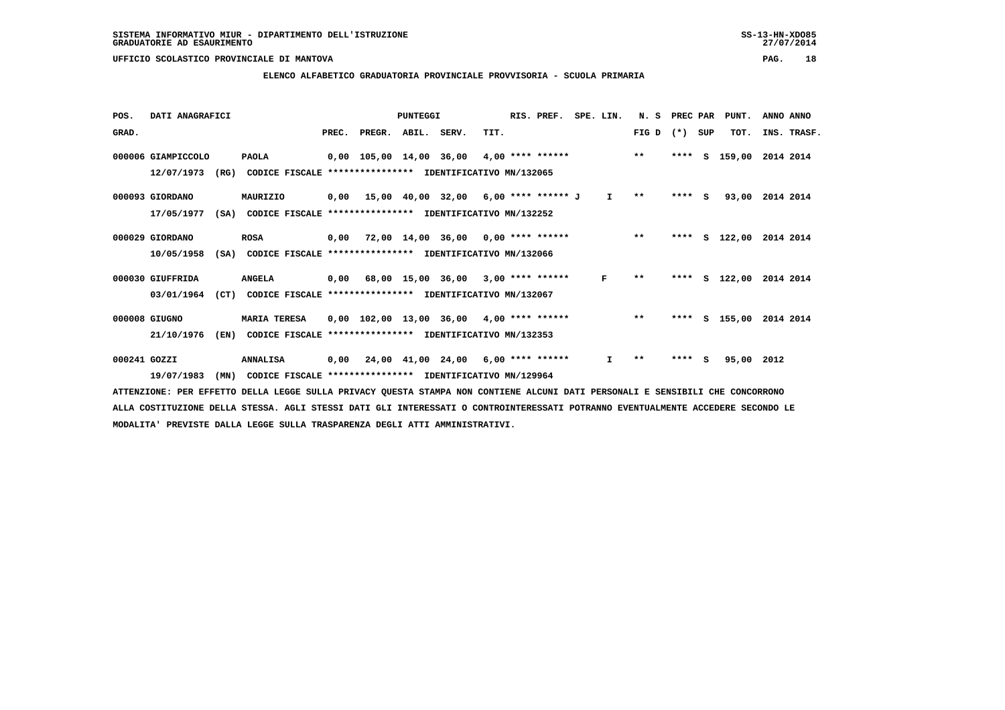### **ELENCO ALFABETICO GRADUATORIA PROVINCIALE PROVVISORIA - SCUOLA PRIMARIA**

| POS.         | DATI ANAGRAFICI    |                                                          |       |                    | PUNTEGGI |                                                 |      | RIS. PREF. | SPE. LIN.    | N.S          | PREC PAR |     | PUNT.           | ANNO ANNO          |
|--------------|--------------------|----------------------------------------------------------|-------|--------------------|----------|-------------------------------------------------|------|------------|--------------|--------------|----------|-----|-----------------|--------------------|
| GRAD.        |                    |                                                          | PREC. | PREGR. ABIL. SERV. |          |                                                 | TIT. |            |              | FIG D        | $(*)$    | SUP | TOT.            | INS. TRASF.        |
|              | 000006 GIAMPICCOLO | <b>PAOLA</b>                                             |       |                    |          | 0,00 105,00 14,00 36,00 4,00 **** ****** *** ** |      |            |              |              | ****     | s   | 159,00          | 2014 2014          |
|              | 12/07/1973<br>(RG) | CODICE FISCALE **************** IDENTIFICATIVO MN/132065 |       |                    |          |                                                 |      |            |              |              |          |     |                 |                    |
|              | 000093 GIORDANO    | MAURIZIO                                                 |       |                    |          | $0,00$ 15,00 40,00 32,00 6,00 **** ****** J     |      |            | $\mathbf{I}$ | $* *$        | $***$ S  |     | 93,00           | 2014 2014          |
|              | 17/05/1977<br>(SA) | CODICE FISCALE **************** IDENTIFICATIVO MN/132252 |       |                    |          |                                                 |      |            |              |              |          |     |                 |                    |
|              | 000029 GIORDANO    | <b>ROSA</b>                                              |       |                    |          | $0,00$ 72,00 14,00 36,00 0,00 **** ******       |      |            |              | $***$        |          |     | **** $S$ 122,00 | 2014 2014          |
|              | 10/05/1958<br>(SA) | CODICE FISCALE **************** IDENTIFICATIVO MN/132066 |       |                    |          |                                                 |      |            |              |              |          |     |                 |                    |
|              | 000030 GIUFFRIDA   | <b>ANGELA</b>                                            |       |                    |          | $0,00$ 68,00 15,00 36,00 3,00 **** ******       |      |            | F            | $* *$        | ****     |     |                 | S 122,00 2014 2014 |
|              | 03/01/1964<br>(CT) | CODICE FISCALE **************** IDENTIFICATIVO MN/132067 |       |                    |          |                                                 |      |            |              |              |          |     |                 |                    |
|              | 000008 GIUGNO      | <b>MARIA TERESA</b>                                      |       |                    |          | $0,00$ 102,00 13,00 36,00 4,00 **** ******      |      |            |              | $***$        | ****     |     | S 155,00        | 2014 2014          |
|              | 21/10/1976<br>(EN) | CODICE FISCALE                                           |       |                    |          | *************** IDENTIFICATIVO MN/132353        |      |            |              |              |          |     |                 |                    |
| 000241 GOZZI |                    | <b>ANNALISA</b>                                          |       |                    |          | $0,00$ 24,00 41,00 24,00 6,00 **** ******       |      |            | $\mathbf{I}$ | $\star\star$ | ****     | s   | 95,00 2012      |                    |
|              | 19/07/1983<br>(MN) | CODICE FISCALE **************** IDENTIFICATIVO MN/129964 |       |                    |          |                                                 |      |            |              |              |          |     |                 |                    |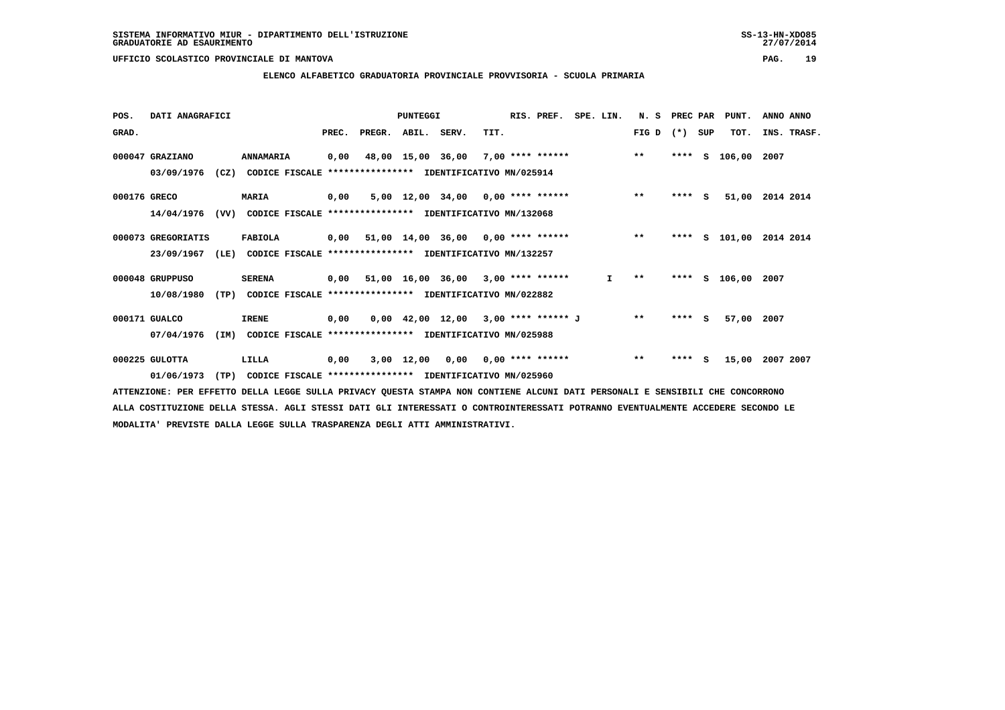### **ELENCO ALFABETICO GRADUATORIA PROVINCIALE PROVVISORIA - SCUOLA PRIMARIA**

| POS.         | DATI ANAGRAFICI    |      |                                                          |       | PUNTEGGI |                   |                                                  | RIS. PREF. | SPE. LIN.                 | N.S | PREC PAR |         | PUNT. | ANNO ANNO |             |
|--------------|--------------------|------|----------------------------------------------------------|-------|----------|-------------------|--------------------------------------------------|------------|---------------------------|-----|----------|---------|-------|-----------|-------------|
| GRAD.        |                    |      |                                                          | PREC. | PREGR.   | ABIL. SERV.       |                                                  | TIT.       |                           |     | FIG D    | $(*)$   | SUP   | TOT.      | INS. TRASF. |
|              | 000047 GRAZIANO    |      | ANNAMARIA                                                | 0,00  |          | 48,00 15,00 36,00 |                                                  |            | $7,00$ **** ******        |     | $**$     | ****    | s     | 106,00    | 2007        |
|              | 03/09/1976         | (CZ) | CODICE FISCALE **************** IDENTIFICATIVO MN/025914 |       |          |                   |                                                  |            |                           |     |          |         |       |           |             |
| 000176 GRECO |                    |      | <b>MARIA</b>                                             | 0,00  |          |                   | $5,00$ 12,00 34,00 0,00 **** ******              |            |                           |     | $***$    | $***$ S |       | 51,00     | 2014 2014   |
|              | 14/04/1976         | (VV) | CODICE FISCALE **************** IDENTIFICATIVO MN/132068 |       |          |                   |                                                  |            |                           |     |          |         |       |           |             |
|              | 000073 GREGORIATIS |      | FABIOLA                                                  | 0,00  |          |                   | $51,00$ $14,00$ $36,00$ $0,00$ $***$ **** ****** |            |                           |     | $***$    | ****    | s     | 101,00    | 2014 2014   |
|              | 23/09/1967         | (LE) | CODICE FISCALE **************** IDENTIFICATIVO MN/132257 |       |          |                   |                                                  |            |                           |     |          |         |       |           |             |
|              | 000048 GRUPPUSO    |      | <b>SERENA</b>                                            |       |          |                   | $0,00$ 51,00 16,00 36,00 3,00 **** ******        |            |                           | I.  | $* *$    | ****    |       | s 106,00  | 2007        |
|              | 10/08/1980         | (TP) | CODICE FISCALE **************** IDENTIFICATIVO MN/022882 |       |          |                   |                                                  |            |                           |     |          |         |       |           |             |
|              | 000171 GUALCO      |      | <b>IRENE</b>                                             | 0,00  |          |                   | $0,00$ 42,00 12,00 3,00 **** ****** J            |            |                           |     | $* *$    | ****    | - 5   | 57,00     | 2007        |
|              | 07/04/1976         | (IM) | CODICE FISCALE **************** IDENTIFICATIVO MN/025988 |       |          |                   |                                                  |            |                           |     |          |         |       |           |             |
|              | 000225 GULOTTA     |      | LILLA                                                    | 0,00  |          | 3,00 12,00        |                                                  |            | $0,00$ $0,00$ **** ****** |     | $***$    | ****    | s     | 15,00     | 2007 2007   |
|              | 01/06/1973         | (TP) | CODICE FISCALE **************** IDENTIFICATIVO MN/025960 |       |          |                   |                                                  |            |                           |     |          |         |       |           |             |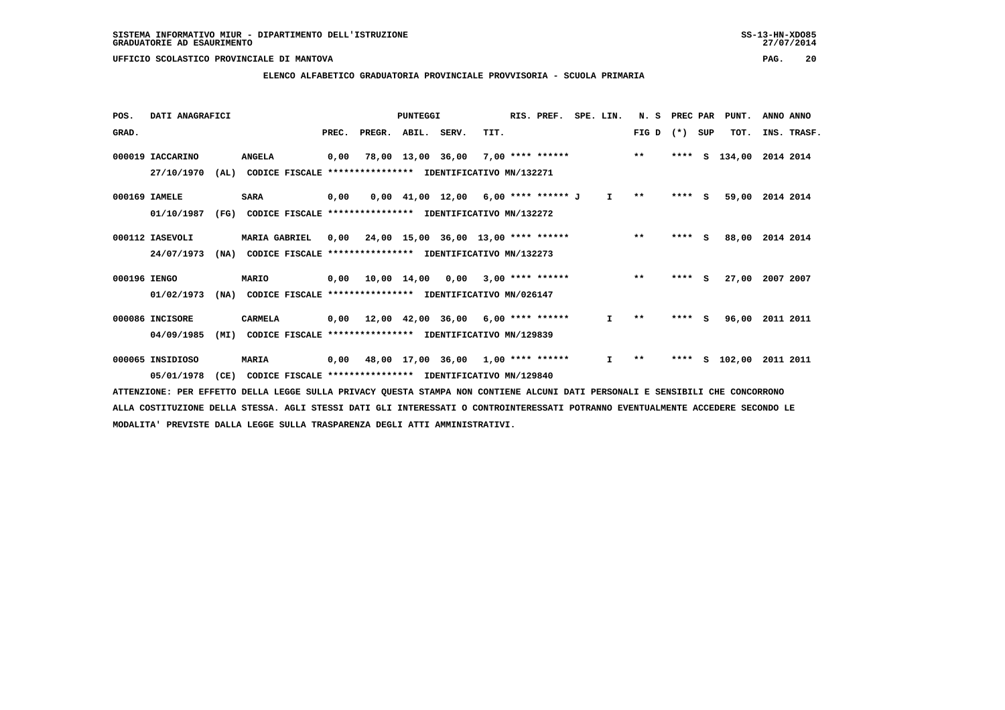### **ELENCO ALFABETICO GRADUATORIA PROVINCIALE PROVVISORIA - SCUOLA PRIMARIA**

| POS.         | DATI ANAGRAFICI  |      |                                                          |       |                                           | PUNTEGGI                                   |      | RIS. PREF.              | SPE. LIN. |              | N.S          | PREC PAR |          | PUNT.  | ANNO ANNO |             |
|--------------|------------------|------|----------------------------------------------------------|-------|-------------------------------------------|--------------------------------------------|------|-------------------------|-----------|--------------|--------------|----------|----------|--------|-----------|-------------|
| GRAD.        |                  |      |                                                          | PREC. | PREGR.                                    | ABIL. SERV.                                | TIT. |                         |           |              | FIG D        | $(*)$    | SUP      | TOT.   |           | INS. TRASF. |
|              | 000019 IACCARINO |      | <b>ANGELA</b>                                            | 0,00  |                                           | 78,00 13,00 36,00                          |      | $7,00$ **** ******      |           |              | $**$         | ****     | s        | 134,00 | 2014 2014 |             |
|              | 27/10/1970       | (AL) | CODICE FISCALE **************** IDENTIFICATIVO MN/132271 |       |                                           |                                            |      |                         |           |              |              |          |          |        |           |             |
|              | 000169 IAMELE    |      | <b>SARA</b>                                              | 0,00  |                                           | $0,00$ 41,00 12,00 6,00 **** ****** J      |      |                         |           | $\mathbf{I}$ | $\star\star$ | $***$ S  |          | 59,00  | 2014 2014 |             |
|              | 01/10/1987       | (FG) | CODICE FISCALE **************** IDENTIFICATIVO MN/132272 |       |                                           |                                            |      |                         |           |              |              |          |          |        |           |             |
|              | 000112 IASEVOLI  |      | <b>MARIA GABRIEL</b>                                     | 0.00  |                                           | 24,00 15,00 36,00 13,00 **** ******        |      |                         |           |              | $***$        | $***$ S  |          | 88,00  | 2014 2014 |             |
|              | 24/07/1973       | (NA) | CODICE FISCALE **************** IDENTIFICATIVO MN/132273 |       |                                           |                                            |      |                         |           |              |              |          |          |        |           |             |
| 000196 IENGO |                  |      | MARIO                                                    |       | 0,00 10,00 14,00                          |                                            |      | $0,00$ 3,00 **** ****** |           |              | $* *$        | $***$ S  |          | 27,00  | 2007 2007 |             |
|              | 01/02/1973       | (NA) | CODICE FISCALE **************** IDENTIFICATIVO MN/026147 |       |                                           |                                            |      |                         |           |              |              |          |          |        |           |             |
|              | 000086 INCISORE  |      | <b>CARMELA</b>                                           | 0,00  |                                           | $12,00$ $42,00$ $36,00$ $6,00$ **** ****** |      |                         |           | I.           | $* *$        | ****     | <b>S</b> | 96,00  | 2011 2011 |             |
|              | 04/09/1985       | (MI) | CODICE FISCALE **************** IDENTIFICATIVO MN/129839 |       |                                           |                                            |      |                         |           |              |              |          |          |        |           |             |
|              | 000065 INSIDIOSO |      | MARIA                                                    |       | $0,00$ 48,00 17,00 36,00 1,00 **** ****** |                                            |      |                         |           | I.           | $* *$        | ****     | s        | 102,00 | 2011 2011 |             |
|              | 05/01/1978       | (CE) | CODICE FISCALE **************** IDENTIFICATIVO MN/129840 |       |                                           |                                            |      |                         |           |              |              |          |          |        |           |             |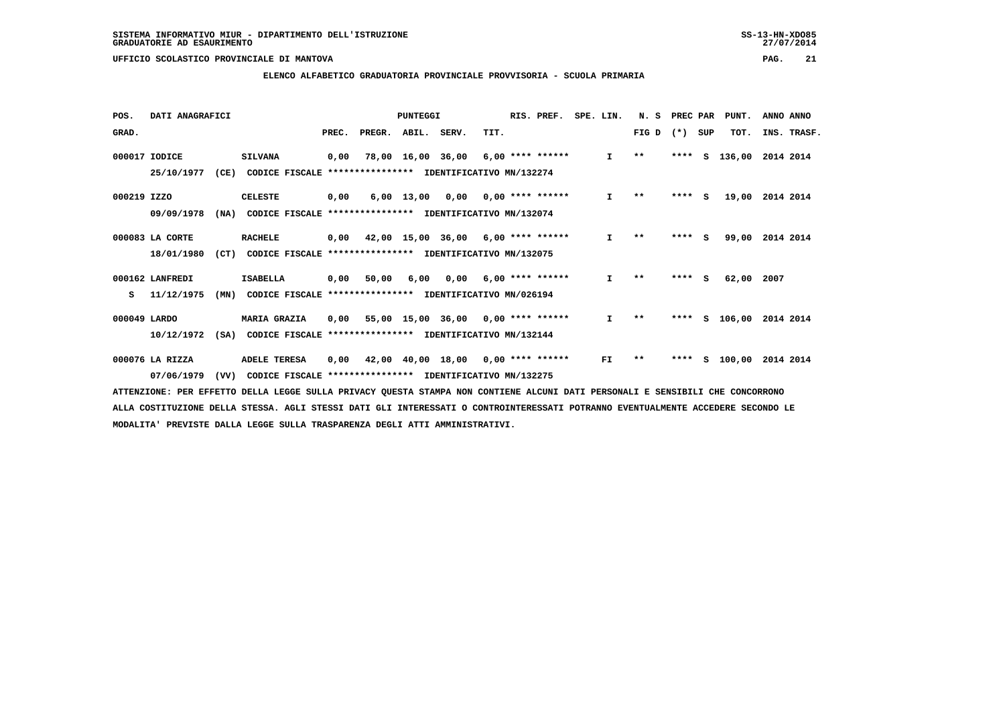### **ELENCO ALFABETICO GRADUATORIA PROVINCIALE PROVVISORIA - SCUOLA PRIMARIA**

| POS.         | DATI ANAGRAFICI |      |                                                          |       | PUNTEGGI |                   |                                                  | RIS. PREF. | SPE. LIN.          |  | N.S          | PREC PAR     |         | PUNT. | ANNO ANNO |             |
|--------------|-----------------|------|----------------------------------------------------------|-------|----------|-------------------|--------------------------------------------------|------------|--------------------|--|--------------|--------------|---------|-------|-----------|-------------|
| GRAD.        |                 |      |                                                          | PREC. | PREGR.   | ABIL. SERV.       |                                                  | TIT.       |                    |  |              | FIG D        | $(*)$   | SUP   | TOT.      | INS. TRASF. |
|              | 000017 IODICE   |      | <b>SILVANA</b>                                           | 0,00  | 78,00    | 16,00 36,00       |                                                  |            | $6,00$ **** ****** |  | $\mathbf{I}$ | $\star\star$ | ****    | s     | 136,00    | 2014 2014   |
|              | 25/10/1977      | (CE) | CODICE FISCALE ****************                          |       |          |                   | IDENTIFICATIVO MN/132274                         |            |                    |  |              |              |         |       |           |             |
| 000219 IZZO  |                 |      | <b>CELESTE</b>                                           | 0,00  |          | 6,00 13,00        | 0,00                                             |            | $0.00$ **** ****** |  | $\mathbf{I}$ | $***$        | ****    | - S   | 19,00     | 2014 2014   |
|              | 09/09/1978      | (NA) | CODICE FISCALE **************** IDENTIFICATIVO MN/132074 |       |          |                   |                                                  |            |                    |  |              |              |         |       |           |             |
|              | 000083 LA CORTE |      | <b>RACHELE</b>                                           | 0,00  |          | 42,00 15,00 36,00 |                                                  |            | $6,00$ **** ****** |  | $\mathbf{I}$ | $**$         | ****    | - S   | 99,00     | 2014 2014   |
|              | 18/01/1980      | (CT) | CODICE FISCALE **************** IDENTIFICATIVO MN/132075 |       |          |                   |                                                  |            |                    |  |              |              |         |       |           |             |
|              | 000162 LANFREDI |      | <b>ISABELLA</b>                                          | 0,00  | 50,00    | 6,00              | 0,00                                             |            | $6,00$ **** ****** |  | $\mathbf{I}$ | $* *$        | $***$ S |       | 62,00     | 2007        |
| s            | 11/12/1975      | (MN) | CODICE FISCALE                                           |       |          |                   | **************** IDENTIFICATIVO MN/026194        |            |                    |  |              |              |         |       |           |             |
| 000049 LARDO |                 |      | <b>MARIA GRAZIA</b>                                      | 0,00  |          | 55,00 15,00 36,00 |                                                  |            | $0,00$ **** ****** |  | I.           | $* *$        | ****    | s     | 106,00    | 2014 2014   |
|              | 10/12/1972      | (SA) | CODICE FISCALE                                           |       |          |                   | **************** IDENTIFICATIVO MN/132144        |            |                    |  |              |              |         |       |           |             |
|              | 000076 LA RIZZA |      | <b>ADELE TERESA</b>                                      | 0,00  |          |                   | $42,00$ $40,00$ $18,00$ $0,00$ $***$ **** ****** |            |                    |  | FI           | $* *$        | ****    | s     | 100,00    | 2014 2014   |
|              | 07/06/1979      | (VV) | CODICE FISCALE                                           |       |          |                   | **************** IDENTIFICATIVO MN/132275        |            |                    |  |              |              |         |       |           |             |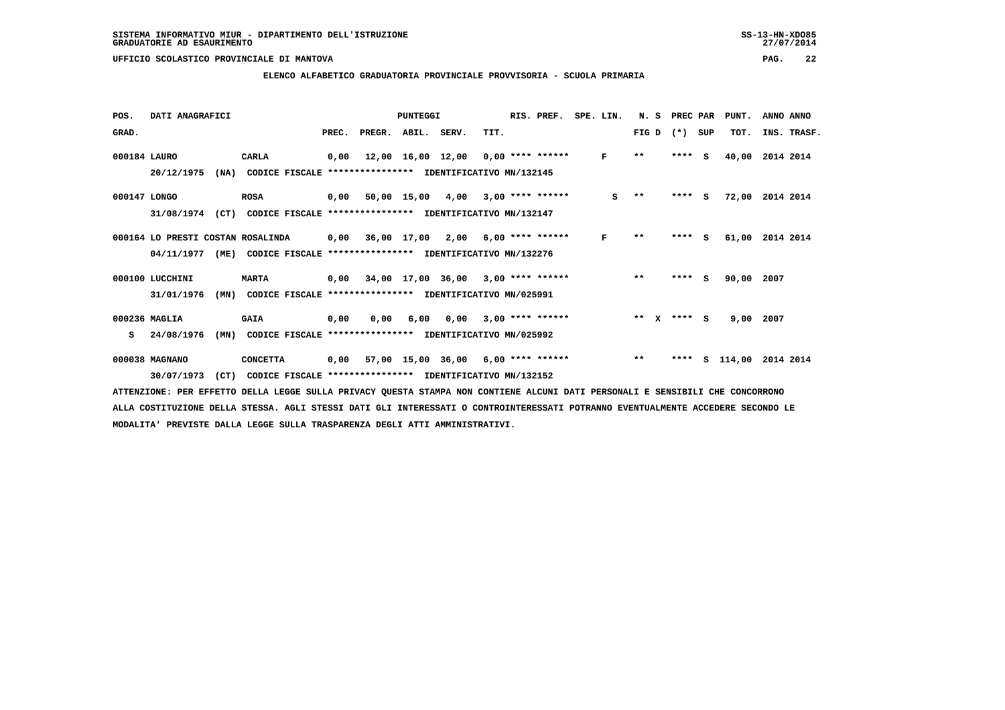### **ELENCO ALFABETICO GRADUATORIA PROVINCIALE PROVVISORIA - SCUOLA PRIMARIA**

| POS.         | DATI ANAGRAFICI                   |                                                                         |       |                    | <b>PUNTEGGI</b> |                                            |      | RIS. PREF.              | SPE. LIN. | N. S                 |       | PREC PAR | PUNT.  | ANNO ANNO   |
|--------------|-----------------------------------|-------------------------------------------------------------------------|-------|--------------------|-----------------|--------------------------------------------|------|-------------------------|-----------|----------------------|-------|----------|--------|-------------|
| GRAD.        |                                   |                                                                         | PREC. | PREGR. ABIL. SERV. |                 |                                            | TIT. |                         |           | FIG D                | $(*)$ | SUP      | TOT.   | INS. TRASF. |
| 000184 LAURO |                                   | CARLA                                                                   | 0.00  |                    |                 | $12,00$ $16,00$ $12,00$ $0,00$ **** ****** |      |                         | F         | $***$                |       | $***5$   | 40,00  | 2014 2014   |
|              | 20/12/1975<br>(NA)                | CODICE FISCALE **************** IDENTIFICATIVO MN/132145                |       |                    |                 |                                            |      |                         |           |                      |       |          |        |             |
| 000147 LONGO |                                   | <b>ROSA</b>                                                             |       |                    |                 | 0,00 50,00 15,00 4,00                      |      | $3,00$ **** ******      | s         | $* *$                |       | $***$ S  | 72,00  | 2014 2014   |
|              | (CT)<br>31/08/1974                | CODICE FISCALE **************** IDENTIFICATIVO MN/132147                |       |                    |                 |                                            |      |                         |           |                      |       |          |        |             |
|              | 000164 LO PRESTI COSTAN ROSALINDA |                                                                         | 0,00  |                    | 36,00 17,00     |                                            |      | $2,00$ 6,00 **** ****** | F         | $* *$                | ****  | -S       | 61,00  | 2014 2014   |
|              |                                   | 04/11/1977 (ME) CODICE FISCALE *************** IDENTIFICATIVO MN/132276 |       |                    |                 |                                            |      |                         |           |                      |       |          |        |             |
|              | 000100 LUCCHINI                   | <b>MARTA</b>                                                            |       |                    |                 | $0,00$ 34,00 17,00 36,00 3,00 **** ******  |      |                         |           | $***$                |       | $***$ S  | 90,00  | 2007        |
|              | 31/01/1976<br>(MN)                | CODICE FISCALE **************** IDENTIFICATIVO MN/025991                |       |                    |                 |                                            |      |                         |           |                      |       |          |        |             |
|              | 000236 MAGLIA                     | <b>GAIA</b>                                                             | 0,00  | 0.00               | 6,00            | 0,00                                       |      | $3,00$ **** ******      |           | $**$<br>$\mathbf{x}$ |       | **** S   | 9,00   | 2007        |
| s            | 24/08/1976<br>(MN)                | CODICE FISCALE **************** IDENTIFICATIVO MN/025992                |       |                    |                 |                                            |      |                         |           |                      |       |          |        |             |
|              | 000038 MAGNANO                    | <b>CONCETTA</b>                                                         | 0,00  |                    |                 | 57,00 15,00 36,00 6,00 **** ******         |      |                         |           | $***$                | ****  | s        | 114,00 | 2014 2014   |
|              | 30/07/1973<br>(CT)                | CODICE FISCALE **************** IDENTIFICATIVO MN/132152                |       |                    |                 |                                            |      |                         |           |                      |       |          |        |             |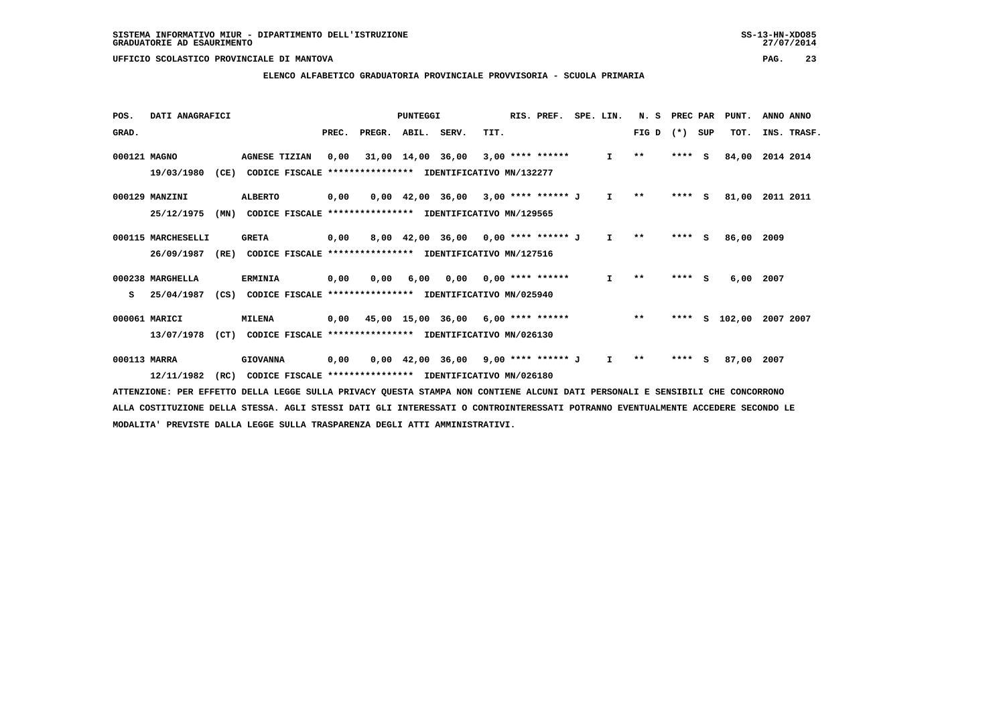### **ELENCO ALFABETICO GRADUATORIA PROVINCIALE PROVVISORIA - SCUOLA PRIMARIA**

| POS.         | DATI ANAGRAFICI    |      |                                                          |       | PUNTEGGI |                   |                                       | RIS. PREF. | SPE. LIN.                 | N.S          | PREC PAR     |         | PUNT. | ANNO ANNO |             |
|--------------|--------------------|------|----------------------------------------------------------|-------|----------|-------------------|---------------------------------------|------------|---------------------------|--------------|--------------|---------|-------|-----------|-------------|
| GRAD.        |                    |      |                                                          | PREC. | PREGR.   | ABIL. SERV.       |                                       | TIT.       |                           |              | FIG D        | $(*)$   | SUP   | TOT.      | INS. TRASF. |
| 000121 MAGNO |                    |      | <b>AGNESE TIZIAN</b>                                     | 0.00  |          | 31,00 14,00 36,00 |                                       |            | $3,00$ **** ******        | $\mathbf{I}$ | $\star\star$ | ****    | - 5   | 84,00     | 2014 2014   |
|              | 19/03/1980         | (CE) | CODICE FISCALE **************** IDENTIFICATIVO MN/132277 |       |          |                   |                                       |            |                           |              |              |         |       |           |             |
|              | 000129 MANZINI     |      | <b>ALBERTO</b>                                           | 0,00  |          |                   | 0,00 42,00 36,00 3,00 **** ****** J   |            |                           | $\mathbf{I}$ | $* *$        | $***$ S |       | 81,00     | 2011 2011   |
|              | 25/12/1975         | (MN) | CODICE FISCALE **************** IDENTIFICATIVO MN/129565 |       |          |                   |                                       |            |                           |              |              |         |       |           |             |
|              | 000115 MARCHESELLI |      | <b>GRETA</b>                                             | 0,00  |          |                   | 8,00 42,00 36,00 0,00 **** ****** J   |            |                           | $\mathbf{I}$ | $* *$        | **** S  |       | 86,00     | 2009        |
|              | 26/09/1987         | (RE) | CODICE FISCALE **************** IDENTIFICATIVO MN/127516 |       |          |                   |                                       |            |                           |              |              |         |       |           |             |
|              | 000238 MARGHELLA   |      | <b>ERMINIA</b>                                           | 0,00  | 0.00     | 6,00              |                                       |            | $0,00$ $0,00$ **** ****** | $\mathbf{I}$ | $* *$        | **** S  |       | 6,00      | 2007        |
| s            | 25/04/1987         | (CS) | CODICE FISCALE **************** IDENTIFICATIVO MN/025940 |       |          |                   |                                       |            |                           |              |              |         |       |           |             |
|              | 000061 MARICI      |      | <b>MILENA</b>                                            | 0,00  |          |                   | 45,00 15,00 36,00 6,00 **** ******    |            |                           |              | $***$        | ****    | s     | 102,00    | 2007 2007   |
|              | 13/07/1978         | (CT) | CODICE FISCALE **************** IDENTIFICATIVO MN/026130 |       |          |                   |                                       |            |                           |              |              |         |       |           |             |
| 000113 MARRA |                    |      | <b>GIOVANNA</b>                                          | 0,00  |          |                   | $0,00$ 42,00 36,00 9,00 **** ****** J |            |                           | I.           | $* *$        | ****    | - S   | 87,00     | 2007        |
|              | 12/11/1982         | (RC) | CODICE FISCALE **************** IDENTIFICATIVO MN/026180 |       |          |                   |                                       |            |                           |              |              |         |       |           |             |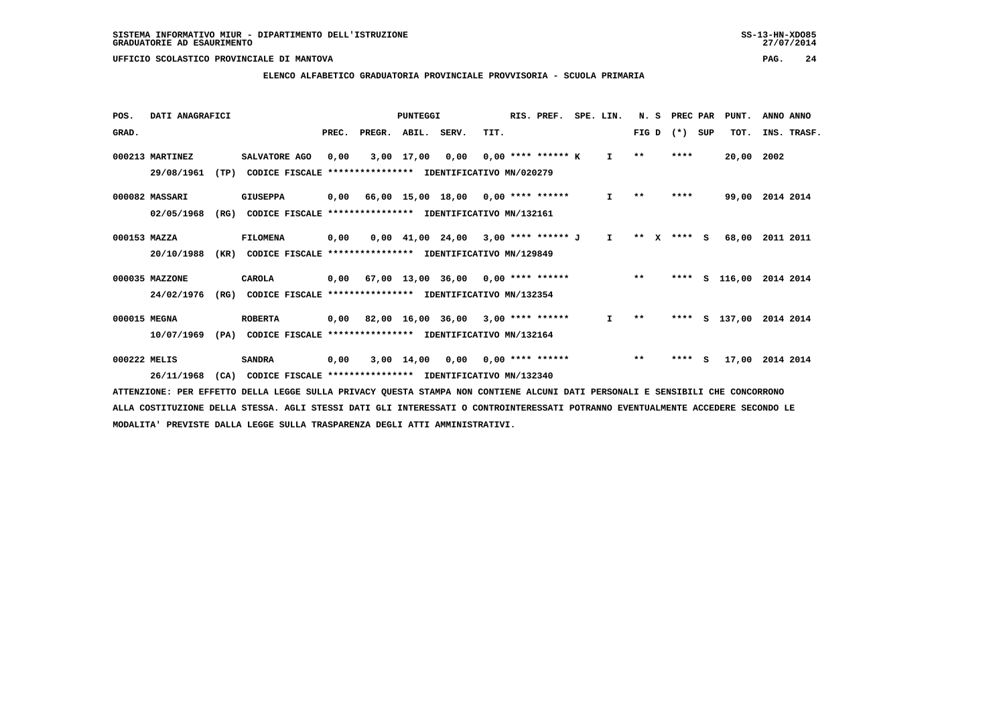### **ELENCO ALFABETICO GRADUATORIA PROVINCIALE PROVVISORIA - SCUOLA PRIMARIA**

| POS.         | DATI ANAGRAFICI |      |                                                               |      |                          | PUNTEGGI        |                                                                               |      | RIS. PREF.           | SPE. LIN.    | N. S        | PREC PAR |     | PUNT.         | ANNO ANNO               |  |
|--------------|-----------------|------|---------------------------------------------------------------|------|--------------------------|-----------------|-------------------------------------------------------------------------------|------|----------------------|--------------|-------------|----------|-----|---------------|-------------------------|--|
| GRAD.        |                 |      |                                                               |      | PREC. PREGR. ABIL. SERV. |                 |                                                                               | TIT. |                      |              | FIG D       | $(*)$    | SUP | TOT.          | INS. TRASF.             |  |
|              | 000213 MARTINEZ |      | SALVATORE AGO                                                 | 0.00 |                          | 3,00 17,00 0,00 |                                                                               |      | $0.00$ **** ****** K | $\mathbf{I}$ | $* *$       | ****     |     | 20,00 2002    |                         |  |
|              | 29/08/1961      | (TP) | CODICE FISCALE                                                |      |                          |                 | **************** IDENTIFICATIVO MN/020279                                     |      |                      |              |             |          |     |               |                         |  |
|              | 000082 MASSARI  |      | <b>GIUSEPPA</b>                                               |      |                          |                 | $0,00$ 66,00 15,00 18,00 0,00 **** ******                                     |      |                      | $\mathbf{I}$ | $***$       | ****     |     |               | 99,00 2014 2014         |  |
|              | 02/05/1968      | (RG) | CODICE FISCALE **************** IDENTIFICATIVO MN/132161      |      |                          |                 |                                                                               |      |                      |              |             |          |     |               |                         |  |
| 000153 MAZZA |                 |      | FILOMENA                                                      | 0,00 |                          |                 | $0.00 \quad 41.00 \quad 24.00 \quad 3.00 \quad *** \quad *** \quad J \quad I$ |      |                      |              | ** x **** S |          |     | 68,00         | 2011 2011               |  |
|              | 20/10/1988      |      | (KR) CODICE FISCALE **************** IDENTIFICATIVO MN/129849 |      |                          |                 |                                                                               |      |                      |              |             |          |     |               |                         |  |
|              | 000035 MAZZONE  |      | CAROLA                                                        |      |                          |                 | $0,00$ 67,00 13,00 36,00 0,00 **** ******                                     |      |                      |              | $**$        |          |     |               | **** S 116,00 2014 2014 |  |
|              | 24/02/1976      | (RG) | CODICE FISCALE **************** IDENTIFICATIVO MN/132354      |      |                          |                 |                                                                               |      |                      |              |             |          |     |               |                         |  |
| 000015 MEGNA |                 |      | <b>ROBERTA</b>                                                |      |                          |                 | 0,00 82,00 16,00 36,00 3,00 **** ******                                       |      |                      | $\mathbf{I}$ | $***$       |          |     | **** S 137,00 | 2014 2014               |  |
|              | 10/07/1969      | (PA) | CODICE FISCALE **************** IDENTIFICATIVO MN/132164      |      |                          |                 |                                                                               |      |                      |              |             |          |     |               |                         |  |
| 000222 MELIS |                 |      | <b>SANDRA</b>                                                 | 0,00 |                          |                 | $3,00$ 14,00 0,00 0,00 **** ******                                            |      |                      |              | $***$       | $***$ S  |     | 17,00         | 2014 2014               |  |
|              | 26/11/1968      | (CA) | CODICE FISCALE **************** IDENTIFICATIVO MN/132340      |      |                          |                 |                                                                               |      |                      |              |             |          |     |               |                         |  |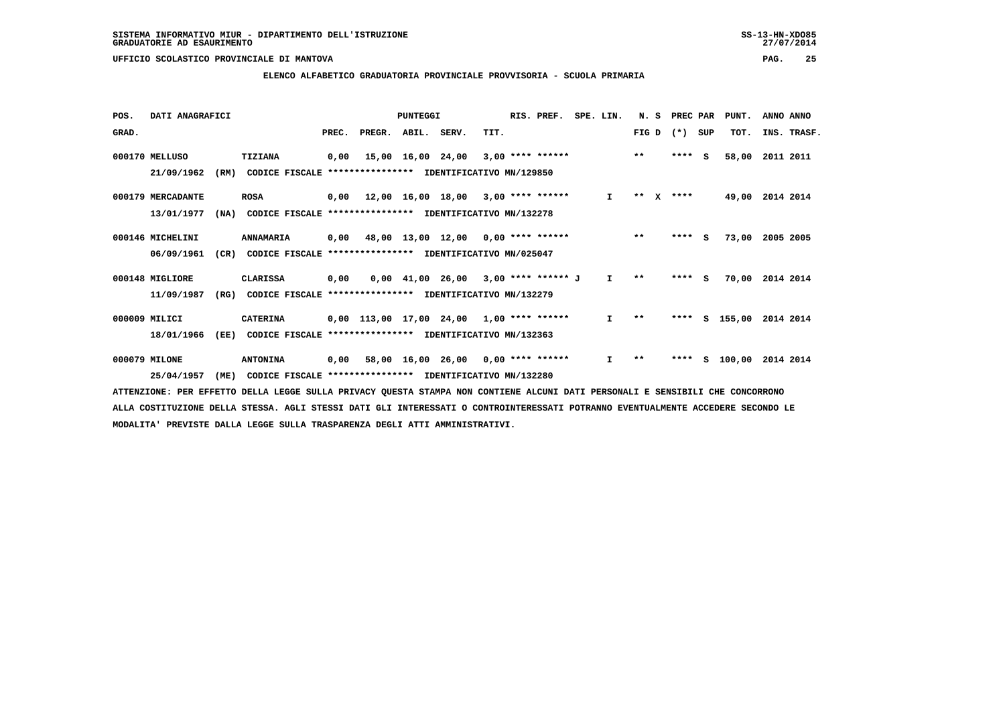### **ELENCO ALFABETICO GRADUATORIA PROVINCIALE PROVVISORIA - SCUOLA PRIMARIA**

| POS.  | DATI ANAGRAFICI   |      |                                                          |      |                          | PUNTEGGI |                                            |      | RIS. PREF. | SPE. LIN. |              |       | N. S | PREC PAR |     | PUNT.           | ANNO ANNO |             |
|-------|-------------------|------|----------------------------------------------------------|------|--------------------------|----------|--------------------------------------------|------|------------|-----------|--------------|-------|------|----------|-----|-----------------|-----------|-------------|
| GRAD. |                   |      |                                                          |      | PREC. PREGR. ABIL. SERV. |          |                                            | TIT. |            |           |              | FIG D |      | $(*)$    | SUP | TOT.            |           | INS. TRASF. |
|       | 000170 MELLUSO    |      | TIZIANA                                                  | 0,00 |                          |          | $15,00$ $16,00$ $24,00$ $3,00$ **** ****** |      |            |           | $\star\star$ |       |      | $***$ S  |     | 58,00           | 2011 2011 |             |
|       | 21/09/1962        | (RM) | CODICE FISCALE                                           |      |                          |          | **************** IDENTIFICATIVO MN/129850  |      |            |           |              |       |      |          |     |                 |           |             |
|       | 000179 MERCADANTE |      | <b>ROSA</b>                                              |      |                          |          | $0,00$ 12,00 16,00 18,00 3,00 **** ******  |      |            |           | $\mathbf{I}$ | ** X  |      | ****     |     | 49,00 2014 2014 |           |             |
|       | 13/01/1977        | (NA) | CODICE FISCALE **************** IDENTIFICATIVO MN/132278 |      |                          |          |                                            |      |            |           |              |       |      |          |     |                 |           |             |
|       | 000146 MICHELINI  |      | ANNAMARIA                                                | 0,00 |                          |          | 48,00 13,00 12,00 0,00 **** ******         |      |            |           |              | $***$ |      | $***$ S  |     | 73,00           | 2005 2005 |             |
|       | 06/09/1961        | (CR) | <b>CODICE FISCALE</b>                                    |      |                          |          | *************** IDENTIFICATIVO MN/025047   |      |            |           |              |       |      |          |     |                 |           |             |
|       | 000148 MIGLIORE   |      | <b>CLARISSA</b>                                          | 0,00 |                          |          | $0,00$ 41,00 26,00 3,00 **** ****** J      |      |            |           | $\mathbf{I}$ | $* *$ |      | $***$ S  |     | 70,00           | 2014 2014 |             |
|       | 11/09/1987        | (RG) | CODICE FISCALE **************** IDENTIFICATIVO MN/132279 |      |                          |          |                                            |      |            |           |              |       |      |          |     |                 |           |             |
|       | 000009 MILICI     |      | <b>CATERINA</b>                                          |      |                          |          | $0,00$ 113,00 17,00 24,00 1,00 **** ****** |      |            |           | $\mathbf{I}$ | $***$ |      |          |     | **** S 155,00   | 2014 2014 |             |
|       | 18/01/1966        | (EE) | CODICE FISCALE **************** IDENTIFICATIVO MN/132363 |      |                          |          |                                            |      |            |           |              |       |      |          |     |                 |           |             |
|       | 000079 MILONE     |      | <b>ANTONINA</b>                                          |      |                          |          | $0,00$ 58,00 16,00 26,00 0,00 **** ******  |      |            |           | $\mathbf{I}$ | $* *$ |      | ****     |     | s 100,00        | 2014 2014 |             |
|       | 25/04/1957        | (ME) | CODICE FISCALE **************** IDENTIFICATIVO MN/132280 |      |                          |          |                                            |      |            |           |              |       |      |          |     |                 |           |             |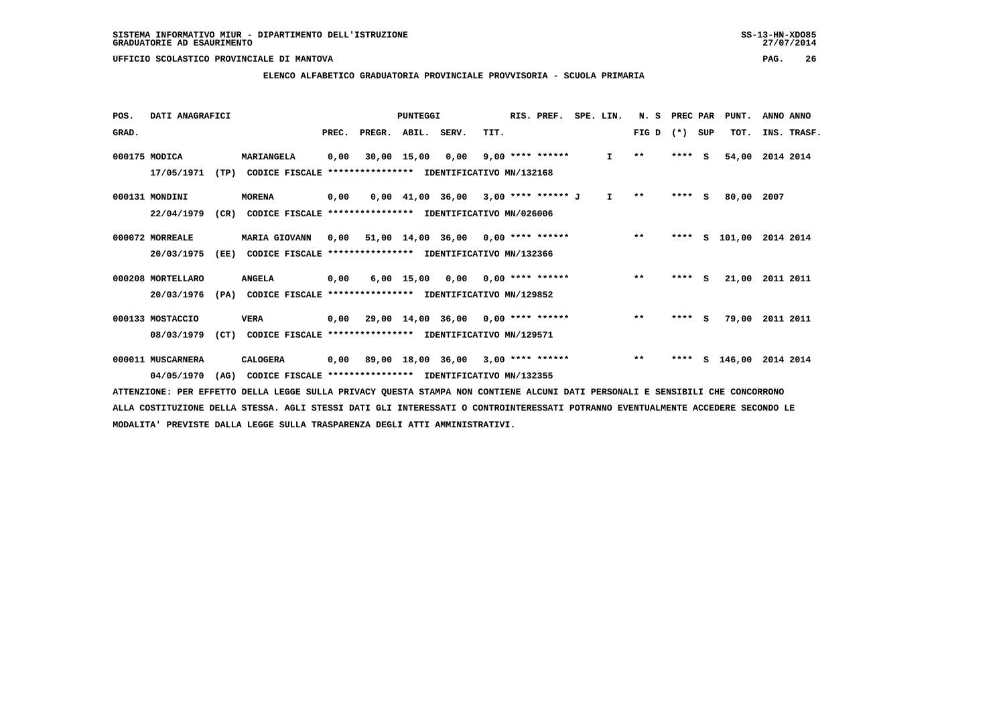### **ELENCO ALFABETICO GRADUATORIA PROVINCIALE PROVVISORIA - SCUOLA PRIMARIA**

| POS.  | DATI ANAGRAFICI   |      |                                                          |       |                    | PUNTEGGI    |                                                  |      | RIS. PREF.         | SPE. LIN.    | N. S         | PREC PAR |          | PUNT.    | ANNO ANNO |             |
|-------|-------------------|------|----------------------------------------------------------|-------|--------------------|-------------|--------------------------------------------------|------|--------------------|--------------|--------------|----------|----------|----------|-----------|-------------|
| GRAD. |                   |      |                                                          | PREC. | PREGR. ABIL. SERV. |             |                                                  | TIT. |                    |              | FIG D        | $(*)$    | SUP      | TOT.     |           | INS. TRASF. |
|       | 000175 MODICA     |      | MARIANGELA                                               | 0,00  |                    | 30,00 15,00 | 0,00                                             |      | $9,00$ **** ****** | $\mathbf{I}$ | $\star\star$ | $***$ S  |          | 54,00    | 2014 2014 |             |
|       | 17/05/1971        | (TP) | CODICE FISCALE                                           |       |                    |             | *************** IDENTIFICATIVO MN/132168         |      |                    |              |              |          |          |          |           |             |
|       | 000131 MONDINI    |      | <b>MORENA</b>                                            | 0,00  |                    |             | 0,00 41,00 36,00 3,00 **** ****** J              |      |                    | $\mathbf{I}$ | $\star\star$ | $***$ S  |          | 80,00    | 2007      |             |
|       | 22/04/1979        | (CR) | CODICE FISCALE **************** IDENTIFICATIVO MN/026006 |       |                    |             |                                                  |      |                    |              |              |          |          |          |           |             |
|       | 000072 MORREALE   |      | MARIA GIOVANN                                            | 0.00  |                    |             | $51,00$ $14,00$ $36,00$ $0,00$ $***$ **** ****** |      |                    |              | $***$        | ****     |          | S 101,00 | 2014 2014 |             |
|       | 20/03/1975        | (EE) | CODICE FISCALE **************** IDENTIFICATIVO MN/132366 |       |                    |             |                                                  |      |                    |              |              |          |          |          |           |             |
|       | 000208 MORTELLARO |      | <b>ANGELA</b>                                            | 0,00  |                    |             | $6,00$ 15,00 0,00 0,00 **** ******               |      |                    |              | $**$         | $***$ S  |          | 21,00    | 2011 2011 |             |
|       | 20/03/1976        | (PA) | CODICE FISCALE **************** IDENTIFICATIVO MN/129852 |       |                    |             |                                                  |      |                    |              |              |          |          |          |           |             |
|       | 000133 MOSTACCIO  |      | <b>VERA</b>                                              | 0.00  |                    |             | $29,00$ 14,00 36,00 0,00 **** ******             |      |                    |              | $***$        | ****     | <b>S</b> | 79,00    | 2011 2011 |             |
|       | 08/03/1979        | (CT) | CODICE FISCALE **************** IDENTIFICATIVO MN/129571 |       |                    |             |                                                  |      |                    |              |              |          |          |          |           |             |
|       | 000011 MUSCARNERA |      | <b>CALOGERA</b>                                          |       |                    |             | $0,00$ 89,00 18,00 36,00 3,00 **** ******        |      |                    |              | $***$        | ****     |          | S 146,00 | 2014 2014 |             |
|       | 04/05/1970        | (AG) | CODICE FISCALE **************** IDENTIFICATIVO MN/132355 |       |                    |             |                                                  |      |                    |              |              |          |          |          |           |             |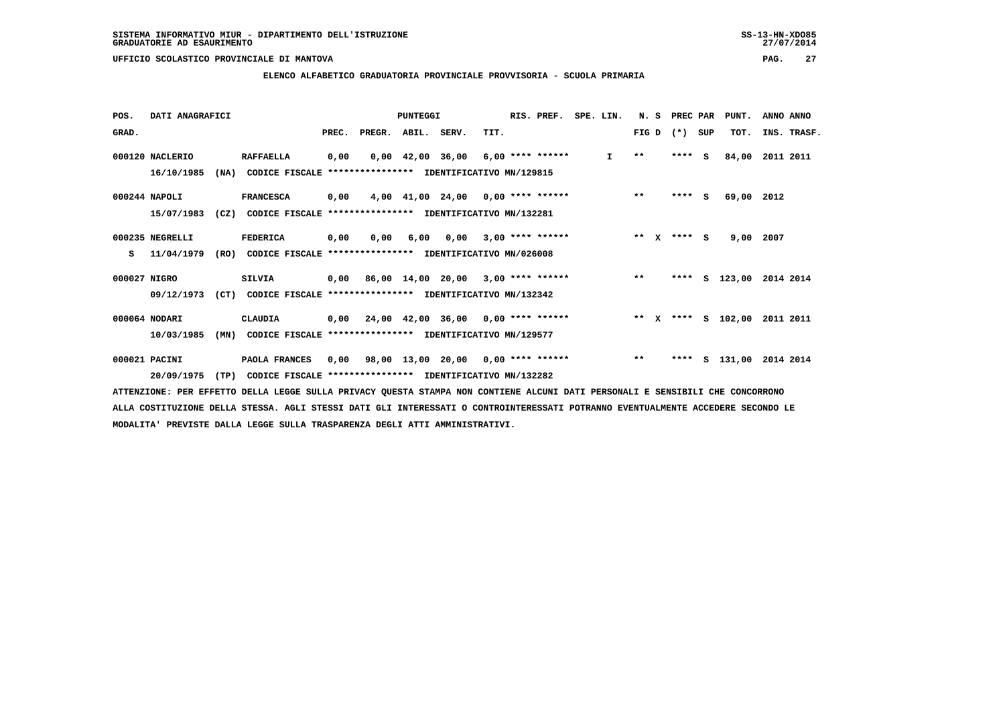### **ELENCO ALFABETICO GRADUATORIA PROVINCIALE PROVVISORIA - SCUOLA PRIMARIA**

| POS.         | DATI ANAGRAFICI |      |                                                               |       |        | PUNTEGGI    |                                                         |      | RIS. PREF.         | SPE. LIN.    | N.S    | PREC PAR |     | PUNT.              | ANNO ANNO   |
|--------------|-----------------|------|---------------------------------------------------------------|-------|--------|-------------|---------------------------------------------------------|------|--------------------|--------------|--------|----------|-----|--------------------|-------------|
| GRAD.        |                 |      |                                                               | PREC. | PREGR. | ABIL. SERV. |                                                         | TIT. |                    |              | FIG D  | $(*)$    | SUP | TOT.               | INS. TRASF. |
|              | 000120 NACLERIO |      | <b>RAFFAELLA</b>                                              | 0,00  |        |             | $0,00$ 42,00 36,00 6,00 **** ******                     |      |                    | $\mathbf{I}$ | $* *$  | $***5$   |     | 84,00              | 2011 2011   |
|              | 16/10/1985      | (NA) | CODICE FISCALE **************** IDENTIFICATIVO MN/129815      |       |        |             |                                                         |      |                    |              |        |          |     |                    |             |
|              | $000244$ NAPOLI |      | <b>FRANCESCA</b>                                              | 0,00  |        |             | 4,00 41,00 24,00 0,00 **** ******                       |      |                    |              | $***$  | $***$ S  |     | 69,00 2012         |             |
|              | 15/07/1983      | (CZ) | CODICE FISCALE **************** IDENTIFICATIVO MN/132281      |       |        |             |                                                         |      |                    |              |        |          |     |                    |             |
|              | 000235 NEGRELLI |      | FEDERICA                                                      | 0,00  | 0,00   | 6,00        | 0,00                                                    |      | $3,00$ **** ****** |              | ** $X$ | $***$ S  |     | 9,00               | 2007        |
| s            | 11/04/1979      |      | (RO) CODICE FISCALE **************** IDENTIFICATIVO MN/026008 |       |        |             |                                                         |      |                    |              |        |          |     |                    |             |
| 000027 NIGRO |                 |      | <b>SILVIA</b>                                                 |       |        |             | 0,00 86,00 14,00 20,00 3,00 **** ******                 |      |                    |              | $***$  | ****     |     | S 123,00           | 2014 2014   |
|              | 09/12/1973      | (CT) | CODICE FISCALE **************** IDENTIFICATIVO MN/132342      |       |        |             |                                                         |      |                    |              |        |          |     |                    |             |
|              | 000064 NODARI   |      | CLAUDIA                                                       |       |        |             | $0,00$ $24,00$ $42,00$ $36,00$ $0,00$ $***$ **** ****** |      |                    |              |        |          |     | ** x **** s 102,00 | 2011 2011   |
|              | 10/03/1985      | (MN) | CODICE FISCALE **************** IDENTIFICATIVO MN/129577      |       |        |             |                                                         |      |                    |              |        |          |     |                    |             |
|              | 000021 PACINI   |      | PAOLA FRANCES                                                 | 0.00  |        |             | 98,00 13,00 20,00 0,00 **** ******                      |      |                    |              | $***$  | ****     |     | s 131,00           | 2014 2014   |
|              | 20/09/1975      | (TP) | CODICE FISCALE **************** IDENTIFICATIVO MN/132282      |       |        |             |                                                         |      |                    |              |        |          |     |                    |             |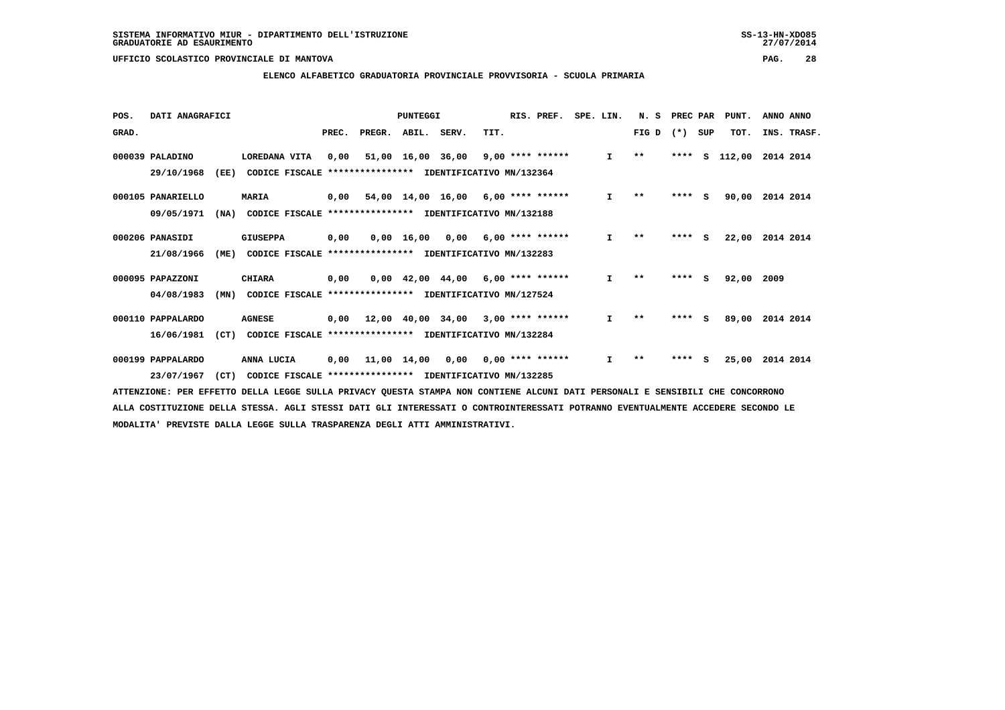### **ELENCO ALFABETICO GRADUATORIA PROVINCIALE PROVVISORIA - SCUOLA PRIMARIA**

| POS.  | DATI ANAGRAFICI   |      |                                                          |       |        | PUNTEGGI          |                                                 |      | RIS. PREF.         | SPE. LIN. |              | N.S   | PREC PAR |     | PUNT.  | ANNO ANNO   |
|-------|-------------------|------|----------------------------------------------------------|-------|--------|-------------------|-------------------------------------------------|------|--------------------|-----------|--------------|-------|----------|-----|--------|-------------|
| GRAD. |                   |      |                                                          | PREC. | PREGR. | ABIL. SERV.       |                                                 | TIT. |                    |           |              | FIG D | $(*)$    | SUP | TOT.   | INS. TRASF. |
|       | 000039 PALADINO   |      | LOREDANA VITA                                            | 0,00  | 51,00  | 16,00 36,00       |                                                 |      | $9,00$ **** ****** |           | $\mathbf{I}$ | $***$ | ****     | s   | 112,00 | 2014 2014   |
|       | 29/10/1968        | (EE) | CODICE FISCALE **************** IDENTIFICATIVO MN/132364 |       |        |                   |                                                 |      |                    |           |              |       |          |     |        |             |
|       | 000105 PANARIELLO |      | <b>MARIA</b>                                             | 0,00  |        |                   | 54,00 14,00 16,00 6,00 **** ******              |      |                    |           | $\mathbf{I}$ | $* *$ | $***$ S  |     | 90,00  | 2014 2014   |
|       | 09/05/1971        | (NA) | CODICE FISCALE **************** IDENTIFICATIVO MN/132188 |       |        |                   |                                                 |      |                    |           |              |       |          |     |        |             |
|       | 000206 PANASIDI   |      | <b>GIUSEPPA</b>                                          | 0,00  | 0,00   | 16,00             | 0,00                                            |      | $6,00$ **** ****** |           | $\mathbf{I}$ | $* *$ | ****     | S.  | 22,00  | 2014 2014   |
|       | 21/08/1966        | (ME) | CODICE FISCALE **************** IDENTIFICATIVO MN/132283 |       |        |                   |                                                 |      |                    |           |              |       |          |     |        |             |
|       | 000095 PAPAZZONI  |      | <b>CHIARA</b>                                            | 0,00  |        |                   | $0,00$ 42,00 44,00 6,00 **** ******             |      |                    |           | $\mathbf{I}$ | $* *$ | ****     | - S | 92,00  | 2009        |
|       | 04/08/1983        | (MN) | CODICE FISCALE **************** IDENTIFICATIVO MN/127524 |       |        |                   |                                                 |      |                    |           |              |       |          |     |        |             |
|       | 000110 PAPPALARDO |      | <b>AGNESE</b>                                            | 0,00  |        | 12,00 40,00 34,00 |                                                 |      | $3,00$ **** ****** |           | $\mathbf{I}$ | $* *$ | ****     | S.  | 89,00  | 2014 2014   |
|       | 16/06/1981        | (CT) | CODICE FISCALE *****************                         |       |        |                   | IDENTIFICATIVO MN/132284                        |      |                    |           |              |       |          |     |        |             |
|       | 000199 PAPPALARDO |      | ANNA LUCIA                                               | 0,00  |        |                   | $11,00$ $14,00$ $0,00$ $0,00$ $***$ **** ****** |      |                    |           | I.           | $* *$ | ****     | S   | 25,00  | 2014 2014   |
|       | 23/07/1967        | (CT) | CODICE FISCALE                                           |       |        |                   | *************** IDENTIFICATIVO MN/132285        |      |                    |           |              |       |          |     |        |             |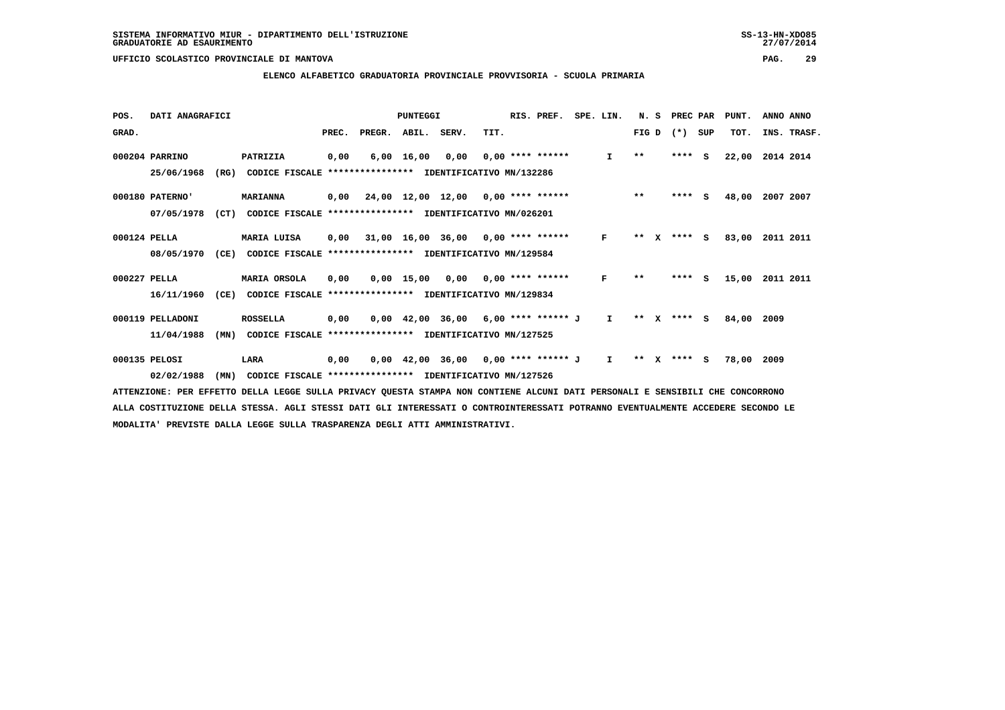### **ELENCO ALFABETICO GRADUATORIA PROVINCIALE PROVVISORIA - SCUOLA PRIMARIA**

| POS.         | DATI ANAGRAFICI  |      |                                                                                                                      |       |                                           | PUNTEGGI     |                                                                     |      | RIS. PREF.         | SPE. LIN.    | N.S                   |              | PREC PAR |          | PUNT.      | ANNO ANNO   |
|--------------|------------------|------|----------------------------------------------------------------------------------------------------------------------|-------|-------------------------------------------|--------------|---------------------------------------------------------------------|------|--------------------|--------------|-----------------------|--------------|----------|----------|------------|-------------|
| GRAD.        |                  |      |                                                                                                                      | PREC. | PREGR.                                    | ABIL. SERV.  |                                                                     | TIT. |                    |              | FIG D                 |              | $(* )$   | SUP      | TOT.       | INS. TRASF. |
|              | 000204 PARRINO   |      | PATRIZIA                                                                                                             | 0,00  | 6,00                                      | 16,00        | 0.00                                                                |      | $0.00$ **** ****** | $\mathbf{I}$ | $\star\star$          |              | ****     | <b>S</b> | 22,00      | 2014 2014   |
|              | 25/06/1968       | (RG) | CODICE FISCALE                                                                                                       |       | **************** IDENTIFICATIVO MN/132286 |              |                                                                     |      |                    |              |                       |              |          |          |            |             |
|              | 000180 PATERNO'  |      | <b>MARIANNA</b>                                                                                                      | 0,00  | 24,00 12,00 12,00 0,00 **** ******        |              |                                                                     |      |                    |              | $***$                 |              | ****     | - S      | 48,00      | 2007 2007   |
|              | 07/05/1978       | (CT) | CODICE FISCALE **************** IDENTIFICATIVO MN/026201                                                             |       |                                           |              |                                                                     |      |                    |              |                       |              |          |          |            |             |
| 000124 PELLA |                  |      | MARIA LUISA                                                                                                          | 0,00  |                                           |              | $31,00$ $16,00$ $36,00$ $0,00$ $***$ **** ******                    |      |                    | $\mathbf{F}$ | $* *$                 |              | X **** S |          | 83,00      | 2011 2011   |
|              | 08/05/1970       | (CE) | CODICE FISCALE                                                                                                       |       | **************** IDENTIFICATIVO MN/129584 |              |                                                                     |      |                    |              |                       |              |          |          |            |             |
| 000227 PELLA |                  |      | MARIA ORSOLA                                                                                                         | 0,00  |                                           | $0,00$ 15,00 | 0,00                                                                |      | 0,00 **** ******   | F            | $* *$                 |              | ****     | s.       | 15,00      | 2011 2011   |
|              | 16/11/1960       | (CE) | CODICE FISCALE                                                                                                       |       | *************** IDENTIFICATIVO MN/129834  |              |                                                                     |      |                    |              |                       |              |          |          |            |             |
|              | 000119 PELLADONI |      | <b>ROSSELLA</b>                                                                                                      | 0,00  |                                           |              | $0,00$ 42,00 36,00 6,00 **** ****** J                               |      |                    | $\mathbf{I}$ | $* *$<br>$\mathbf{x}$ |              | **** S   |          | 84,00      | 2009        |
|              | 11/04/1988       | (MN) | CODICE FISCALE **************** IDENTIFICATIVO MN/127525                                                             |       |                                           |              |                                                                     |      |                    |              |                       |              |          |          |            |             |
|              | 000135 PELOSI    |      | LARA                                                                                                                 | 0,00  |                                           |              | $0.00 \quad 42.00 \quad 36.00 \quad 0.00 \quad *** \quad *** \quad$ |      |                    | $\mathbf{I}$ | $***$                 | $\mathbf{x}$ | $***$ S  |          | 78,00 2009 |             |
|              | 02/02/1988       | (MN) | CODICE FISCALE **************** IDENTIFICATIVO MN/127526                                                             |       |                                           |              |                                                                     |      |                    |              |                       |              |          |          |            |             |
|              |                  |      | ADDRESS TO RESPOND A TRACK OUTLY TRACK AND AND AND ARABY AND ACHITERT AT CURT DAT DREAGAINT R CRUCIDITY CUR CONCORDO |       |                                           |              |                                                                     |      |                    |              |                       |              |          |          |            |             |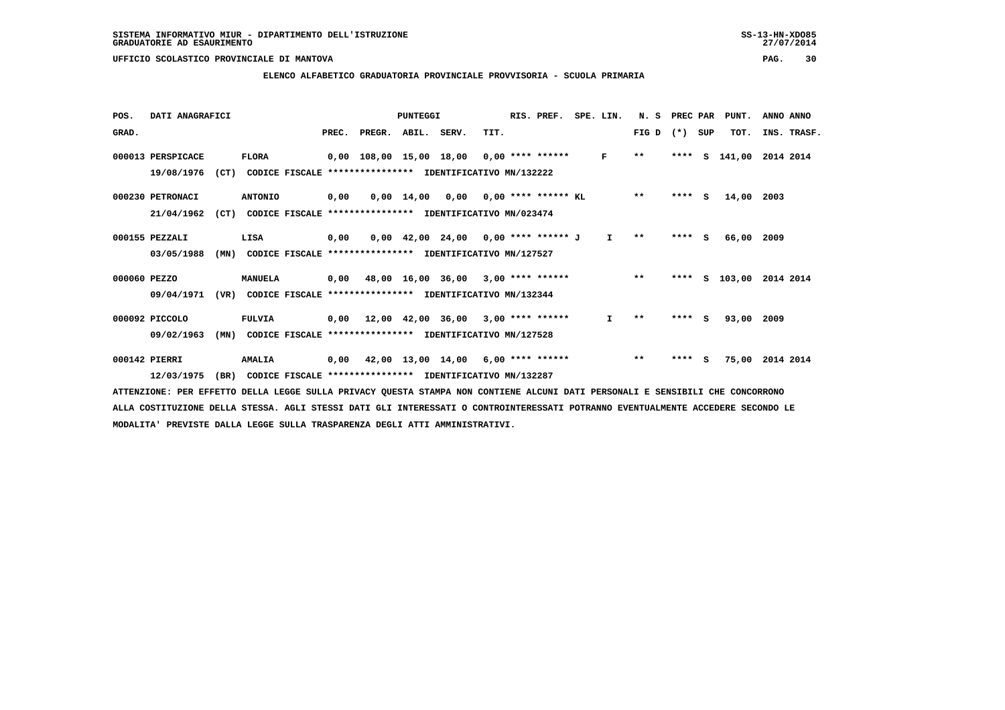### **ELENCO ALFABETICO GRADUATORIA PROVINCIALE PROVVISORIA - SCUOLA PRIMARIA**

| POS.         | DATI ANAGRAFICI   |      |                |       |                    | PUNTEGGI   |                                                                       |      | RIS. PREF.               | SPE. LIN.    | N. S  | PREC PAR |     | PUNT.         | ANNO ANNO   |  |
|--------------|-------------------|------|----------------|-------|--------------------|------------|-----------------------------------------------------------------------|------|--------------------------|--------------|-------|----------|-----|---------------|-------------|--|
| GRAD.        |                   |      |                | PREC. | PREGR. ABIL. SERV. |            |                                                                       | TIT. |                          |              | FIG D | $(*)$    | SUP | TOT.          | INS. TRASF. |  |
|              | 000013 PERSPICACE |      | <b>FLORA</b>   |       |                    |            | $0,00$ 108,00 15,00 18,00 0,00 **** ******                            |      |                          | F            | $* *$ |          |     | **** S 141,00 | 2014 2014   |  |
|              | 19/08/1976        | (CT) | CODICE FISCALE |       |                    |            | **************** IDENTIFICATIVO MN/132222                             |      |                          |              |       |          |     |               |             |  |
|              | 000230 PETRONACI  |      | <b>ANTONIO</b> | 0,00  |                    | 0,00 14,00 |                                                                       |      | 0,00 0,00 **** ****** KL |              | $* *$ | $***$ S  |     | 14,00         | 2003        |  |
|              | 21/04/1962        | (CT) |                |       |                    |            | CODICE FISCALE **************** IDENTIFICATIVO MN/023474              |      |                          |              |       |          |     |               |             |  |
|              | 000155 PEZZALI    |      | LISA           | 0,00  |                    |            | $0.00 \quad 42.00 \quad 24.00 \quad 0.00 \quad *** \quad *** \quad J$ |      |                          | $\mathbf{I}$ | $* *$ | ****     | S.  | 66,00         | 2009        |  |
|              | 03/05/1988        | (MN) |                |       |                    |            | CODICE FISCALE **************** IDENTIFICATIVO MN/127527              |      |                          |              |       |          |     |               |             |  |
| 000060 PEZZO |                   |      | MANUELA        | 0,00  |                    |            | 48,00 16,00 36,00 3,00 **** ******                                    |      |                          |              | $* *$ | ****     | s   | 103,00        | 2014 2014   |  |
|              | 09/04/1971        | (VR) |                |       |                    |            | CODICE FISCALE **************** IDENTIFICATIVO MN/132344              |      |                          |              |       |          |     |               |             |  |
|              | 000092 PICCOLO    |      | <b>FULVIA</b>  |       |                    |            | $0,00$ 12,00 42,00 36,00 3,00 **** ******                             |      |                          | I.           | $* *$ | ****     | s   | 93,00         | 2009        |  |
|              | 09/02/1963        | (MN) |                |       |                    |            | CODICE FISCALE **************** IDENTIFICATIVO MN/127528              |      |                          |              |       |          |     |               |             |  |
|              | 000142 PIERRI     |      | <b>AMALIA</b>  | 0,00  |                    |            | 42,00 13,00 14,00 6,00 **** ******                                    |      |                          |              | $***$ | ****     | - S | 75,00         | 2014 2014   |  |
|              | 12/03/1975        | (BR) |                |       |                    |            | CODICE FISCALE **************** IDENTIFICATIVO MN/132287              |      |                          |              |       |          |     |               |             |  |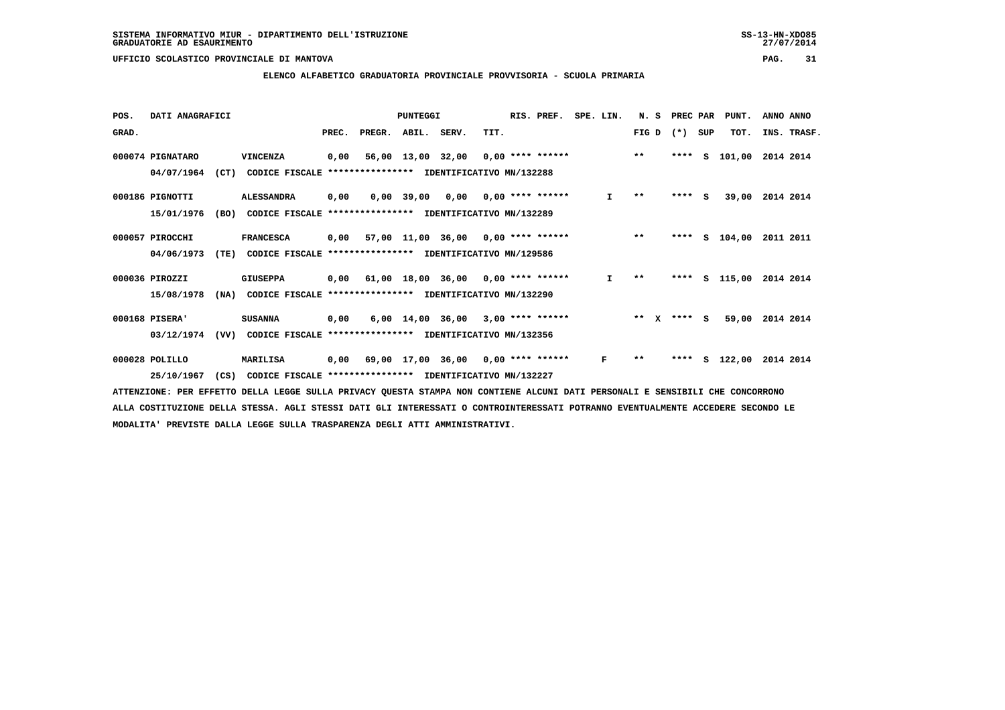### **ELENCO ALFABETICO GRADUATORIA PROVINCIALE PROVVISORIA - SCUOLA PRIMARIA**

| POS.  | DATI ANAGRAFICI  |      |                                                          |       |        | PUNTEGGI    |                                           |      | RIS. PREF.                | SPE. LIN. | N.S   |              | PREC PAR |     | PUNT.    | ANNO ANNO |             |
|-------|------------------|------|----------------------------------------------------------|-------|--------|-------------|-------------------------------------------|------|---------------------------|-----------|-------|--------------|----------|-----|----------|-----------|-------------|
| GRAD. |                  |      |                                                          | PREC. | PREGR. | ABIL. SERV. |                                           | TIT. |                           |           | FIG D |              | $(*)$    | SUP | TOT.     |           | INS. TRASF. |
|       | 000074 PIGNATARO |      | VINCENZA                                                 | 0,00  |        |             | $56,00$ 13,00 32,00 0,00 **** ******      |      |                           |           | $***$ |              | ****     | s   | 101,00   | 2014 2014 |             |
|       | 04/07/1964       | (CT) | CODICE FISCALE                                           |       |        |             | **************** IDENTIFICATIVO MN/132288 |      |                           |           |       |              |          |     |          |           |             |
|       | 000186 PIGNOTTI  |      | <b>ALESSANDRA</b>                                        | 0,00  |        | 0,00 39,00  |                                           |      | $0,00$ $0,00$ **** ****** | I.        | $* *$ |              | $***$ S  |     | 39,00    | 2014 2014 |             |
|       | 15/01/1976       | (BO) | CODICE FISCALE **************** IDENTIFICATIVO MN/132289 |       |        |             |                                           |      |                           |           |       |              |          |     |          |           |             |
|       | 000057 PIROCCHI  |      | <b>FRANCESCA</b>                                         | 0,00  |        |             | 57,00 11,00 36,00 0,00 **** ******        |      |                           |           | $***$ |              | ****     |     | S 104,00 | 2011 2011 |             |
|       | 04/06/1973       | (TE) | CODICE FISCALE **************** IDENTIFICATIVO MN/129586 |       |        |             |                                           |      |                           |           |       |              |          |     |          |           |             |
|       | 000036 PIROZZI   |      | <b>GIUSEPPA</b>                                          |       |        |             | $0,00$ 61,00 18,00 36,00 0,00 **** ****** |      |                           | I.        | $* *$ |              | ****     |     | s 115,00 | 2014 2014 |             |
|       | 15/08/1978       | (NA) | CODICE FISCALE **************** IDENTIFICATIVO MN/132290 |       |        |             |                                           |      |                           |           |       |              |          |     |          |           |             |
|       | 000168 PISERA'   |      | <b>SUSANNA</b>                                           | 0,00  |        |             | $6,00$ 14,00 36,00 3,00 **** ******       |      |                           |           | $* *$ | $\mathbf{x}$ | $***$ S  |     | 59,00    | 2014 2014 |             |
|       | 03/12/1974       | (VV) | CODICE FISCALE **************** IDENTIFICATIVO MN/132356 |       |        |             |                                           |      |                           |           |       |              |          |     |          |           |             |
|       | 000028 POLILLO   |      | <b>MARILISA</b>                                          |       |        |             | $0,00$ 69,00 17,00 36,00 0,00 **** ****** |      |                           | F         | $* *$ |              | ****     |     | S 122,00 | 2014 2014 |             |
|       | 25/10/1967       | (CS) | CODICE FISCALE **************** IDENTIFICATIVO MN/132227 |       |        |             |                                           |      |                           |           |       |              |          |     |          |           |             |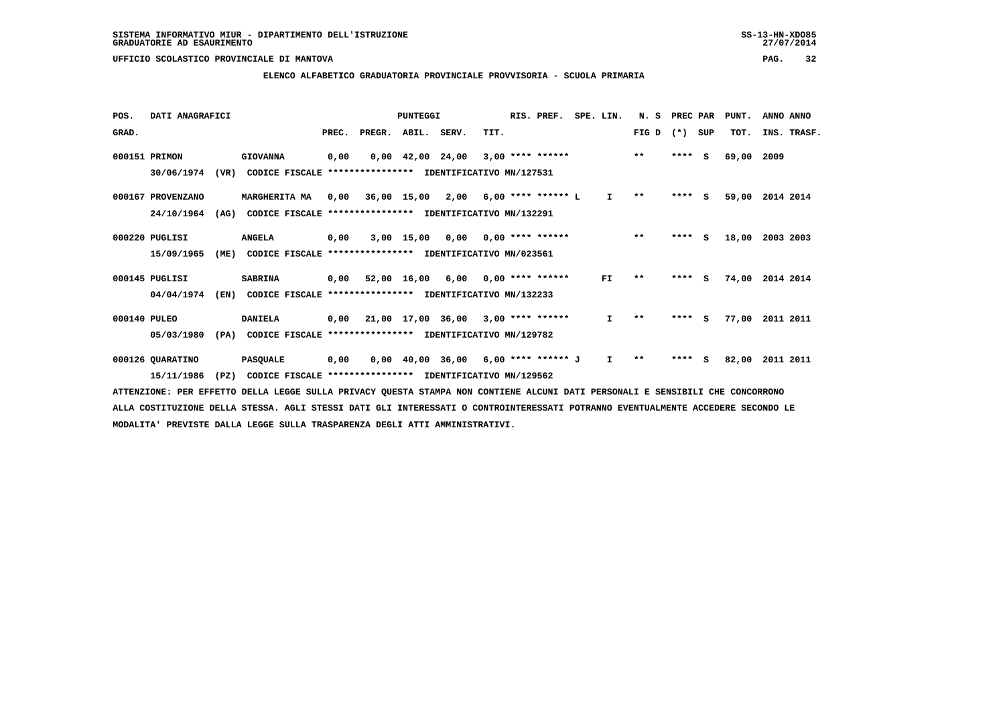### **ELENCO ALFABETICO GRADUATORIA PROVINCIALE PROVVISORIA - SCUOLA PRIMARIA**

| POS.         | DATI ANAGRAFICI   |      |                                                          |       |                    | PUNTEGGI |                                            |      | RIS. PREF.              | SPE. LIN.    | N.S          | PREC PAR |          | PUNT. | ANNO ANNO   |  |
|--------------|-------------------|------|----------------------------------------------------------|-------|--------------------|----------|--------------------------------------------|------|-------------------------|--------------|--------------|----------|----------|-------|-------------|--|
| GRAD.        |                   |      |                                                          | PREC. | PREGR. ABIL. SERV. |          |                                            | TIT. |                         |              | FIG D        | $(* )$   | SUP      | TOT.  | INS. TRASF. |  |
|              | 000151 PRIMON     |      | <b>GIOVANNA</b>                                          | 0,00  |                    |          | $0.00 \quad 42.00 \quad 24.00$             |      | $3,00$ **** ******      |              | $***$        | ****     | <b>S</b> | 69,00 | 2009        |  |
|              | 30/06/1974        | (VR) | CODICE FISCALE                                           |       |                    |          | **************** IDENTIFICATIVO MN/127531  |      |                         |              |              |          |          |       |             |  |
|              | 000167 PROVENZANO |      | MARGHERITA MA                                            |       |                    |          | $0,00$ 36,00 15,00 2,00 6,00 **** ****** L |      |                         | I.           | $\star\star$ | $***$ S  |          | 59,00 | 2014 2014   |  |
|              | 24/10/1964        | (AG) | CODICE FISCALE **************** IDENTIFICATIVO MN/132291 |       |                    |          |                                            |      |                         |              |              |          |          |       |             |  |
|              | 000220 PUGLISI    |      | <b>ANGELA</b>                                            | 0,00  |                    |          | $3,00$ 15,00 0,00 0,00 **** ******         |      |                         |              | $***$        | ****     | <b>S</b> | 18,00 | 2003 2003   |  |
|              | 15/09/1965        | (ME) | CODICE FISCALE **************** IDENTIFICATIVO MN/023561 |       |                    |          |                                            |      |                         |              |              |          |          |       |             |  |
|              | 000145 PUGLISI    |      | <b>SABRINA</b>                                           |       | 0,00 52,00 16,00   |          |                                            |      | $6,00$ 0,00 **** ****** | FI.          | $* *$        | ****     | - 5      | 74,00 | 2014 2014   |  |
|              | 04/04/1974        | (EN) | CODICE FISCALE **************** IDENTIFICATIVO MN/132233 |       |                    |          |                                            |      |                         |              |              |          |          |       |             |  |
| 000140 PULEO |                   |      | <b>DANIELA</b>                                           | 0,00  |                    |          | 21,00 17,00 36,00 3,00 **** ******         |      |                         | I.           | $* *$        | ****     | S.       | 77,00 | 2011 2011   |  |
|              | 05/03/1980        | (PA) | CODICE FISCALE                                           |       |                    |          | **************** IDENTIFICATIVO MN/129782  |      |                         |              |              |          |          |       |             |  |
|              | 000126 QUARATINO  |      | <b>PASQUALE</b>                                          | 0,00  |                    |          | 0,00 40,00 36,00                           |      | 6,00 **** ****** J      | $\mathbf{I}$ | $\star\star$ | ****     | s        | 82,00 | 2011 2011   |  |
|              | 15/11/1986        | (PZ) | CODICE FISCALE **************** IDENTIFICATIVO MN/129562 |       |                    |          |                                            |      |                         |              |              |          |          |       |             |  |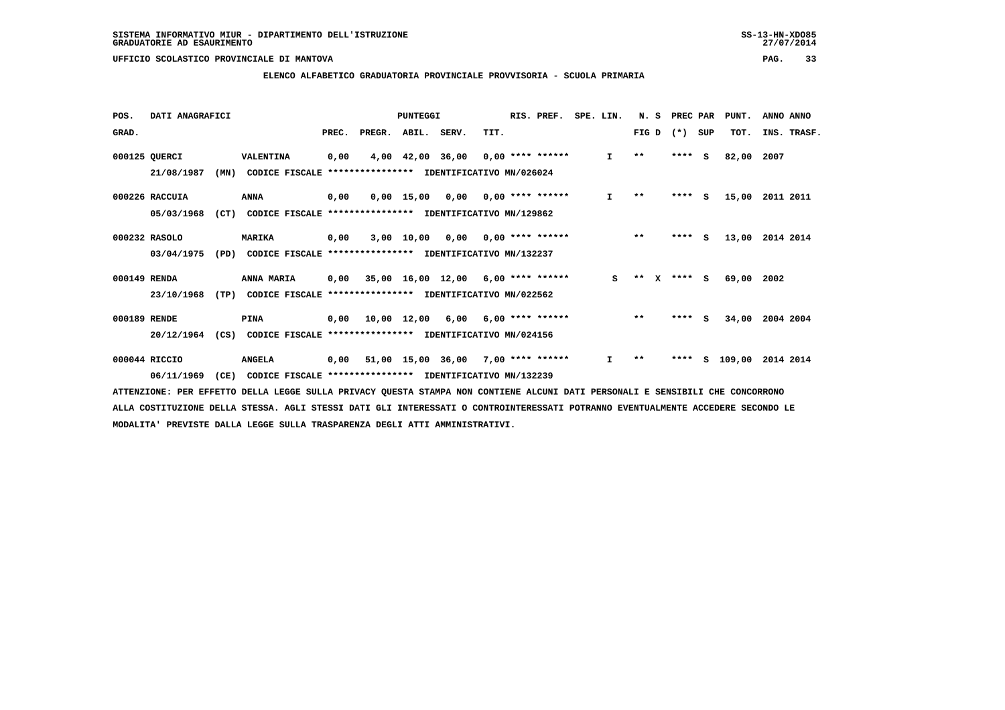### **ELENCO ALFABETICO GRADUATORIA PROVINCIALE PROVVISORIA - SCUOLA PRIMARIA**

| POS.         | DATI ANAGRAFICI |      |                                                          |       |        | PUNTEGGI    |                                           |      | RIS. PREF.         | SPE. LIN. |              | N.S                          | PREC PAR |          | PUNT.    | ANNO ANNO   |
|--------------|-----------------|------|----------------------------------------------------------|-------|--------|-------------|-------------------------------------------|------|--------------------|-----------|--------------|------------------------------|----------|----------|----------|-------------|
| GRAD.        |                 |      |                                                          | PREC. | PREGR. | ABIL. SERV. |                                           | TIT. |                    |           |              | FIG D                        | $(*)$    | SUP      | TOT.     | INS. TRASF. |
|              | 000125 QUERCI   |      | VALENTINA                                                | 0,00  | 4,00   |             | 42,00 36,00                               |      | 0,00 **** ******   |           | $\mathbf{I}$ | $\star\star$                 | ****     | - S      | 82,00    | 2007        |
|              | 21/08/1987      | (MN) | CODICE FISCALE **************** IDENTIFICATIVO MN/026024 |       |        |             |                                           |      |                    |           |              |                              |          |          |          |             |
|              | 000226 RACCUIA  |      | ANNA                                                     | 0,00  |        |             | $0,00$ 15,00 0,00 0,00 **** ******        |      |                    |           | $\mathbf{I}$ | $\star\star$                 | $***$ S  |          | 15,00    | 2011 2011   |
|              | 05/03/1968      | (CT) | CODICE FISCALE **************** IDENTIFICATIVO MN/129862 |       |        |             |                                           |      |                    |           |              |                              |          |          |          |             |
|              | 000232 RASOLO   |      | <b>MARIKA</b>                                            | 0,00  |        | 3,00 10,00  | 0,00                                      |      | 0,00 **** ******   |           |              | $***$                        | ****     | <b>S</b> | 13,00    | 2014 2014   |
|              | 03/04/1975      | (PD) | CODICE FISCALE **************** IDENTIFICATIVO MN/132237 |       |        |             |                                           |      |                    |           |              |                              |          |          |          |             |
| 000149 RENDA |                 |      | ANNA MARIA                                               |       |        |             | $0.00$ 35.00 16.00 12.00 6.00 **** ****** |      |                    |           | S.           | $\star\star$<br>$\mathbf{x}$ | $***$ S  |          | 69,00    | 2002        |
|              | 23/10/1968      | (TP) | CODICE FISCALE **************** IDENTIFICATIVO MN/022562 |       |        |             |                                           |      |                    |           |              |                              |          |          |          |             |
| 000189 RENDE |                 |      | PINA                                                     | 0.00  |        | 10,00 12,00 | 6,00                                      |      | $6,00$ **** ****** |           |              | $***$                        | ****     | <b>S</b> | 34,00    | 2004 2004   |
|              | 20/12/1964      | (CS) | CODICE FISCALE **************** IDENTIFICATIVO MN/024156 |       |        |             |                                           |      |                    |           |              |                              |          |          |          |             |
|              | 000044 RICCIO   |      | <b>ANGELA</b>                                            | 0,00  |        |             | 51,00 15,00 36,00 7,00 **** ******        |      |                    |           | $\mathbf{I}$ | $* *$                        | ****     |          | s 109,00 | 2014 2014   |
|              | 06/11/1969      | (CE) | CODICE FISCALE **************** IDENTIFICATIVO MN/132239 |       |        |             |                                           |      |                    |           |              |                              |          |          |          |             |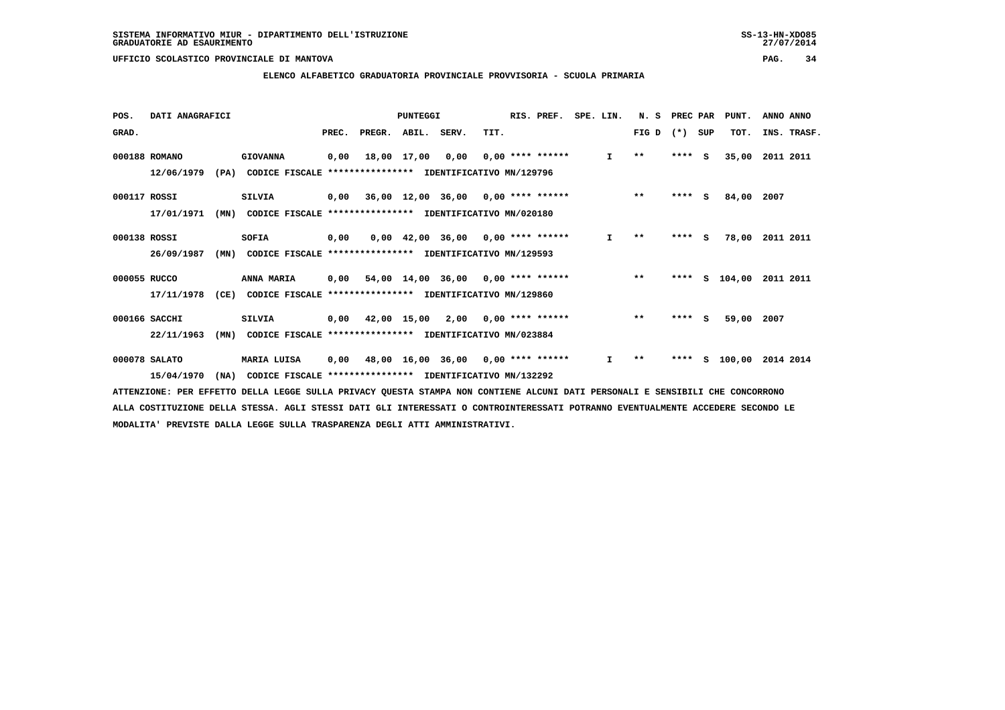### **ELENCO ALFABETICO GRADUATORIA PROVINCIALE PROVVISORIA - SCUOLA PRIMARIA**

| POS.         | DATI ANAGRAFICI |      |                                                          |       |                    | PUNTEGGI    |                                           |      | RIS. PREF.         | SPE. LIN. |              | N.S          | PREC PAR |          | PUNT.      | ANNO ANNO   |
|--------------|-----------------|------|----------------------------------------------------------|-------|--------------------|-------------|-------------------------------------------|------|--------------------|-----------|--------------|--------------|----------|----------|------------|-------------|
| GRAD.        |                 |      |                                                          | PREC. | PREGR. ABIL. SERV. |             |                                           | TIT. |                    |           |              | FIG D        | $(* )$   | SUP      | TOT.       | INS. TRASF. |
|              | 000188 ROMANO   |      | <b>GIOVANNA</b>                                          | 0,00  |                    | 18,00 17,00 | 0,00                                      |      | $0.00$ **** ****** |           | $\mathbf{I}$ | $\star\star$ | ****     | - S      | 35,00      | 2011 2011   |
|              | 12/06/1979      | (PA) | CODICE FISCALE                                           |       |                    |             | *************** IDENTIFICATIVO MN/129796  |      |                    |           |              |              |          |          |            |             |
| 000117 ROSSI |                 |      | <b>SILVIA</b>                                            |       |                    |             | $0,00$ 36,00 12,00 36,00 0,00 **** ****** |      |                    |           |              | $***$        | ****     | <b>S</b> | 84,00      | 2007        |
|              | 17/01/1971      | (MN) | CODICE FISCALE **************** IDENTIFICATIVO MN/020180 |       |                    |             |                                           |      |                    |           |              |              |          |          |            |             |
| 000138 ROSSI |                 |      | SOFIA                                                    | 0,00  |                    |             | $0,00$ 42,00 36,00 0,00 **** ******       |      |                    |           | I.           | $* *$        | ****     | - S      | 78,00      | 2011 2011   |
|              | 26/09/1987      | (MN) | CODICE FISCALE                                           |       |                    |             | *************** IDENTIFICATIVO MN/129593  |      |                    |           |              |              |          |          |            |             |
| 000055 RUCCO |                 |      | ANNA MARIA                                               |       |                    |             | $0,00$ 54,00 14,00 36,00 0,00 **** ****** |      |                    |           |              | $* *$        | ****     |          | $S$ 104,00 | 2011 2011   |
|              | 17/11/1978      | (CE) | CODICE FISCALE **************** IDENTIFICATIVO MN/129860 |       |                    |             |                                           |      |                    |           |              |              |          |          |            |             |
|              | 000166 SACCHI   |      | <b>SILVIA</b>                                            | 0,00  |                    |             | 42,00 15,00 2,00 0,00 **** ******         |      |                    |           |              | $***$        | ****     | S.       | 59,00      | 2007        |
|              | 22/11/1963      | (MN) | CODICE FISCALE                                           |       |                    |             | **************** IDENTIFICATIVO MN/023884 |      |                    |           |              |              |          |          |            |             |
|              | 000078 SALATO   |      | <b>MARIA LUISA</b>                                       | 0,00  |                    |             | 48,00 16,00 36,00 0,00 **** ******        |      |                    |           | $\mathbf{I}$ | $* *$        | ****     | s        | 100,00     | 2014 2014   |
|              | 15/04/1970      | (NA) | CODICE FISCALE **************** IDENTIFICATIVO MN/132292 |       |                    |             |                                           |      |                    |           |              |              |          |          |            |             |
|              |                 |      |                                                          |       |                    |             |                                           |      |                    |           |              |              |          |          |            |             |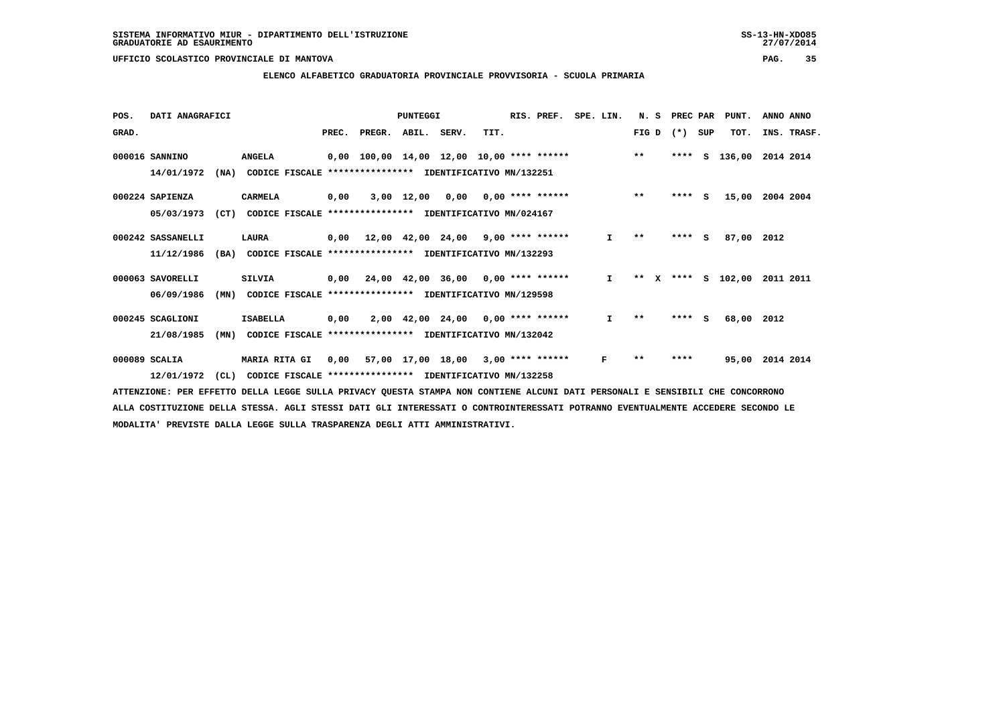### **ELENCO ALFABETICO GRADUATORIA PROVINCIALE PROVVISORIA - SCUOLA PRIMARIA**

|                   |      |                                         |                      |                                  | PUNTEGGI |              |                                  | RIS. PREF. | SPE. LIN.                                                                                                                                                                                                                                                                                                                                                                                          |                                                                                                                                                                     | N.S   | PREC PAR   |                | PUNT.       | ANNO ANNO                        |
|-------------------|------|-----------------------------------------|----------------------|----------------------------------|----------|--------------|----------------------------------|------------|----------------------------------------------------------------------------------------------------------------------------------------------------------------------------------------------------------------------------------------------------------------------------------------------------------------------------------------------------------------------------------------------------|---------------------------------------------------------------------------------------------------------------------------------------------------------------------|-------|------------|----------------|-------------|----------------------------------|
|                   |      |                                         | PREC.                |                                  |          |              | TIT.                             |            |                                                                                                                                                                                                                                                                                                                                                                                                    |                                                                                                                                                                     |       |            |                | TOT.        | INS. TRASF.                      |
| 000016 SANNINO    |      | <b>ANGELA</b>                           |                      |                                  |          |              |                                  |            |                                                                                                                                                                                                                                                                                                                                                                                                    |                                                                                                                                                                     | $* *$ | ****       | s              |             | 2014 2014                        |
| 14/01/1972        |      |                                         |                      |                                  |          |              |                                  |            |                                                                                                                                                                                                                                                                                                                                                                                                    |                                                                                                                                                                     |       |            |                |             |                                  |
| 000224 SAPIENZA   |      | CARMELA                                 | 0,00                 |                                  |          |              |                                  |            |                                                                                                                                                                                                                                                                                                                                                                                                    |                                                                                                                                                                     | $***$ |            | - S            | 15,00       | 2004 2004                        |
| 05/03/1973        |      |                                         |                      |                                  |          |              |                                  |            |                                                                                                                                                                                                                                                                                                                                                                                                    |                                                                                                                                                                     |       |            |                |             |                                  |
| 000242 SASSANELLI |      | LAURA                                   | 0,00                 |                                  |          |              |                                  |            |                                                                                                                                                                                                                                                                                                                                                                                                    | I.                                                                                                                                                                  | $* *$ | ****       | s              | 87,00       | 2012                             |
| 11/12/1986        | (BA) |                                         |                      |                                  |          |              |                                  |            |                                                                                                                                                                                                                                                                                                                                                                                                    |                                                                                                                                                                     |       |            |                |             |                                  |
| 000063 SAVORELLI  |      | <b>SILVIA</b>                           |                      |                                  |          |              |                                  |            |                                                                                                                                                                                                                                                                                                                                                                                                    | $\mathbf{I}$                                                                                                                                                        | $* *$ |            |                |             | 2011 2011                        |
| 06/09/1986        | (MN) |                                         |                      |                                  |          |              |                                  |            |                                                                                                                                                                                                                                                                                                                                                                                                    |                                                                                                                                                                     |       |            |                |             |                                  |
| 000245 SCAGLIONI  |      | <b>ISABELLA</b>                         | 0,00                 |                                  |          |              |                                  |            |                                                                                                                                                                                                                                                                                                                                                                                                    | I.                                                                                                                                                                  | $* *$ | ****       | s              |             |                                  |
| 21/08/1985        | (MN) |                                         |                      |                                  |          |              |                                  |            |                                                                                                                                                                                                                                                                                                                                                                                                    |                                                                                                                                                                     |       |            |                |             |                                  |
| 000089 SCALIA     |      |                                         | 0,00                 |                                  |          |              |                                  |            |                                                                                                                                                                                                                                                                                                                                                                                                    | F                                                                                                                                                                   | $* *$ | ****       |                | 95,00       | 2014 2014                        |
| 12/01/1972        |      |                                         |                      |                                  |          |              |                                  |            |                                                                                                                                                                                                                                                                                                                                                                                                    |                                                                                                                                                                     |       |            |                |             |                                  |
|                   |      | DATI ANAGRAFICI<br>(NA)<br>(CT)<br>(CL) | <b>MARIA RITA GI</b> | CODICE FISCALE<br>CODICE FISCALE | PREGR.   | $3,00$ 12,00 | ABIL. SERV.<br>57,00 17,00 18,00 |            | CODICE FISCALE **************** IDENTIFICATIVO MN/132251<br>CODICE FISCALE **************** IDENTIFICATIVO MN/024167<br>*************** IDENTIFICATIVO MN/132293<br>CODICE FISCALE **************** IDENTIFICATIVO MN/129598<br>$2,00$ 42,00 24,00 0,00 **** ******<br>**************** IDENTIFICATIVO MN/132042<br>$3,00$ **** ******<br>CODICE FISCALE **************** IDENTIFICATIVO MN/132258 | $0,00$ 100,00 14,00 12,00 10,00 **** ******<br>$0,00$ $0,00$ **** ******<br>$12,00$ $42,00$ $24,00$ $9,00$ **** ******<br>$0,00$ 24,00 42,00 36,00 0,00 **** ****** |       | FIG D<br>x | $(* )$<br>**** | SUP<br>**** | 136,00<br>S 102,00<br>68,00 2012 |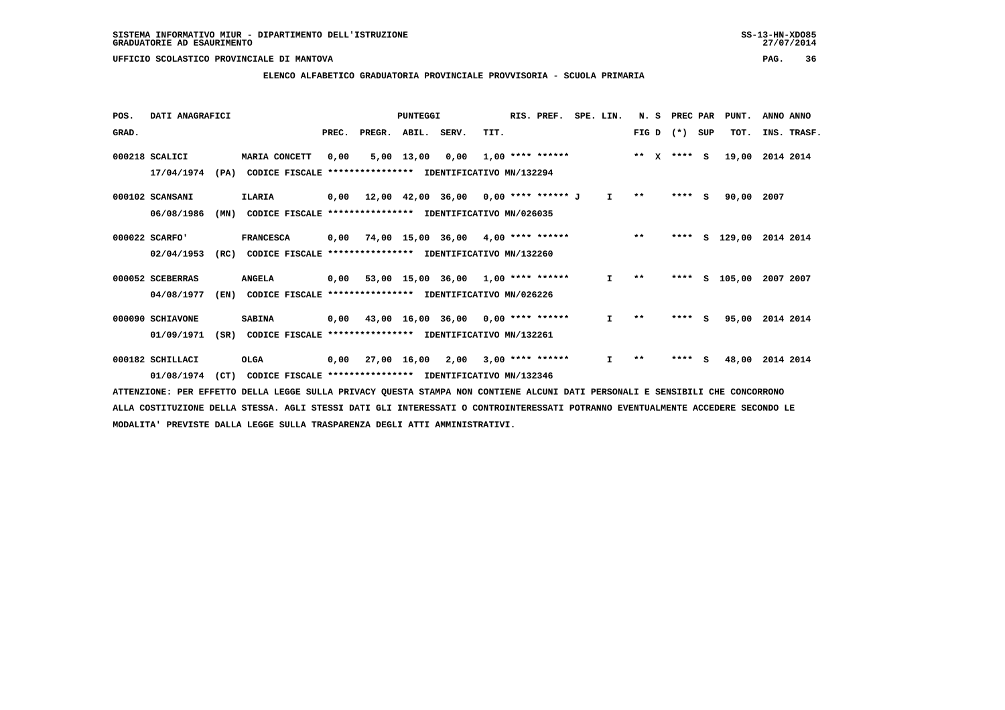### **ELENCO ALFABETICO GRADUATORIA PROVINCIALE PROVVISORIA - SCUOLA PRIMARIA**

| POS.  | DATI ANAGRAFICI  |      |                                                          |       |                    | PUNTEGGI     |                                             |      | RIS. PREF.         | SPE. LIN.    | N.S           | PREC PAR |          | PUNT.    | ANNO ANNO   |
|-------|------------------|------|----------------------------------------------------------|-------|--------------------|--------------|---------------------------------------------|------|--------------------|--------------|---------------|----------|----------|----------|-------------|
| GRAD. |                  |      |                                                          | PREC. | PREGR. ABIL. SERV. |              |                                             | TIT. |                    |              | FIG D         | $(*)$    | SUP      | TOT.     | INS. TRASF. |
|       | 000218 SCALICI   |      | MARIA CONCETT                                            | 0,00  |                    | $5,00$ 13,00 | 0.00                                        |      | $1,00$ **** ****** |              | ** $X$ **** S |          |          | 19,00    | 2014 2014   |
|       | 17/04/1974       | (PA) | CODICE FISCALE                                           |       |                    |              | **************** IDENTIFICATIVO MN/132294   |      |                    |              |               |          |          |          |             |
|       | 000102 SCANSANI  |      | <b>ILARIA</b>                                            |       |                    |              | $0,00$ 12,00 42,00 36,00 0,00 **** ****** J |      |                    | I.           | $\star\star$  | ****     | <b>S</b> | 90,00    | 2007        |
|       | 06/08/1986       | (MN) | CODICE FISCALE **************** IDENTIFICATIVO MN/026035 |       |                    |              |                                             |      |                    |              |               |          |          |          |             |
|       | 000022 SCARFO'   |      | <b>FRANCESCA</b>                                         | 0,00  |                    |              | 74,00 15,00 36,00 4,00 **** ******          |      |                    |              | $***$         | ****     |          | S 129,00 | 2014 2014   |
|       | 02/04/1953       | (RC) | CODICE FISCALE                                           |       |                    |              | **************** IDENTIFICATIVO MN/132260   |      |                    |              |               |          |          |          |             |
|       | 000052 SCEBERRAS |      | <b>ANGELA</b>                                            |       |                    |              | $0,00$ 53,00 15,00 36,00 1,00 **** ******   |      |                    | $\mathbf{I}$ | $* *$         | ****     | S.       | 105,00   | 2007 2007   |
|       | 04/08/1977       | (EN) | CODICE FISCALE **************** IDENTIFICATIVO MN/026226 |       |                    |              |                                             |      |                    |              |               |          |          |          |             |
|       | 000090 SCHIAVONE |      | <b>SABINA</b>                                            | 0,00  |                    |              | 43,00 16,00 36,00 0,00 **** ******          |      |                    | I.           | $* *$         | ****     | S.       | 95,00    | 2014 2014   |
|       | 01/09/1971       | (SR) | CODICE FISCALE                                           |       |                    |              | **************** IDENTIFICATIVO MN/132261   |      |                    |              |               |          |          |          |             |
|       | 000182 SCHILLACI |      | <b>OLGA</b>                                              | 0,00  |                    | 27,00 16,00  | 2,00                                        |      | $3,00$ **** ****** | I.           | $**$          | ****     | s        | 48,00    | 2014 2014   |
|       | 01/08/1974       | (CT) | CODICE FISCALE **************** IDENTIFICATIVO MN/132346 |       |                    |              |                                             |      |                    |              |               |          |          |          |             |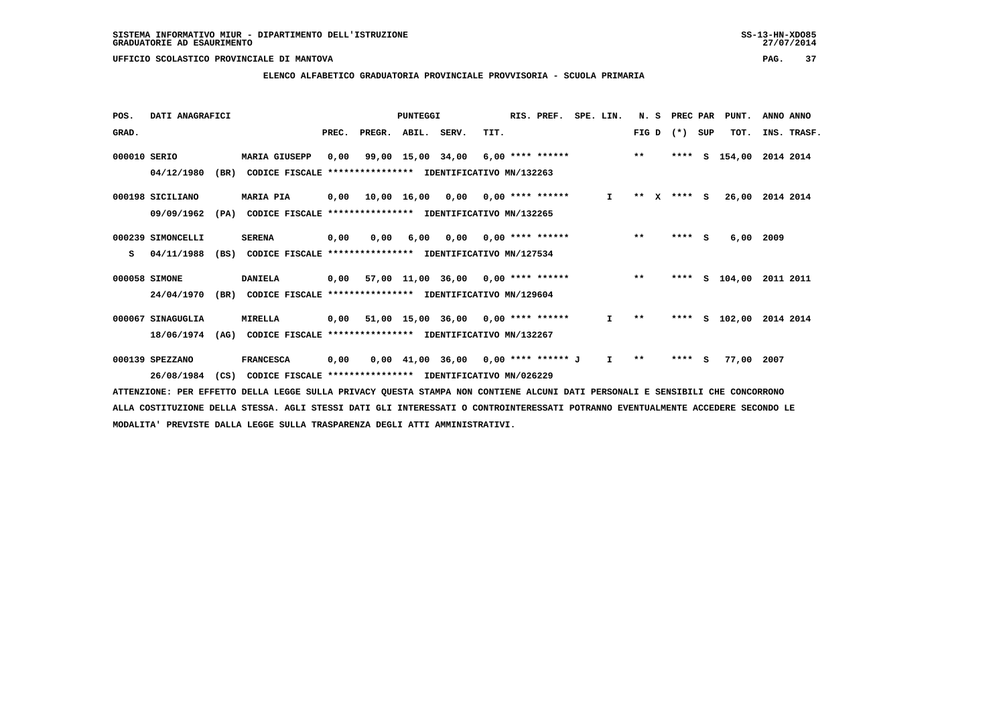### **ELENCO ALFABETICO GRADUATORIA PROVINCIALE PROVVISORIA - SCUOLA PRIMARIA**

| POS.         | DATI ANAGRAFICI   |      |                                                          |       |        | PUNTEGGI          |                                                  |      | RIS. PREF.       | SPE. LIN. |               | N.S          |              | PREC PAR |     | PUNT.    | ANNO ANNO   |  |
|--------------|-------------------|------|----------------------------------------------------------|-------|--------|-------------------|--------------------------------------------------|------|------------------|-----------|---------------|--------------|--------------|----------|-----|----------|-------------|--|
| GRAD.        |                   |      |                                                          | PREC. | PREGR. | ABIL. SERV.       |                                                  | TIT. |                  |           |               | FIG D        |              | $(* )$   | SUP | TOT.     | INS. TRASF. |  |
| 000010 SERIO |                   |      | <b>MARIA GIUSEPP</b>                                     | 0,00  |        | 99,00 15,00 34,00 |                                                  |      | 6,00 **** ****** |           | $\star \star$ |              |              | ****     | s   | 154,00   | 2014 2014   |  |
|              | 04/12/1980        | (BR) | CODICE FISCALE **************** IDENTIFICATIVO MN/132263 |       |        |                   |                                                  |      |                  |           |               |              |              |          |     |          |             |  |
|              | 000198 SICILIANO  |      | <b>MARIA PIA</b>                                         |       |        |                   | $0,00$ 10,00 16,00 0,00 0,00 **** ******         |      |                  |           | $\mathbf{I}$  | $***$        | $\mathbf{x}$ | $***$ S  |     | 26,00    | 2014 2014   |  |
|              | 09/09/1962        | (PA) | CODICE FISCALE **************** IDENTIFICATIVO MN/132265 |       |        |                   |                                                  |      |                  |           |               |              |              |          |     |          |             |  |
|              | 000239 SIMONCELLI |      | <b>SERENA</b>                                            | 0,00  | 0.00   | 6,00              | 0,00                                             |      | 0,00 **** ****** |           |               | $***$        |              | $***5$   |     | 6,00     | 2009        |  |
| s            | 04/11/1988        | (BS) | CODICE FISCALE **************** IDENTIFICATIVO MN/127534 |       |        |                   |                                                  |      |                  |           |               |              |              |          |     |          |             |  |
|              | 000058 SIMONE     |      | <b>DANIELA</b>                                           |       |        |                   | $0,00$ 57,00 11,00 36,00 0,00 **** ******        |      |                  |           |               | $***$        |              | ****     |     | S 104,00 | 2011 2011   |  |
|              | 24/04/1970        | (BR) | CODICE FISCALE **************** IDENTIFICATIVO MN/129604 |       |        |                   |                                                  |      |                  |           |               |              |              |          |     |          |             |  |
|              | 000067 SINAGUGLIA |      | <b>MIRELLA</b>                                           | 0,00  |        |                   | $51,00$ $15,00$ $36,00$ $0,00$ $***$ **** ****** |      |                  |           | I.            | $\star\star$ |              | ****     |     | S 102,00 | 2014 2014   |  |
|              | 18/06/1974        | (AG) | CODICE FISCALE **************** IDENTIFICATIVO MN/132267 |       |        |                   |                                                  |      |                  |           |               |              |              |          |     |          |             |  |
|              | 000139 SPEZZANO   |      | <b>FRANCESCA</b>                                         | 0,00  |        |                   | $0,00$ 41,00 36,00 0,00 **** ****** J            |      |                  |           | Ι.            | $* *$        |              | $***$ S  |     | 77,00    | 2007        |  |
|              | 26/08/1984        | (CS) | CODICE FISCALE **************** IDENTIFICATIVO MN/026229 |       |        |                   |                                                  |      |                  |           |               |              |              |          |     |          |             |  |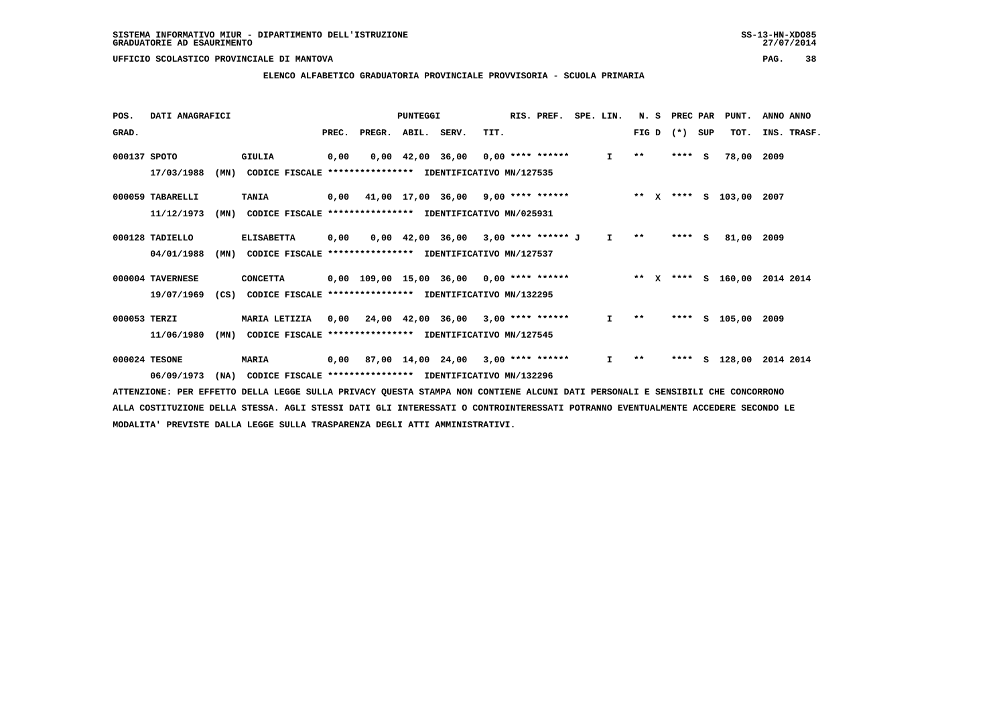### **ELENCO ALFABETICO GRADUATORIA PROVINCIALE PROVVISORIA - SCUOLA PRIMARIA**

| POS.         | DATI ANAGRAFICI  |      |                                                                                                                             |       |                                            | PUNTEGGI |                                                               |      | RIS. PREF. | SPE. LIN.       |              | N. S | PREC PAR |     | PUNT.              | ANNO ANNO |             |
|--------------|------------------|------|-----------------------------------------------------------------------------------------------------------------------------|-------|--------------------------------------------|----------|---------------------------------------------------------------|------|------------|-----------------|--------------|------|----------|-----|--------------------|-----------|-------------|
| GRAD.        |                  |      |                                                                                                                             | PREC. | PREGR. ABIL. SERV.                         |          |                                                               | TIT. |            |                 | FIG D        |      | $(* )$   | SUP | TOT.               |           | INS. TRASF. |
| 000137 SPOTO |                  |      | <b>GIULIA</b>                                                                                                               | 0,00  |                                            |          | $0.00 \quad 42.00 \quad 36.00 \quad 0.00 \quad *** \quad ***$ |      |            | $\mathbf{I}$    | $* *$        |      | $***$ S  |     | 78,00              | 2009      |             |
|              | 17/03/1988       | (MN) | CODICE FISCALE                                                                                                              |       | **************** IDENTIFICATIVO MN/127535  |          |                                                               |      |            |                 |              |      |          |     |                    |           |             |
|              | 000059 TABARELLI |      | <b>TANIA</b>                                                                                                                | 0,00  | 41,00 17,00 36,00 9,00 **** ******         |          |                                                               |      |            | $\star \star$ x |              |      |          |     | **** S 103,00 2007 |           |             |
|              | 11/12/1973       | (MN) | CODICE FISCALE **************** IDENTIFICATIVO MN/025931                                                                    |       |                                            |          |                                                               |      |            |                 |              |      |          |     |                    |           |             |
|              | 000128 TADIELLO  |      | <b>ELISABETTA</b>                                                                                                           | 0,00  |                                            |          | $0,00$ 42,00 36,00 3,00 **** ****** J                         |      |            | $\mathbf{I}$    | $\star\star$ |      | $***$ S  |     | 81,00              | 2009      |             |
|              | 04/01/1988       | (MN) | CODICE FISCALE **************** IDENTIFICATIVO MN/127537                                                                    |       |                                            |          |                                                               |      |            |                 |              |      |          |     |                    |           |             |
|              | 000004 TAVERNESE |      | <b>CONCETTA</b>                                                                                                             |       | $0,00$ 109,00 15,00 36,00 0,00 **** ****** |          |                                                               |      |            | $***$ X         |              |      |          |     | **** S 160,00      | 2014 2014 |             |
|              | 19/07/1969       | (CS) | CODICE FISCALE **************** IDENTIFICATIVO MN/132295                                                                    |       |                                            |          |                                                               |      |            |                 |              |      |          |     |                    |           |             |
| 000053 TERZI |                  |      | MARIA LETIZIA                                                                                                               |       | $0,00$ 24,00 42,00 36,00 3,00 **** ******  |          |                                                               |      |            | Ι.              | $\star\star$ |      | ****     |     | s 105,00           | 2009      |             |
|              | 11/06/1980       | (MN) | CODICE FISCALE **************** IDENTIFICATIVO MN/127545                                                                    |       |                                            |          |                                                               |      |            |                 |              |      |          |     |                    |           |             |
|              | 000024 TESONE    |      | <b>MARIA</b>                                                                                                                | 0,00  |                                            |          | $87,00$ 14,00 24,00 3,00 **** ******                          |      |            | $\mathbf{I}$    | $**$         |      | ****     |     | S 128,00           | 2014 2014 |             |
|              | 06/09/1973       | (MA) | CODICE FISCALE **************** IDENTIFICATIVO MN/132296                                                                    |       |                                            |          |                                                               |      |            |                 |              |      |          |     |                    |           |             |
|              |                  |      | AMMONICIANO, ADA DODOMNA ADILA IDAGO AULIA ANTUAR AULANA AMANAA NAN GANWIDUD ALANI AARI ADAGANALI O GONGIALI AUD GANGAARANA |       |                                            |          |                                                               |      |            |                 |              |      |          |     |                    |           |             |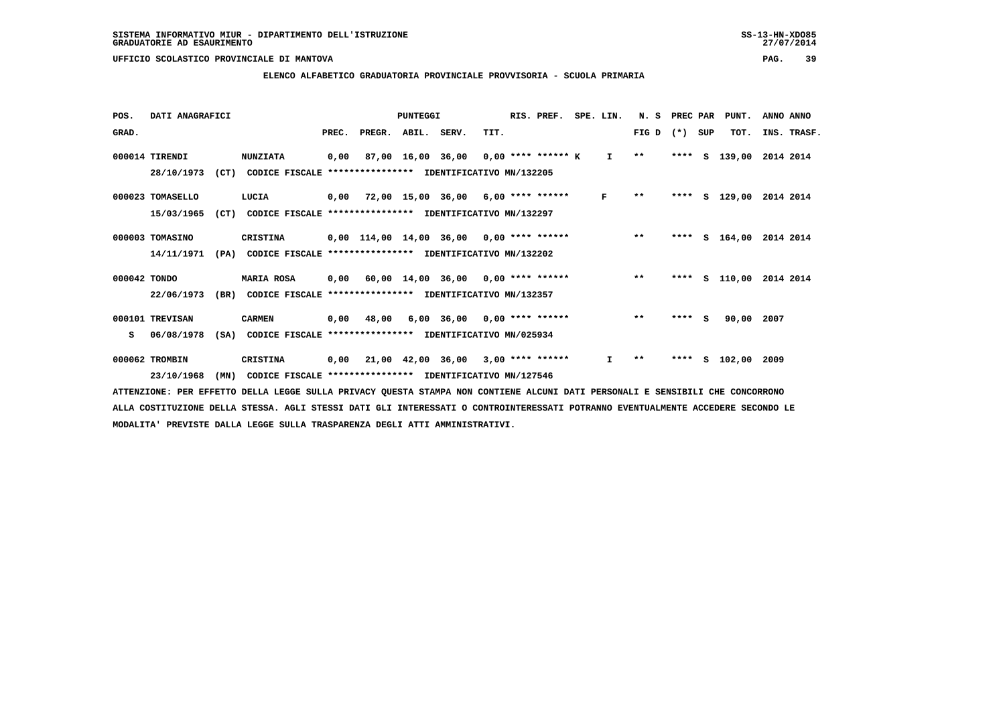### **ELENCO ALFABETICO GRADUATORIA PROVINCIALE PROVVISORIA - SCUOLA PRIMARIA**

| POS.         | DATI ANAGRAFICI  |      |                                                               | <b>PUNTEGGI</b> |                          |  |                                                           |      |  | RIS. PREF.<br>SPE. LIN. |  |              |              | N. S<br>PREC PAR |     | PUNT.         | ANNO ANNO               |
|--------------|------------------|------|---------------------------------------------------------------|-----------------|--------------------------|--|-----------------------------------------------------------|------|--|-------------------------|--|--------------|--------------|------------------|-----|---------------|-------------------------|
| GRAD.        |                  |      |                                                               |                 | PREC. PREGR. ABIL. SERV. |  |                                                           | TIT. |  |                         |  |              | $FIG D (*)$  |                  | SUP | TOT.          | INS. TRASF.             |
|              | 000014 TIRENDI   |      | <b>NUNZIATA</b>                                               | 0,00            |                          |  | 87,00 16,00 36,00 0,00 **** ****** K I                    |      |  |                         |  |              | $***$        | ****             | s   | 139,00        | 2014 2014               |
|              | 28/10/1973       |      | (CT) CODICE FISCALE **************** IDENTIFICATIVO MN/132205 |                 |                          |  |                                                           |      |  |                         |  |              |              |                  |     |               |                         |
|              | 000023 TOMASELLO |      | LUCIA                                                         |                 |                          |  | 0,00 72,00 15,00 36,00 6,00 **** ******                   |      |  |                         |  | $\mathbf{F}$ | $\star\star$ |                  |     | **** S 129,00 | 2014 2014               |
|              | 15/03/1965       | (CT) | CODICE FISCALE **************** IDENTIFICATIVO MN/132297      |                 |                          |  |                                                           |      |  |                         |  |              |              |                  |     |               |                         |
|              | 000003 TOMASINO  |      | CRISTINA                                                      |                 |                          |  | $0,00$ $114,00$ $14,00$ $36,00$ $0,00$ **** ****** *** ** |      |  |                         |  |              |              | ****             |     | s 164,00      | 2014 2014               |
|              | 14/11/1971       |      | (PA) CODICE FISCALE **************** IDENTIFICATIVO MN/132202 |                 |                          |  |                                                           |      |  |                         |  |              |              |                  |     |               |                         |
| 000042 TONDO |                  |      | <b>MARIA ROSA</b>                                             |                 |                          |  | 0,00 60,00 14,00 36,00 0,00 **** ******                   |      |  |                         |  |              | $***$        |                  |     |               | **** S 110,00 2014 2014 |
|              | 22/06/1973       | (BR) | CODICE FISCALE **************** IDENTIFICATIVO MN/132357      |                 |                          |  |                                                           |      |  |                         |  |              |              |                  |     |               |                         |
|              | 000101 TREVISAN  |      | <b>CARMEN</b>                                                 |                 | 0,00 48,00               |  | $6,00$ 36,00 0,00 **** ******                             |      |  |                         |  |              | $***$        | $***$ S          |     | 90,00 2007    |                         |
| s            | 06/08/1978       |      | (SA) CODICE FISCALE **************** IDENTIFICATIVO MN/025934 |                 |                          |  |                                                           |      |  |                         |  |              |              |                  |     |               |                         |
|              | 000062 TROMBIN   |      | CRISTINA                                                      |                 |                          |  | 0,00 21,00 42,00 36,00 3,00 **** ******                   |      |  |                         |  | $\mathbf{I}$ | $* *$        | ****             | s   | 102,00 2009   |                         |
|              | 23/10/1968       | (MN) | CODICE FISCALE **************** IDENTIFICATIVO MN/127546      |                 |                          |  |                                                           |      |  |                         |  |              |              |                  |     |               |                         |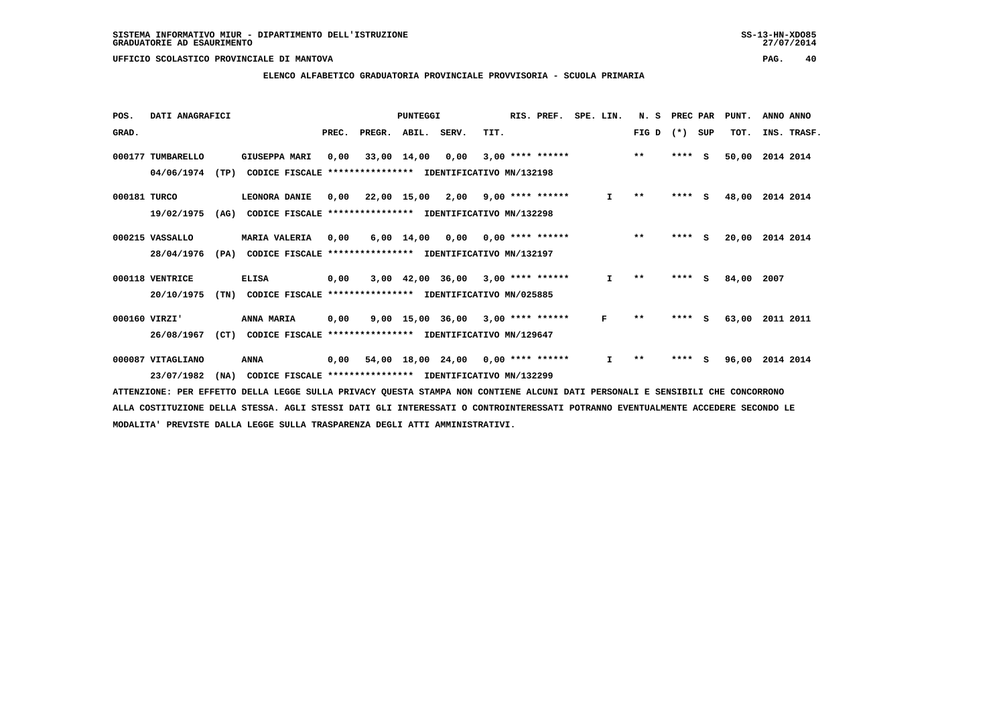### **ELENCO ALFABETICO GRADUATORIA PROVINCIALE PROVVISORIA - SCUOLA PRIMARIA**

| POS.         | DATI ANAGRAFICI   |      |                                                          | <b>PUNTEGGI</b> |        |             |                                     |      | RIS. PREF.         | SPE. LIN. |              | N. S                     | PREC PAR |          | PUNT. | ANNO ANNO   |
|--------------|-------------------|------|----------------------------------------------------------|-----------------|--------|-------------|-------------------------------------|------|--------------------|-----------|--------------|--------------------------|----------|----------|-------|-------------|
| GRAD.        |                   |      |                                                          | PREC.           | PREGR. | ABIL. SERV. |                                     | TIT. |                    |           |              | FIG D                    | $(* )$   | SUP      | TOT.  | INS. TRASF. |
|              | 000177 TUMBARELLO |      | <b>GIUSEPPA MARI</b>                                     | 0,00            |        | 33,00 14,00 | 0,00                                |      | $3,00$ **** ****** |           |              | $***$                    | ****     | - S      | 50,00 | 2014 2014   |
|              | 04/06/1974        | (TP) | CODICE FISCALE **************** IDENTIFICATIVO MN/132198 |                 |        |             |                                     |      |                    |           |              |                          |          |          |       |             |
| 000181 TURCO |                   |      | LEONORA DANIE                                            | 0,00            |        |             | 22,00 15,00 2,00 9,00 **** ******   |      |                    |           | I.           | $\pmb{\star}\pmb{\star}$ | $***$ S  |          | 48,00 | 2014 2014   |
|              | 19/02/1975        | (AG) | CODICE FISCALE **************** IDENTIFICATIVO MN/132298 |                 |        |             |                                     |      |                    |           |              |                          |          |          |       |             |
|              | 000215 VASSALLO   |      | <b>MARIA VALERIA</b>                                     | 0,00            |        | 6,00 14,00  | 0,00                                |      | $0.00$ **** ****** |           |              | $***$                    | ****     | <b>S</b> | 20,00 | 2014 2014   |
|              | 28/04/1976        | (PA) | CODICE FISCALE **************** IDENTIFICATIVO MN/132197 |                 |        |             |                                     |      |                    |           |              |                          |          |          |       |             |
|              | 000118 VENTRICE   |      | <b>ELISA</b>                                             | 0,00            |        |             | $3,00$ 42,00 36,00 3,00 **** ****** |      |                    |           | $\mathbf{I}$ | $* *$                    | ****     | <b>S</b> | 84,00 | 2007        |
|              | 20/10/1975        | (TN) | CODICE FISCALE **************** IDENTIFICATIVO MN/025885 |                 |        |             |                                     |      |                    |           |              |                          |          |          |       |             |
|              | 000160 VIRZI'     |      | <b>ANNA MARIA</b>                                        | 0,00            |        |             | 9,00 15,00 36,00                    |      | $3,00$ **** ****** |           | F            | $* *$                    | ****     | - 5      | 63,00 | 2011 2011   |
|              | 26/08/1967        | (CT) | CODICE FISCALE **************** IDENTIFICATIVO MN/129647 |                 |        |             |                                     |      |                    |           |              |                          |          |          |       |             |
|              | 000087 VITAGLIANO |      | <b>ANNA</b>                                              | 0,00            |        |             | 54,00 18,00 24,00 0,00 **** ******  |      |                    |           | $\mathbf{I}$ | $* *$                    | ****     | s        | 96,00 | 2014 2014   |
|              | 23/07/1982        | (NA) | CODICE FISCALE **************** IDENTIFICATIVO MN/132299 |                 |        |             |                                     |      |                    |           |              |                          |          |          |       |             |